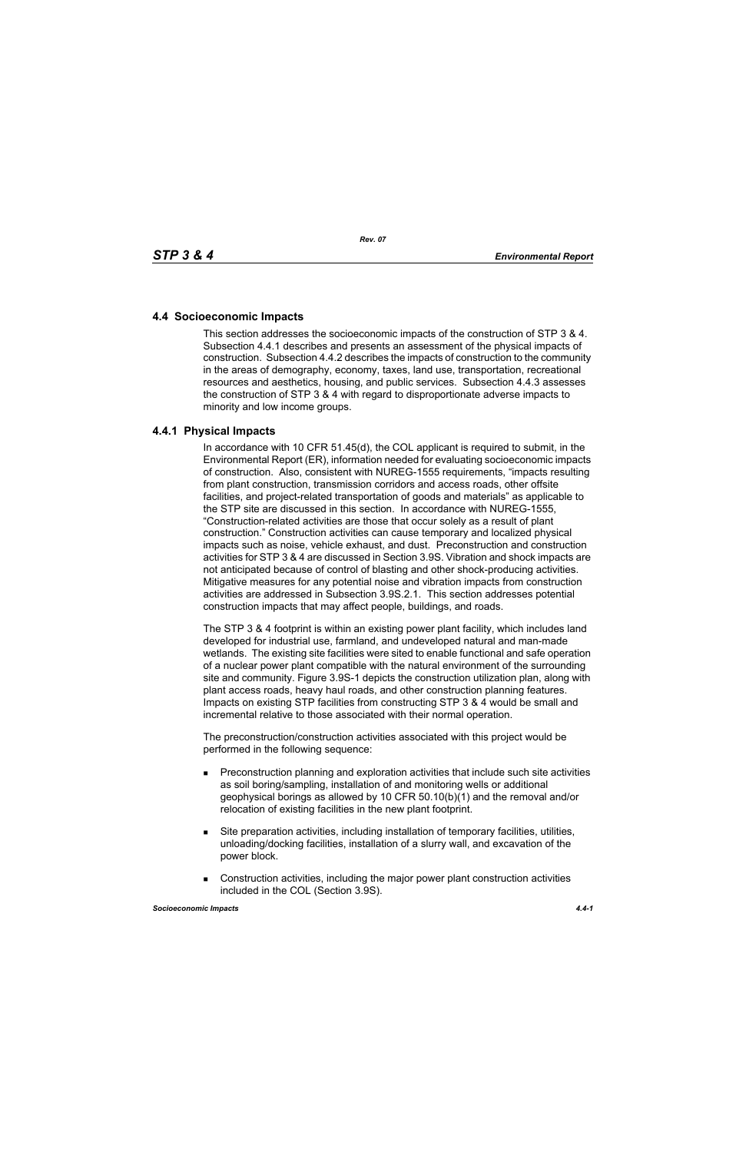## **4.4 Socioeconomic Impacts**

This section addresses the socioeconomic impacts of the construction of STP 3 & 4. Subsection 4.4.1 describes and presents an assessment of the physical impacts of construction. Subsection 4.4.2 describes the impacts of construction to the community in the areas of demography, economy, taxes, land use, transportation, recreational resources and aesthetics, housing, and public services. Subsection 4.4.3 assesses the construction of STP 3 & 4 with regard to disproportionate adverse impacts to minority and low income groups.

## **4.4.1 Physical Impacts**

In accordance with 10 CFR 51.45(d), the COL applicant is required to submit, in the Environmental Report (ER), information needed for evaluating socioeconomic impacts of construction. Also, consistent with NUREG-1555 requirements, "impacts resulting from plant construction, transmission corridors and access roads, other offsite facilities, and project-related transportation of goods and materials" as applicable to the STP site are discussed in this section. In accordance with NUREG-1555, "Construction-related activities are those that occur solely as a result of plant construction." Construction activities can cause temporary and localized physical impacts such as noise, vehicle exhaust, and dust. Preconstruction and construction activities for STP 3 & 4 are discussed in Section 3.9S. Vibration and shock impacts are not anticipated because of control of blasting and other shock-producing activities. Mitigative measures for any potential noise and vibration impacts from construction activities are addressed in Subsection 3.9S.2.1. This section addresses potential construction impacts that may affect people, buildings, and roads.

The STP 3 & 4 footprint is within an existing power plant facility, which includes land developed for industrial use, farmland, and undeveloped natural and man-made wetlands. The existing site facilities were sited to enable functional and safe operation of a nuclear power plant compatible with the natural environment of the surrounding site and community. Figure 3.9S-1 depicts the construction utilization plan, along with plant access roads, heavy haul roads, and other construction planning features. Impacts on existing STP facilities from constructing STP 3 & 4 would be small and incremental relative to those associated with their normal operation.

The preconstruction/construction activities associated with this project would be performed in the following sequence:

- **Preconstruction planning and exploration activities that include such site activities** as soil boring/sampling, installation of and monitoring wells or additional geophysical borings as allowed by 10 CFR 50.10(b)(1) and the removal and/or relocation of existing facilities in the new plant footprint.
- Site preparation activities, including installation of temporary facilities, utilities, unloading/docking facilities, installation of a slurry wall, and excavation of the power block.
- Construction activities, including the major power plant construction activities included in the COL (Section 3.9S).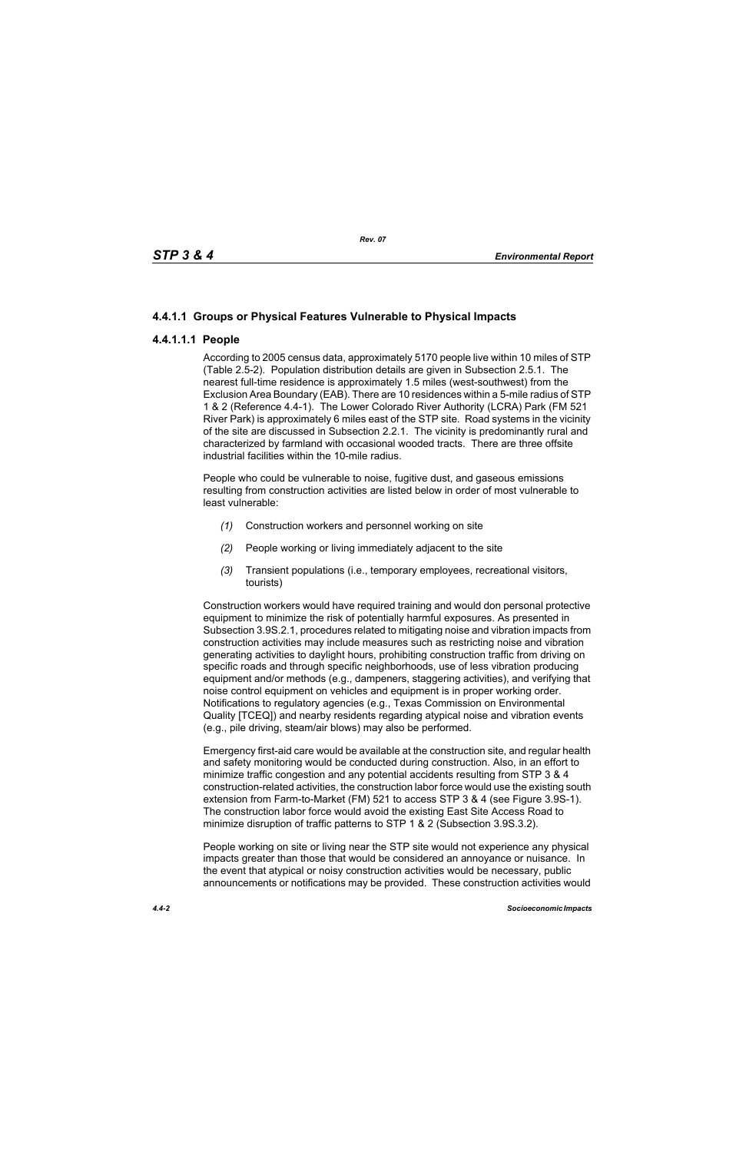# **4.4.1.1 Groups or Physical Features Vulnerable to Physical Impacts**

## **4.4.1.1.1 People**

According to 2005 census data, approximately 5170 people live within 10 miles of STP (Table 2.5-2). Population distribution details are given in Subsection 2.5.1. The nearest full-time residence is approximately 1.5 miles (west-southwest) from the Exclusion Area Boundary (EAB). There are 10 residences within a 5-mile radius of STP 1 & 2 (Reference 4.4-1). The Lower Colorado River Authority (LCRA) Park (FM 521 River Park) is approximately 6 miles east of the STP site. Road systems in the vicinity of the site are discussed in Subsection 2.2.1. The vicinity is predominantly rural and characterized by farmland with occasional wooded tracts. There are three offsite industrial facilities within the 10-mile radius.

People who could be vulnerable to noise, fugitive dust, and gaseous emissions resulting from construction activities are listed below in order of most vulnerable to least vulnerable:

- *(1)* Construction workers and personnel working on site
- *(2)* People working or living immediately adjacent to the site
- *(3)* Transient populations (i.e., temporary employees, recreational visitors, tourists)

Construction workers would have required training and would don personal protective equipment to minimize the risk of potentially harmful exposures. As presented in Subsection 3.9S.2.1, procedures related to mitigating noise and vibration impacts from construction activities may include measures such as restricting noise and vibration generating activities to daylight hours, prohibiting construction traffic from driving on specific roads and through specific neighborhoods, use of less vibration producing equipment and/or methods (e.g., dampeners, staggering activities), and verifying that noise control equipment on vehicles and equipment is in proper working order. Notifications to regulatory agencies (e.g., Texas Commission on Environmental Quality [TCEQ]) and nearby residents regarding atypical noise and vibration events (e.g., pile driving, steam/air blows) may also be performed.

Emergency first-aid care would be available at the construction site, and regular health and safety monitoring would be conducted during construction. Also, in an effort to minimize traffic congestion and any potential accidents resulting from STP 3 & 4 construction-related activities, the construction labor force would use the existing south extension from Farm-to-Market (FM) 521 to access STP 3 & 4 (see Figure 3.9S-1). The construction labor force would avoid the existing East Site Access Road to minimize disruption of traffic patterns to STP 1 & 2 (Subsection 3.9S.3.2).

People working on site or living near the STP site would not experience any physical impacts greater than those that would be considered an annoyance or nuisance. In the event that atypical or noisy construction activities would be necessary, public announcements or notifications may be provided. These construction activities would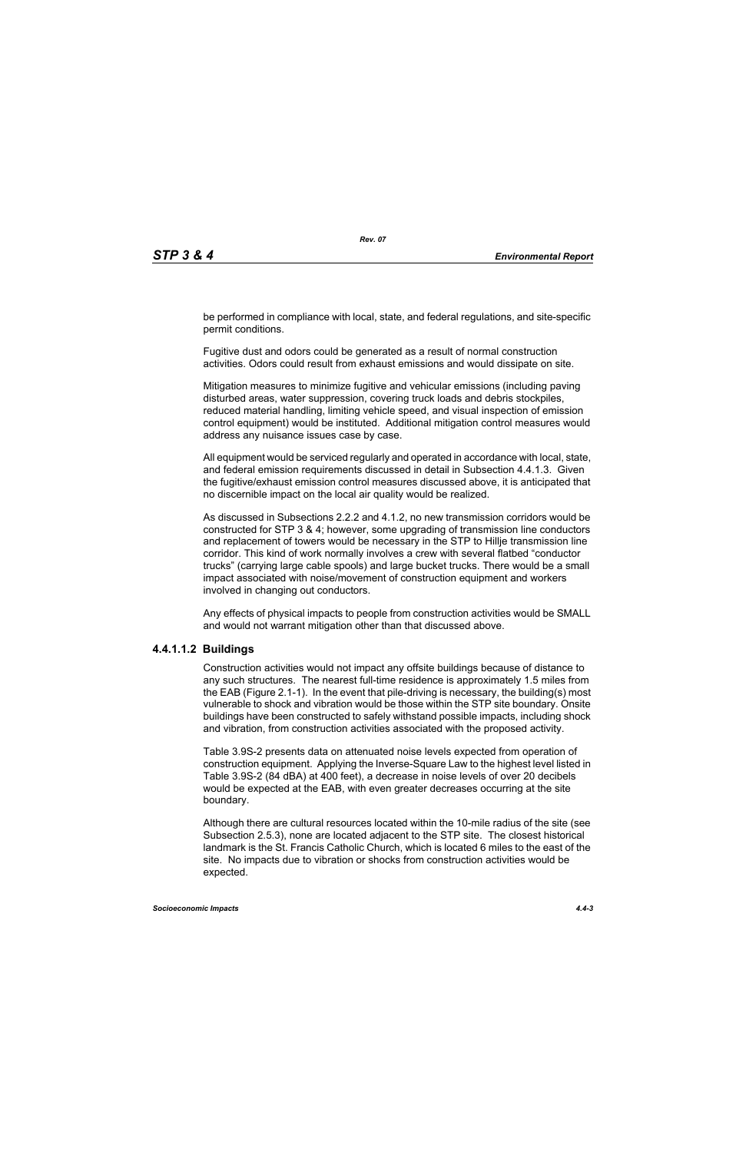be performed in compliance with local, state, and federal regulations, and site-specific permit conditions.

Fugitive dust and odors could be generated as a result of normal construction activities. Odors could result from exhaust emissions and would dissipate on site.

Mitigation measures to minimize fugitive and vehicular emissions (including paving disturbed areas, water suppression, covering truck loads and debris stockpiles, reduced material handling, limiting vehicle speed, and visual inspection of emission control equipment) would be instituted. Additional mitigation control measures would address any nuisance issues case by case.

All equipment would be serviced regularly and operated in accordance with local, state, and federal emission requirements discussed in detail in Subsection 4.4.1.3. Given the fugitive/exhaust emission control measures discussed above, it is anticipated that no discernible impact on the local air quality would be realized.

As discussed in Subsections 2.2.2 and 4.1.2, no new transmission corridors would be constructed for STP 3 & 4; however, some upgrading of transmission line conductors and replacement of towers would be necessary in the STP to Hillje transmission line corridor. This kind of work normally involves a crew with several flatbed "conductor trucks" (carrying large cable spools) and large bucket trucks. There would be a small impact associated with noise/movement of construction equipment and workers involved in changing out conductors.

Any effects of physical impacts to people from construction activities would be SMALL and would not warrant mitigation other than that discussed above.

## **4.4.1.1.2 Buildings**

Construction activities would not impact any offsite buildings because of distance to any such structures. The nearest full-time residence is approximately 1.5 miles from the EAB (Figure 2.1-1). In the event that pile-driving is necessary, the building(s) most vulnerable to shock and vibration would be those within the STP site boundary. Onsite buildings have been constructed to safely withstand possible impacts, including shock and vibration, from construction activities associated with the proposed activity.

Table 3.9S-2 presents data on attenuated noise levels expected from operation of construction equipment. Applying the Inverse-Square Law to the highest level listed in Table 3.9S-2 (84 dBA) at 400 feet), a decrease in noise levels of over 20 decibels would be expected at the EAB, with even greater decreases occurring at the site boundary.

Although there are cultural resources located within the 10-mile radius of the site (see Subsection 2.5.3), none are located adjacent to the STP site. The closest historical landmark is the St. Francis Catholic Church, which is located 6 miles to the east of the site. No impacts due to vibration or shocks from construction activities would be expected.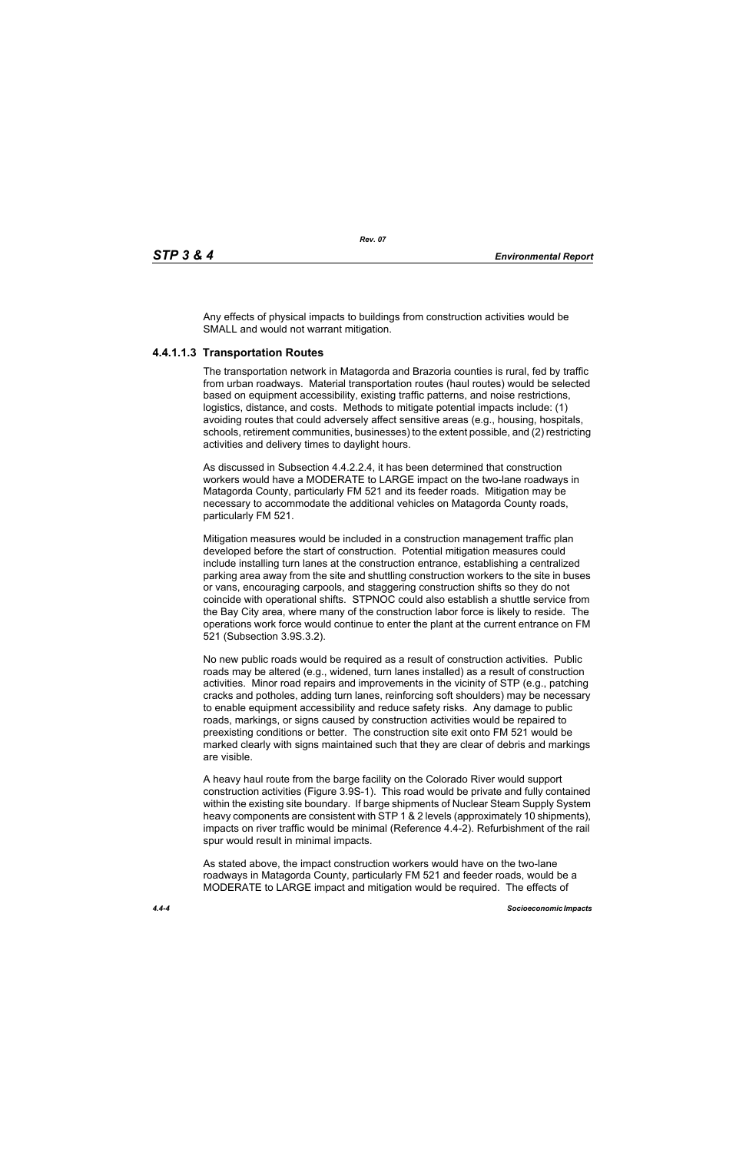Any effects of physical impacts to buildings from construction activities would be SMALL and would not warrant mitigation.

## **4.4.1.1.3 Transportation Routes**

The transportation network in Matagorda and Brazoria counties is rural, fed by traffic from urban roadways. Material transportation routes (haul routes) would be selected based on equipment accessibility, existing traffic patterns, and noise restrictions, logistics, distance, and costs. Methods to mitigate potential impacts include: (1) avoiding routes that could adversely affect sensitive areas (e.g., housing, hospitals, schools, retirement communities, businesses) to the extent possible, and (2) restricting activities and delivery times to daylight hours.

As discussed in Subsection 4.4.2.2.4, it has been determined that construction workers would have a MODERATE to LARGE impact on the two-lane roadways in Matagorda County, particularly FM 521 and its feeder roads. Mitigation may be necessary to accommodate the additional vehicles on Matagorda County roads, particularly FM 521.

Mitigation measures would be included in a construction management traffic plan developed before the start of construction. Potential mitigation measures could include installing turn lanes at the construction entrance, establishing a centralized parking area away from the site and shuttling construction workers to the site in buses or vans, encouraging carpools, and staggering construction shifts so they do not coincide with operational shifts. STPNOC could also establish a shuttle service from the Bay City area, where many of the construction labor force is likely to reside. The operations work force would continue to enter the plant at the current entrance on FM 521 (Subsection 3.9S.3.2).

No new public roads would be required as a result of construction activities. Public roads may be altered (e.g., widened, turn lanes installed) as a result of construction activities. Minor road repairs and improvements in the vicinity of STP (e.g., patching cracks and potholes, adding turn lanes, reinforcing soft shoulders) may be necessary to enable equipment accessibility and reduce safety risks. Any damage to public roads, markings, or signs caused by construction activities would be repaired to preexisting conditions or better. The construction site exit onto FM 521 would be marked clearly with signs maintained such that they are clear of debris and markings are visible.

A heavy haul route from the barge facility on the Colorado River would support construction activities (Figure 3.9S-1). This road would be private and fully contained within the existing site boundary. If barge shipments of Nuclear Steam Supply System heavy components are consistent with STP 1 & 2 levels (approximately 10 shipments). impacts on river traffic would be minimal (Reference 4.4-2). Refurbishment of the rail spur would result in minimal impacts.

As stated above, the impact construction workers would have on the two-lane roadways in Matagorda County, particularly FM 521 and feeder roads, would be a MODERATE to LARGE impact and mitigation would be required. The effects of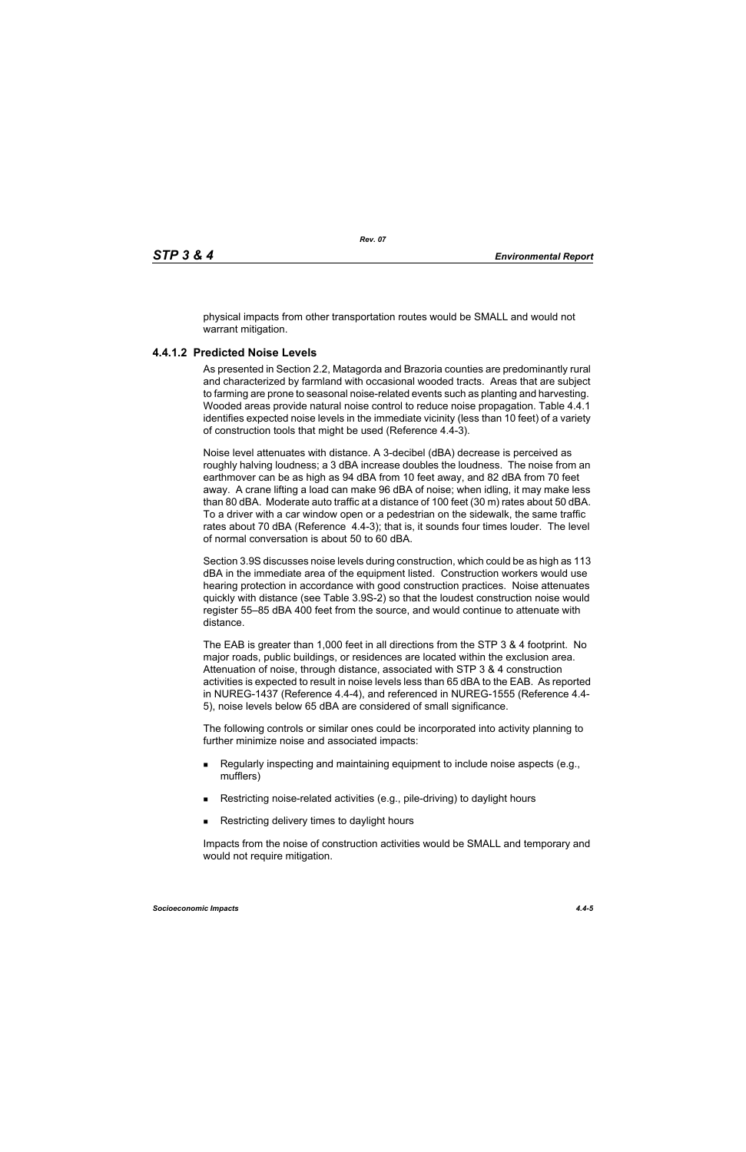physical impacts from other transportation routes would be SMALL and would not warrant mitigation.

## **4.4.1.2 Predicted Noise Levels**

As presented in Section 2.2, Matagorda and Brazoria counties are predominantly rural and characterized by farmland with occasional wooded tracts. Areas that are subject to farming are prone to seasonal noise-related events such as planting and harvesting. Wooded areas provide natural noise control to reduce noise propagation. Table 4.4.1 identifies expected noise levels in the immediate vicinity (less than 10 feet) of a variety of construction tools that might be used (Reference 4.4-3).

Noise level attenuates with distance. A 3-decibel (dBA) decrease is perceived as roughly halving loudness; a 3 dBA increase doubles the loudness. The noise from an earthmover can be as high as 94 dBA from 10 feet away, and 82 dBA from 70 feet away. A crane lifting a load can make 96 dBA of noise; when idling, it may make less than 80 dBA. Moderate auto traffic at a distance of 100 feet (30 m) rates about 50 dBA. To a driver with a car window open or a pedestrian on the sidewalk, the same traffic rates about 70 dBA (Reference 4.4-3); that is, it sounds four times louder. The level of normal conversation is about 50 to 60 dBA.

Section 3.9S discusses noise levels during construction, which could be as high as 113 dBA in the immediate area of the equipment listed. Construction workers would use hearing protection in accordance with good construction practices. Noise attenuates quickly with distance (see Table 3.9S-2) so that the loudest construction noise would register 55–85 dBA 400 feet from the source, and would continue to attenuate with distance.

The EAB is greater than 1,000 feet in all directions from the STP 3 & 4 footprint. No major roads, public buildings, or residences are located within the exclusion area. Attenuation of noise, through distance, associated with STP 3 & 4 construction activities is expected to result in noise levels less than 65 dBA to the EAB. As reported in NUREG-1437 (Reference 4.4-4), and referenced in NUREG-1555 (Reference 4.4- 5), noise levels below 65 dBA are considered of small significance.

The following controls or similar ones could be incorporated into activity planning to further minimize noise and associated impacts:

- Regularly inspecting and maintaining equipment to include noise aspects (e.g., mufflers)
- Restricting noise-related activities (e.g., pile-driving) to daylight hours
- Restricting delivery times to daylight hours

Impacts from the noise of construction activities would be SMALL and temporary and would not require mitigation.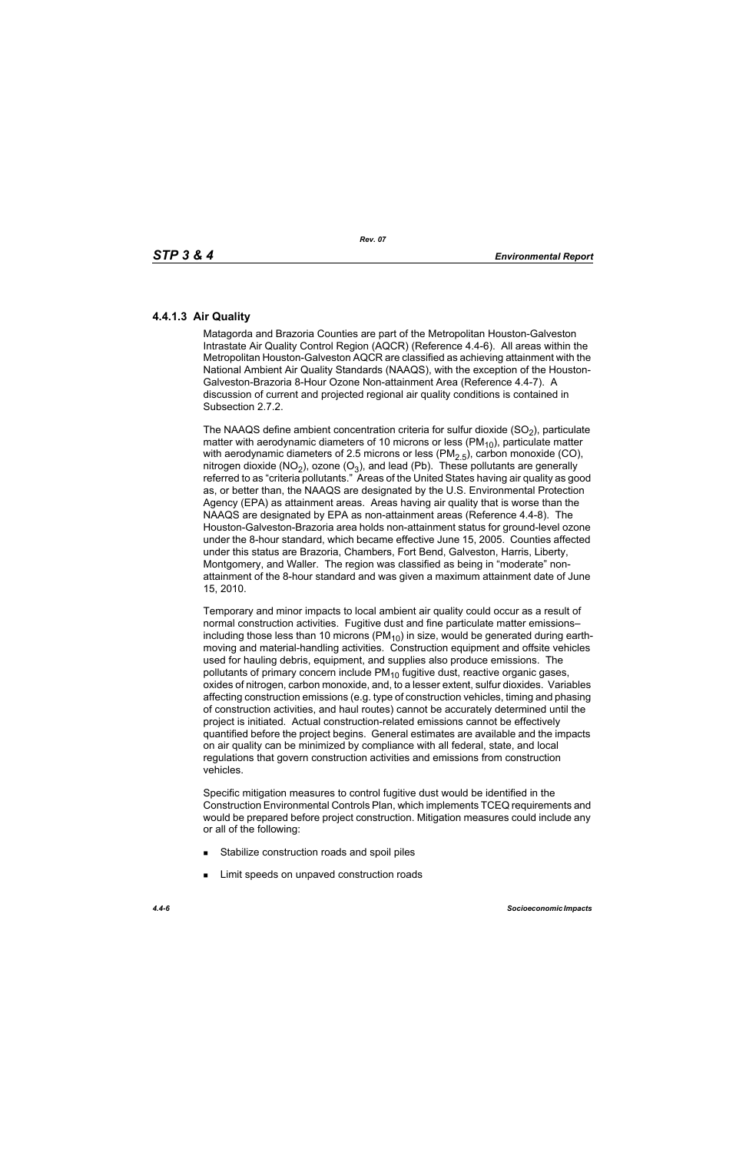## **4.4.1.3 Air Quality**

Matagorda and Brazoria Counties are part of the Metropolitan Houston-Galveston Intrastate Air Quality Control Region (AQCR) (Reference 4.4-6). All areas within the Metropolitan Houston-Galveston AQCR are classified as achieving attainment with the National Ambient Air Quality Standards (NAAQS), with the exception of the Houston-Galveston-Brazoria 8-Hour Ozone Non-attainment Area (Reference 4.4-7). A discussion of current and projected regional air quality conditions is contained in Subsection 2.7.2.

The NAAQS define ambient concentration criteria for sulfur dioxide  $(SO<sub>2</sub>)$ , particulate matter with aerodynamic diameters of 10 microns or less ( $PM_{10}$ ), particulate matter with aerodynamic diameters of 2.5 microns or less ( $PM<sub>2.5</sub>$ ), carbon monoxide (CO), nitrogen dioxide (NO<sub>2</sub>), ozone (O<sub>3</sub>), and lead (Pb). These pollutants are generally referred to as "criteria pollutants." Areas of the United States having air quality as good as, or better than, the NAAQS are designated by the U.S. Environmental Protection Agency (EPA) as attainment areas. Areas having air quality that is worse than the NAAQS are designated by EPA as non-attainment areas (Reference 4.4-8). The Houston-Galveston-Brazoria area holds non-attainment status for ground-level ozone under the 8-hour standard, which became effective June 15, 2005. Counties affected under this status are Brazoria, Chambers, Fort Bend, Galveston, Harris, Liberty, Montgomery, and Waller. The region was classified as being in "moderate" nonattainment of the 8-hour standard and was given a maximum attainment date of June 15, 2010.

Temporary and minor impacts to local ambient air quality could occur as a result of normal construction activities. Fugitive dust and fine particulate matter emissions– including those less than 10 microns ( $PM_{10}$ ) in size, would be generated during earthmoving and material-handling activities. Construction equipment and offsite vehicles used for hauling debris, equipment, and supplies also produce emissions. The pollutants of primary concern include  $PM_{10}$  fugitive dust, reactive organic gases, oxides of nitrogen, carbon monoxide, and, to a lesser extent, sulfur dioxides. Variables affecting construction emissions (e.g. type of construction vehicles, timing and phasing of construction activities, and haul routes) cannot be accurately determined until the project is initiated. Actual construction-related emissions cannot be effectively quantified before the project begins. General estimates are available and the impacts on air quality can be minimized by compliance with all federal, state, and local regulations that govern construction activities and emissions from construction vehicles.

Specific mitigation measures to control fugitive dust would be identified in the Construction Environmental Controls Plan, which implements TCEQ requirements and would be prepared before project construction. Mitigation measures could include any or all of the following:

- **Stabilize construction roads and spoil piles**
- **EXECUTE:** Limit speeds on unpaved construction roads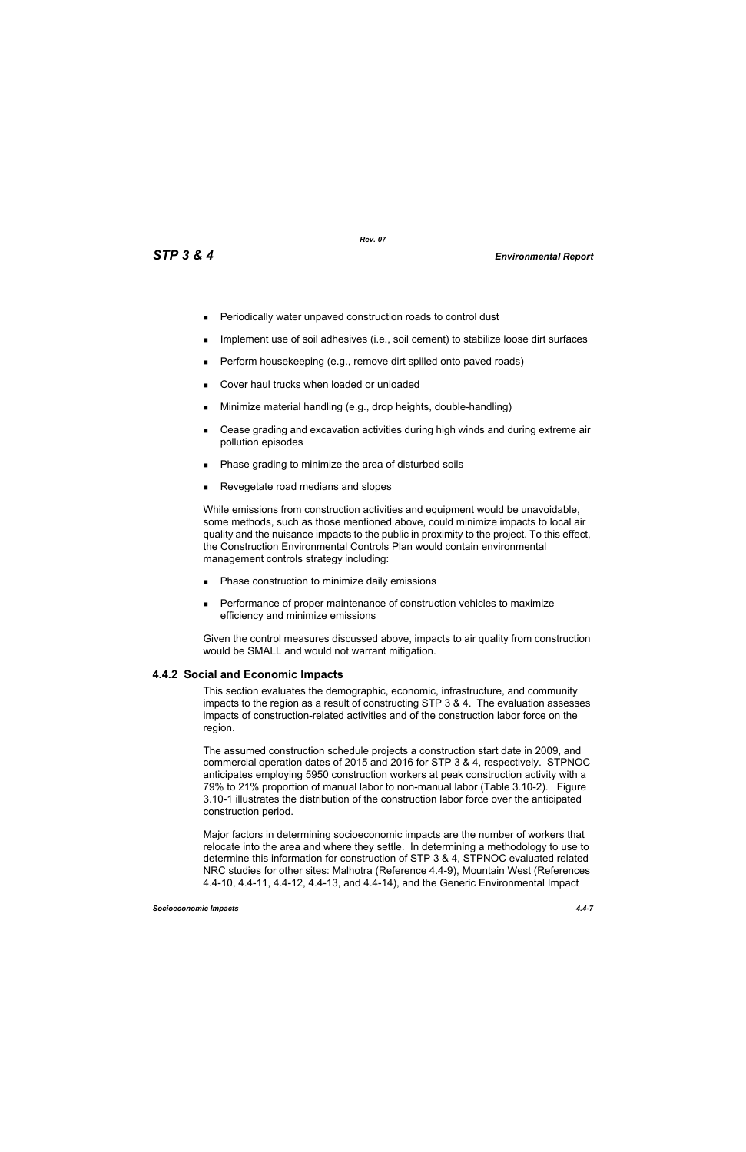- **Periodically water unpaved construction roads to control dust**
- **IMPLEMENT USE OF SOIL ADDES** (i.e., soil cement) to stabilize loose dirt surfaces
- $\blacksquare$  Perform housekeeping (e.g., remove dirt spilled onto paved roads)
- **Cover haul trucks when loaded or unloaded**
- **Minimize material handling (e.g., drop heights, double-handling)**
- Cease grading and excavation activities during high winds and during extreme air pollution episodes
- Phase grading to minimize the area of disturbed soils
- Revegetate road medians and slopes

While emissions from construction activities and equipment would be unavoidable, some methods, such as those mentioned above, could minimize impacts to local air quality and the nuisance impacts to the public in proximity to the project. To this effect, the Construction Environmental Controls Plan would contain environmental management controls strategy including:

- **Phase construction to minimize daily emissions**
- **Performance of proper maintenance of construction vehicles to maximize** efficiency and minimize emissions

[Given the control measures discussed above, impacts to air quality from construction](http://factfinder.census.gov/)  would be SMALL and would not warrant mitigation.

## **4.4.2 Social and Economic Impacts**

This section evaluates the demographic, economic, infrastructure, and community impacts to the region as a result of constructing STP 3 & 4. The evaluation assesses impacts of construction-related activities and of the construction labor force on the region.

The assumed construction schedule projects a construction start date in 2009, and commercial operation dates of 2015 and 2016 for STP 3 & 4, respectively. STPNOC anticipates employing 5950 construction workers at peak construction activity with a 79% to 21% proportion of manual labor to non-manual labor (Table 3.10-2). Figure 3.10-1 illustrates the distribution of the construction labor force over the anticipated construction period.

[Major factors in determining socioeconomic impacts are the number of workers that](http://factfinder.census.gov/)  relocate into the area and where they settle. In determining a methodology to use to determine this information for construction of STP 3 & 4, STPNOC evaluated related [NRC studies for other sites: Malhotra \(Reference 4.4-9\), Mountain West \(References](http://factfinder.census.gov/)  [4.4-10, 4.4-11, 4.4-12, 4.4-13, and 4.4-14\), and the Generic Environmental Impact](http://factfinder.census.gov/)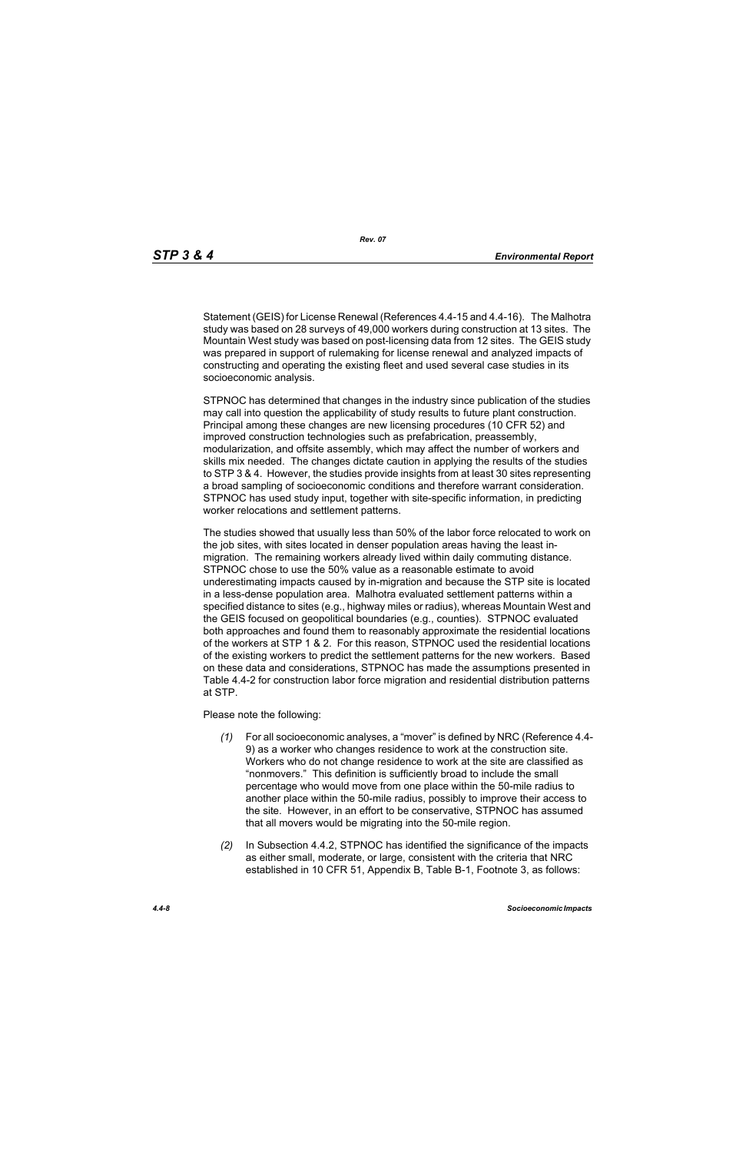[Statement \(GEIS\) for License Renewal \(References 4.4-15 and 4.4-16\). The Malhotra](http://factfinder.census.gov/)  study was based on 28 surveys of 49,000 workers during construction at 13 sites. The Mountain West study was based on post-licensing data from 12 sites. The GEIS study was prepared in support of rulemaking for license renewal and analyzed impacts of constructing and operating the existing fleet and used several case studies in its socioeconomic analysis.

STPNOC has determined that changes in the industry since publication of the studies may call into question the applicability of study results to future plant construction. Principal among these changes are new licensing procedures (10 CFR 52) and improved construction technologies such as prefabrication, preassembly, modularization, and offsite assembly, which may affect the number of workers and skills mix needed. The changes dictate caution in applying the results of the studies to STP 3 & 4. However, the studies provide insights from at least 30 sites representing a broad sampling of socioeconomic conditions and therefore warrant consideration. STPNOC has used study input, together with site-specific information, in predicting worker relocations and settlement patterns.

The studies showed that usually less than 50% of the labor force relocated to work on the job sites, with sites located in denser population areas having the least inmigration. The remaining workers already lived within daily commuting distance. STPNOC chose to use the 50% value as a reasonable estimate to avoid underestimating impacts caused by in-migration and because the STP site is located in a less-dense population area. Malhotra evaluated settlement patterns within a specified distance to sites (e.g., highway miles or radius), whereas Mountain West and the GEIS focused on geopolitical boundaries (e.g., counties). STPNOC evaluated both approaches and found them to reasonably approximate the residential locations of the workers at STP 1 & 2. For this reason, STPNOC used the residential locations of the existing workers to predict the settlement patterns for the new workers. Based on these data and considerations, STPNOC has made the assumptions presented in Table 4.4-2 for construction labor force migration and residential distribution patterns at STP.

Please note the following:

- *(1)* For all socioeconomic analyses, a "mover" is defined by NRC (Reference 4.4- 9) as a worker who changes residence to work at the construction site. Workers who do not change residence to work at the site are classified as "nonmovers." This definition is sufficiently broad to include the small percentage who would move from one place within the 50-mile radius to another place within the 50-mile radius, possibly to improve their access to the site. However, in an effort to be conservative, STPNOC has assumed that all movers would be migrating into the 50-mile region.
- *(2)* In Subsection 4.4.2, STPNOC has identified the significance of the impacts as either small, moderate, or large, consistent with the criteria that NRC established in 10 CFR 51, Appendix B, Table B-1, Footnote 3, as follows: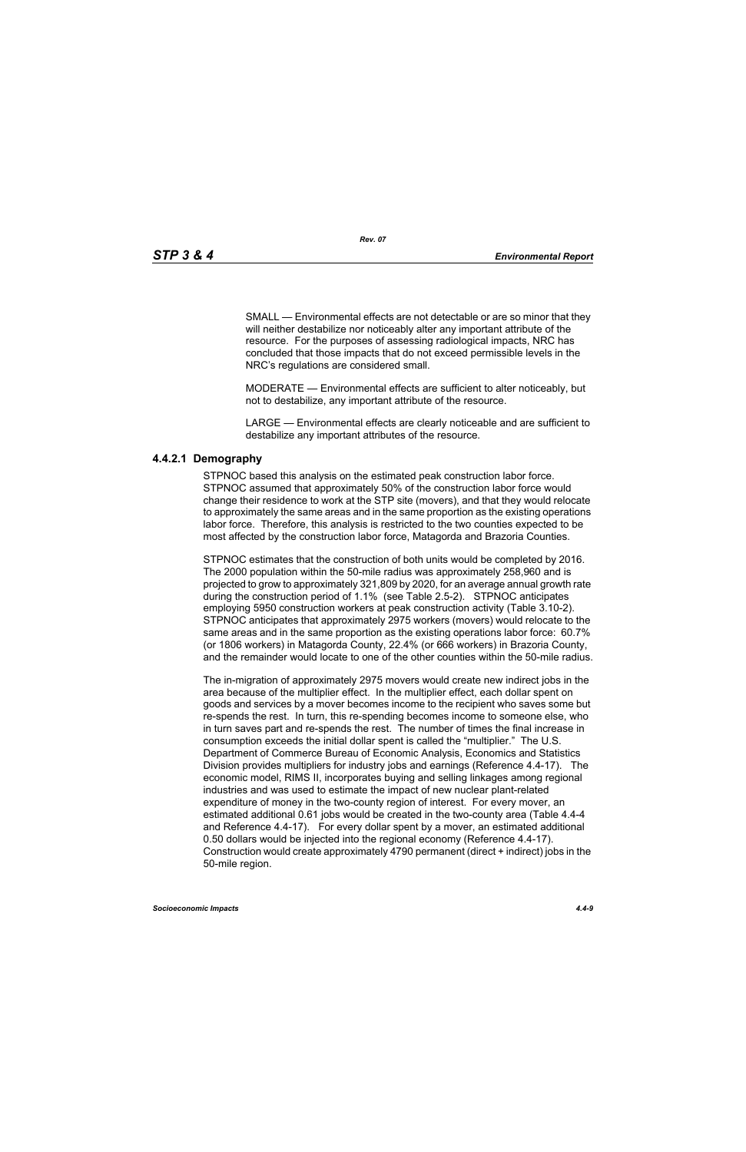SMALL — Environmental effects are not detectable or are so minor that they will neither destabilize nor noticeably alter any important attribute of the resource. For the purposes of assessing radiological impacts, NRC has concluded that those impacts that do not exceed permissible levels in the NRC's regulations are considered small.

MODERATE — Environmental effects are sufficient to alter noticeably, but not to destabilize, any important attribute of the resource.

LARGE — Environmental effects are clearly noticeable and are sufficient to destabilize any important attributes of the resource.

## **4.4.2.1 Demography**

STPNOC based this analysis on the estimated peak construction labor force. STPNOC assumed that approximately 50% of the construction labor force would change their residence to work at the STP site (movers), and that they would relocate to approximately the same areas and in the same proportion as the existing operations labor force. Therefore, this analysis is restricted to the two counties expected to be most affected by the construction labor force, Matagorda and Brazoria Counties.

STPNOC estimates that the construction of both units would be completed by 2016. The 2000 population within the 50-mile radius was approximately 258,960 and is projected to grow to approximately 321,809 by 2020, for an average annual growth rate during the construction period of 1.1% (see Table 2.5-2). STPNOC anticipates employing 5950 construction workers at peak construction activity (Table 3.10-2). STPNOC anticipates that approximately 2975 workers (movers) would relocate to the same areas and in the same proportion as the existing operations labor force: 60.7% (or 1806 workers) in Matagorda County, 22.4% (or 666 workers) in Brazoria County, and the remainder would locate to one of the other counties within the 50-mile radius.

The in-migration of approximately 2975 movers would create new indirect jobs in the area because of the multiplier effect. In the multiplier effect, each dollar spent on goods and services by a mover becomes income to the recipient who saves some but re-spends the rest. In turn, this re-spending becomes income to someone else, who in turn saves part and re-spends the rest. The number of times the final increase in consumption exceeds the initial dollar spent is called the "multiplier." The U.S. Department of Commerce Bureau of Economic Analysis, Economics and Statistics Division provides multipliers for industry jobs and earnings (Reference 4.4-17). The economic model, RIMS II, incorporates buying and selling linkages among regional industries and was used to estimate the impact of new nuclear plant-related expenditure of money in the two-county region of interest. For every mover, an estimated additional 0.61 jobs would be created in the two-county area (Table 4.4-4 and Reference 4.4-17). For every dollar spent by a mover, an estimated additional 0.50 dollars would be injected into the regional economy (Reference 4.4-17). Construction would create approximately 4790 permanent (direct + indirect) jobs in the 50-mile region.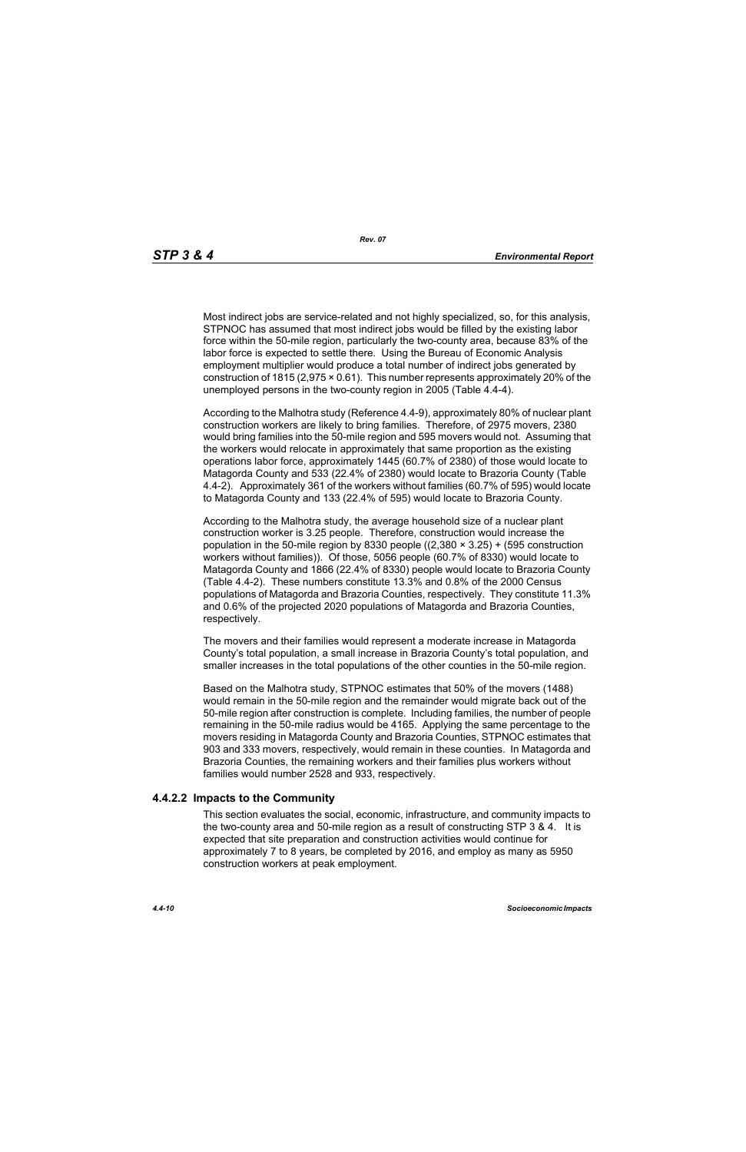Most indirect jobs are service-related and not highly specialized, so, for this analysis, STPNOC has assumed that most indirect jobs would be filled by the existing labor force within the 50-mile region, particularly the two-county area, because 83% of the labor force is expected to settle there. Using the Bureau of Economic Analysis employment multiplier would produce a total number of indirect jobs generated by construction of 1815 (2,975 × 0.61). This number represents approximately 20% of the unemployed persons in the two-county region in 2005 (Table 4.4-4).

According to the Malhotra study (Reference 4.4-9), approximately 80% of nuclear plant construction workers are likely to bring families. Therefore, of 2975 movers, 2380 would bring families into the 50-mile region and 595 movers would not. Assuming that the workers would relocate in approximately that same proportion as the existing operations labor force, approximately 1445 (60.7% of 2380) of those would locate to Matagorda County and 533 (22.4% of 2380) would locate to Brazoria County (Table 4.4-2). Approximately 361 of the workers without families (60.7% of 595) would locate to Matagorda County and 133 (22.4% of 595) would locate to Brazoria County.

According to the Malhotra study, the average household size of a nuclear plant construction worker is 3.25 people. Therefore, construction would increase the population in the 50-mile region by 8330 people  $((2,380 \times 3.25) + (595$  construction workers without families)). Of those, 5056 people (60.7% of 8330) would locate to Matagorda County and 1866 (22.4% of 8330) people would locate to Brazoria County (Table 4.4-2). These numbers constitute 13.3% and 0.8% of the 2000 Census populations of Matagorda and Brazoria Counties, respectively. They constitute 11.3% and 0.6% of the projected 2020 populations of Matagorda and Brazoria Counties, respectively.

The movers and their families would represent a moderate increase in Matagorda County's total population, a small increase in Brazoria County's total population, and smaller increases in the total populations of the other counties in the 50-mile region.

Based on the Malhotra study, STPNOC estimates that 50% of the movers (1488) would remain in the 50-mile region and the remainder would migrate back out of the 50-mile region after construction is complete. Including families, the number of people remaining in the 50-mile radius would be 4165. Applying the same percentage to the movers residing in Matagorda County and Brazoria Counties, STPNOC estimates that 903 and 333 movers, respectively, would remain in these counties. In Matagorda and Brazoria Counties, the remaining workers and their families plus workers without families would number 2528 and 933, respectively.

#### **4.4.2.2 Impacts to the Community**

This section evaluates the social, economic, infrastructure, and community impacts to the two-county area and 50-mile region as a result of constructing STP 3 & 4. It is expected that site preparation and construction activities would continue for approximately 7 to 8 years, be completed by 2016, and employ as many as 5950 construction workers at peak employment.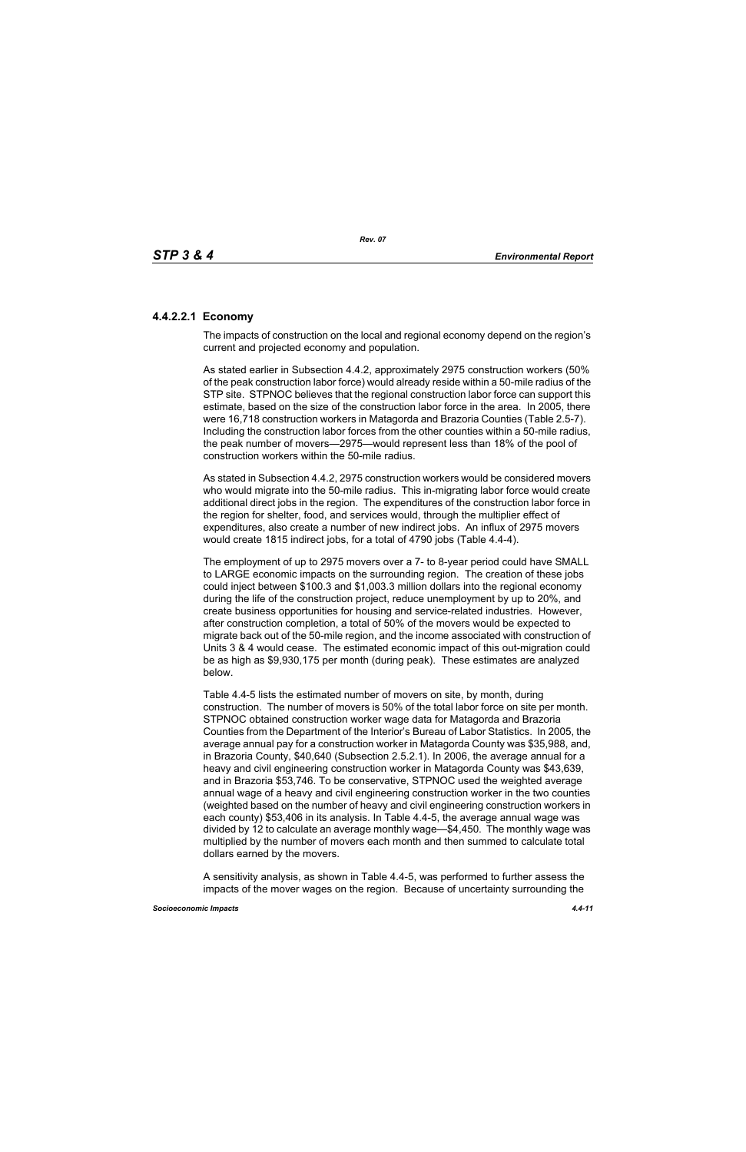## **4.4.2.2.1 Economy**

The impacts of construction on the local and regional economy depend on the region's current and projected economy and population.

As stated earlier in Subsection 4.4.2, approximately 2975 construction workers (50% of the peak construction labor force) would already reside within a 50-mile radius of the STP site. STPNOC believes that the regional construction labor force can support this estimate, based on the size of the construction labor force in the area. In 2005, there were 16,718 construction workers in Matagorda and Brazoria Counties (Table 2.5-7). Including the construction labor forces from the other counties within a 50-mile radius, the peak number of movers—2975—would represent less than 18% of the pool of construction workers within the 50-mile radius.

As stated in Subsection 4.4.2, 2975 construction workers would be considered movers who would migrate into the 50-mile radius. This in-migrating labor force would create additional direct jobs in the region. The expenditures of the construction labor force in the region for shelter, food, and services would, through the multiplier effect of expenditures, also create a number of new indirect jobs. An influx of 2975 movers would create 1815 indirect jobs, for a total of 4790 jobs (Table 4.4-4).

The employment of up to 2975 movers over a 7- to 8-year period could have SMALL to LARGE economic impacts on the surrounding region. The creation of these jobs could inject between \$100.3 and \$1,003.3 million dollars into the regional economy during the life of the construction project, reduce unemployment by up to 20%, and create business opportunities for housing and service-related industries. However, after construction completion, a total of 50% of the movers would be expected to migrate back out of the 50-mile region, and the income associated with construction of Units 3 & 4 would cease. The estimated economic impact of this out-migration could be as high as \$9,930,175 per month (during peak). These estimates are analyzed below.

Table 4.4-5 lists the estimated number of movers on site, by month, during construction. The number of movers is 50% of the total labor force on site per month. STPNOC obtained construction worker wage data for Matagorda and Brazoria Counties from the Department of the Interior's Bureau of Labor Statistics. In 2005, the average annual pay for a construction worker in Matagorda County was \$35,988, and, in Brazoria County, \$40,640 (Subsection 2.5.2.1). In 2006, the average annual for a heavy and civil engineering construction worker in Matagorda County was \$43,639, and in Brazoria \$53,746. To be conservative, STPNOC used the weighted average annual wage of a heavy and civil engineering construction worker in the two counties (weighted based on the number of heavy and civil engineering construction workers in each county) \$53,406 in its analysis. In Table 4.4-5, the average annual wage was divided by 12 to calculate an average monthly wage—\$4,450. The monthly wage was multiplied by the number of movers each month and then summed to calculate total dollars earned by the movers.

A sensitivity analysis, as shown in Table 4.4-5, was performed to further assess the impacts of the mover wages on the region. Because of uncertainty surrounding the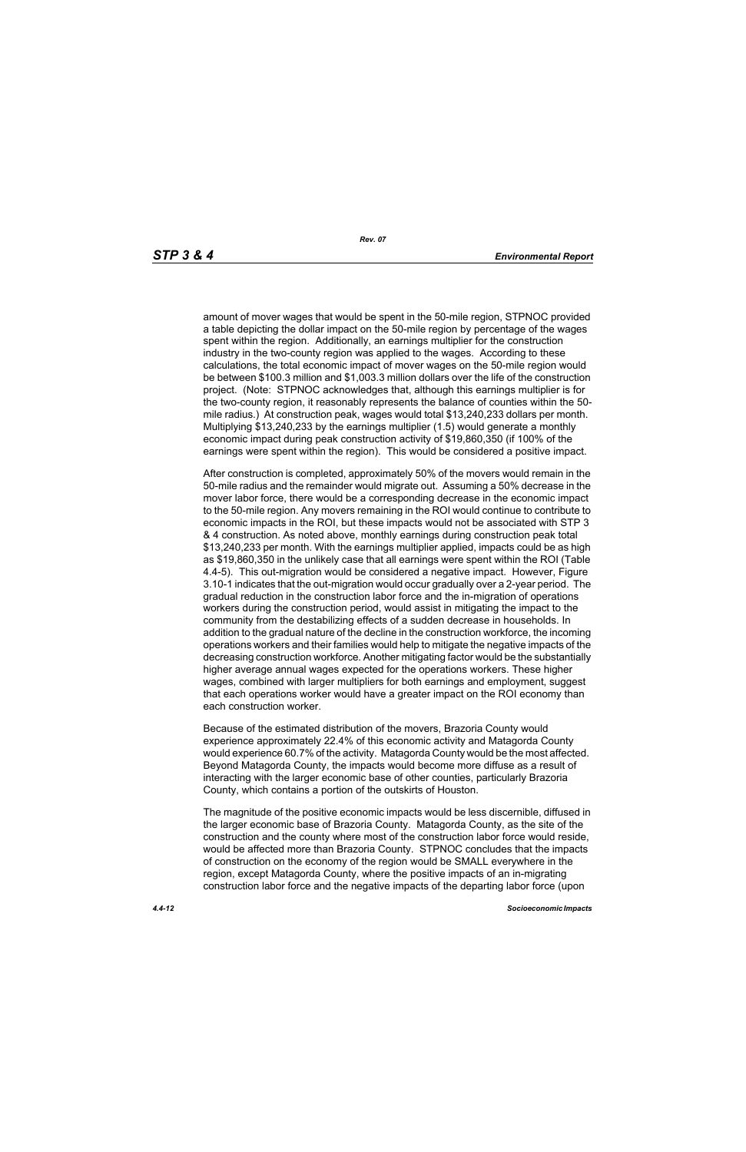amount of mover wages that would be spent in the 50-mile region, STPNOC provided a table depicting the dollar impact on the 50-mile region by percentage of the wages spent within the region. Additionally, an earnings multiplier for the construction industry in the two-county region was applied to the wages. According to these calculations, the total economic impact of mover wages on the 50-mile region would be between \$100.3 million and \$1,003.3 million dollars over the life of the construction project. (Note: STPNOC acknowledges that, although this earnings multiplier is for the two-county region, it reasonably represents the balance of counties within the 50 mile radius.) At construction peak, wages would total \$13,240,233 dollars per month. Multiplying \$13,240,233 by the earnings multiplier (1.5) would generate a monthly economic impact during peak construction activity of \$19,860,350 (if 100% of the earnings were spent within the region). This would be considered a positive impact.

After construction is completed, approximately 50% of the movers would remain in the 50-mile radius and the remainder would migrate out. Assuming a 50% decrease in the mover labor force, there would be a corresponding decrease in the economic impact to the 50-mile region. Any movers remaining in the ROI would continue to contribute to economic impacts in the ROI, but these impacts would not be associated with STP 3 & 4 construction. As noted above, monthly earnings during construction peak total \$13,240,233 per month. With the earnings multiplier applied, impacts could be as high as \$19,860,350 in the unlikely case that all earnings were spent within the ROI (Table 4.4-5). This out-migration would be considered a negative impact. However, Figure 3.10-1 indicates that the out-migration would occur gradually over a 2-year period. The gradual reduction in the construction labor force and the in-migration of operations workers during the construction period, would assist in mitigating the impact to the community from the destabilizing effects of a sudden decrease in households. In addition to the gradual nature of the decline in the construction workforce, the incoming operations workers and their families would help to mitigate the negative impacts of the decreasing construction workforce. Another mitigating factor would be the substantially higher average annual wages expected for the operations workers. These higher wages, combined with larger multipliers for both earnings and employment, suggest that each operations worker would have a greater impact on the ROI economy than each construction worker.

Because of the estimated distribution of the movers, Brazoria County would experience approximately 22.4% of this economic activity and Matagorda County would experience 60.7% of the activity. Matagorda County would be the most affected. Beyond Matagorda County, the impacts would become more diffuse as a result of interacting with the larger economic base of other counties, particularly Brazoria County, which contains a portion of the outskirts of Houston.

The magnitude of the positive economic impacts would be less discernible, diffused in the larger economic base of Brazoria County. Matagorda County, as the site of the construction and the county where most of the construction labor force would reside, would be affected more than Brazoria County. STPNOC concludes that the impacts of construction on the economy of the region would be SMALL everywhere in the region, except Matagorda County, where the positive impacts of an in-migrating construction labor force and the negative impacts of the departing labor force (upon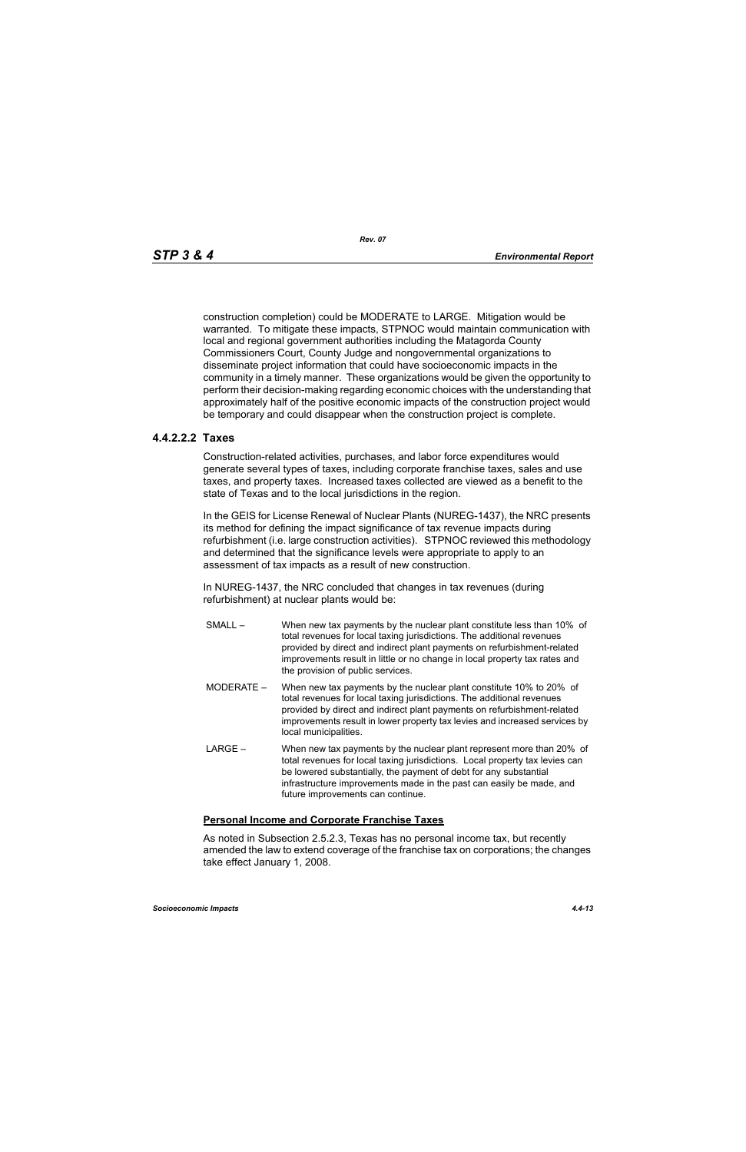construction completion) could be MODERATE to LARGE. Mitigation would be warranted. To mitigate these impacts, STPNOC would maintain communication with local and regional government authorities including the Matagorda County Commissioners Court, County Judge and nongovernmental organizations to disseminate project information that could have socioeconomic impacts in the community in a timely manner. These organizations would be given the opportunity to perform their decision-making regarding economic choices with the understanding that approximately half of the positive economic impacts of the construction project would be temporary and could disappear when the construction project is complete.

## **4.4.2.2.2 Taxes**

Construction-related activities, purchases, and labor force expenditures would generate several types of taxes, including corporate franchise taxes, sales and use taxes, and property taxes. Increased taxes collected are viewed as a benefit to the state of Texas and to the local jurisdictions in the region.

In the GEIS for License Renewal of Nuclear Plants (NUREG-1437), the NRC presents its method for defining the impact significance of tax revenue impacts during refurbishment (i.e. large construction activities). STPNOC reviewed this methodology and determined that the significance levels were appropriate to apply to an assessment of tax impacts as a result of new construction.

In NUREG-1437, the NRC concluded that changes in tax revenues (during refurbishment) at nuclear plants would be:

- SMALL When new tax payments by the nuclear plant constitute less than 10% of total revenues for local taxing jurisdictions. The additional revenues provided by direct and indirect plant payments on refurbishment-related improvements result in little or no change in local property tax rates and the provision of public services.
- MODERATE When new tax payments by the nuclear plant constitute 10% to 20% of total revenues for local taxing jurisdictions. The additional revenues provided by direct and indirect plant payments on refurbishment-related improvements result in lower property tax levies and increased services by local municipalities.
- LARGE When new tax payments by the nuclear plant represent more than 20% of total revenues for local taxing jurisdictions. Local property tax levies can be lowered substantially, the payment of debt for any substantial infrastructure improvements made in the past can easily be made, and future improvements can continue.

## **Personal Income and Corporate Franchise Taxes**

As noted in Subsection 2.5.2.3, Texas has no personal income tax, but recently amended the law to extend coverage of the franchise tax on corporations; the changes take effect January 1, 2008.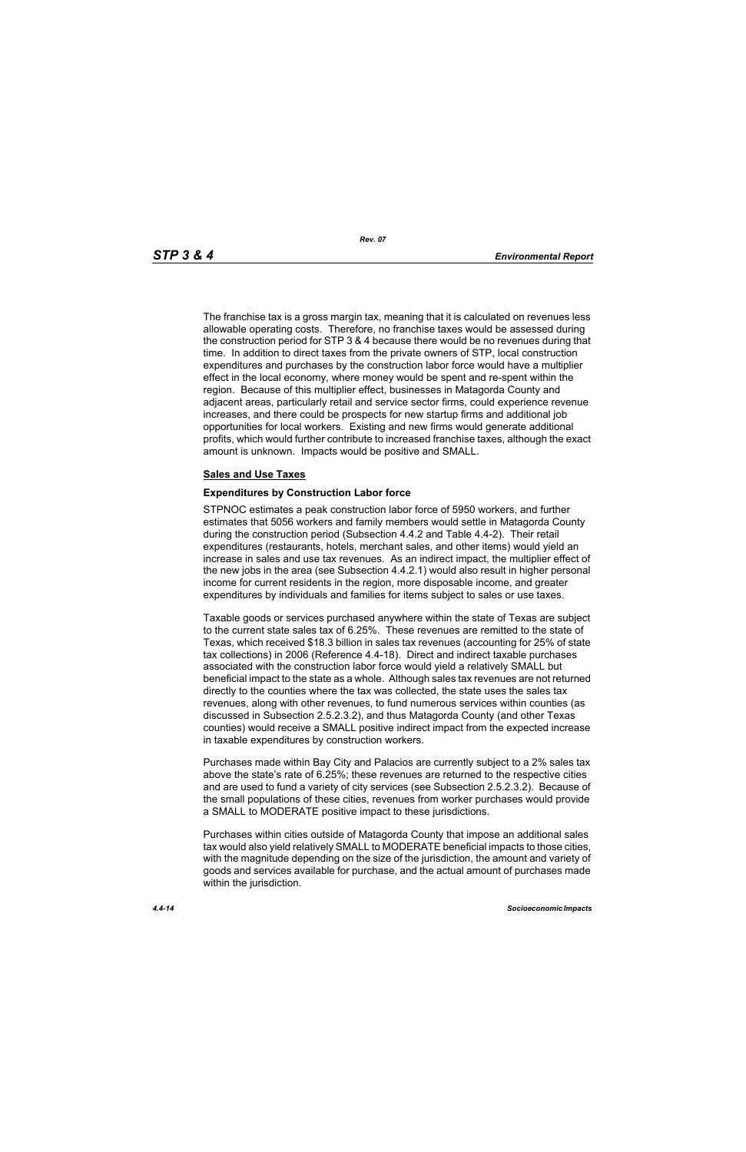The franchise tax is a gross margin tax, meaning that it is calculated on revenues less allowable operating costs. Therefore, no franchise taxes would be assessed during the construction period for STP 3 & 4 because there would be no revenues during that time. In addition to direct taxes from the private owners of STP, local construction expenditures and purchases by the construction labor force would have a multiplier effect in the local economy, where money would be spent and re-spent within the region. Because of this multiplier effect, businesses in Matagorda County and adjacent areas, particularly retail and service sector firms, could experience revenue increases, and there could be prospects for new startup firms and additional job opportunities for local workers. Existing and new firms would generate additional profits, which would further contribute to increased franchise taxes, although the exact amount is unknown. Impacts would be positive and SMALL.

#### **Sales and Use Taxes**

#### **Expenditures by Construction Labor force**

STPNOC estimates a peak construction labor force of 5950 workers, and further estimates that 5056 workers and family members would settle in Matagorda County during the construction period (Subsection 4.4.2 and Table 4.4-2). Their retail expenditures (restaurants, hotels, merchant sales, and other items) would yield an increase in sales and use tax revenues. As an indirect impact, the multiplier effect of the new jobs in the area (see Subsection 4.4.2.1) would also result in higher personal income for current residents in the region, more disposable income, and greater expenditures by individuals and families for items subject to sales or use taxes.

Taxable goods or services purchased anywhere within the state of Texas are subject to the current state sales tax of 6.25%. These revenues are remitted to the state of Texas, which received \$18.3 billion in sales tax revenues (accounting for 25% of state tax collections) in 2006 (Reference 4.4-18). Direct and indirect taxable purchases associated with the construction labor force would yield a relatively SMALL but beneficial impact to the state as a whole. Although sales tax revenues are not returned directly to the counties where the tax was collected, the state uses the sales tax revenues, along with other revenues, to fund numerous services within counties (as discussed in Subsection 2.5.2.3.2), and thus Matagorda County (and other Texas counties) would receive a SMALL positive indirect impact from the expected increase in taxable expenditures by construction workers.

Purchases made within Bay City and Palacios are currently subject to a 2% sales tax above the state's rate of 6.25%; these revenues are returned to the respective cities and are used to fund a variety of city services (see Subsection 2.5.2.3.2). Because of the small populations of these cities, revenues from worker purchases would provide a SMALL to MODERATE positive impact to these jurisdictions.

Purchases within cities outside of Matagorda County that impose an additional sales tax would also yield relatively SMALL to MODERATE beneficial impacts to those cities, with the magnitude depending on the size of the jurisdiction, the amount and variety of goods and services available for purchase, and the actual amount of purchases made within the jurisdiction.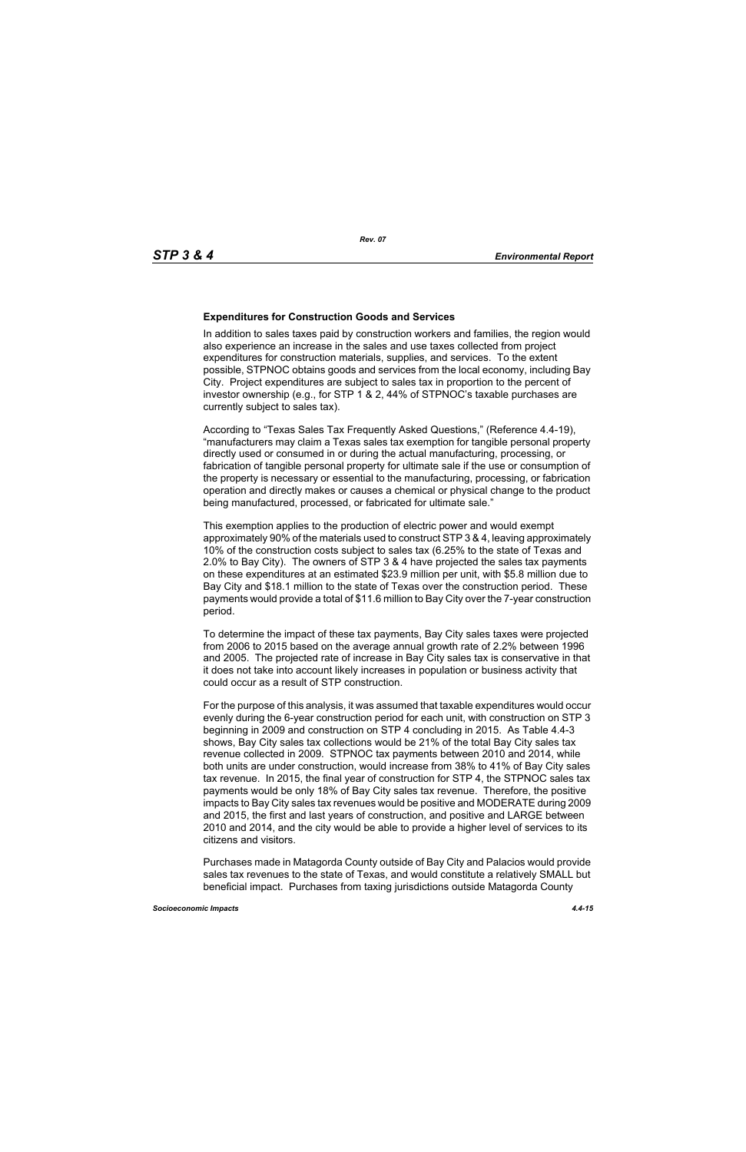#### **Expenditures for Construction Goods and Services**

In addition to sales taxes paid by construction workers and families, the region would also experience an increase in the sales and use taxes collected from project expenditures for construction materials, supplies, and services. To the extent possible, STPNOC obtains goods and services from the local economy, including Bay City. Project expenditures are subject to sales tax in proportion to the percent of investor ownership (e.g., for STP 1 & 2, 44% of STPNOC's taxable purchases are currently subject to sales tax).

According to "Texas Sales Tax Frequently Asked Questions," (Reference 4.4-19), "manufacturers may claim a Texas sales tax exemption for tangible personal property directly used or consumed in or during the actual manufacturing, processing, or fabrication of tangible personal property for ultimate sale if the use or consumption of the property is necessary or essential to the manufacturing, processing, or fabrication operation and directly makes or causes a chemical or physical change to the product being manufactured, processed, or fabricated for ultimate sale."

This exemption applies to the production of electric power and would exempt approximately 90% of the materials used to construct STP 3 & 4, leaving approximately 10% of the construction costs subject to sales tax (6.25% to the state of Texas and 2.0% to Bay City). The owners of STP 3 & 4 have projected the sales tax payments on these expenditures at an estimated \$23.9 million per unit, with \$5.8 million due to Bay City and \$18.1 million to the state of Texas over the construction period. These payments would provide a total of \$11.6 million to Bay City over the 7-year construction period.

To determine the impact of these tax payments, Bay City sales taxes were projected from 2006 to 2015 based on the average annual growth rate of 2.2% between 1996 and 2005. The projected rate of increase in Bay City sales tax is conservative in that it does not take into account likely increases in population or business activity that could occur as a result of STP construction.

For the purpose of this analysis, it was assumed that taxable expenditures would occur evenly during the 6-year construction period for each unit, with construction on STP 3 beginning in 2009 and construction on STP 4 concluding in 2015. As Table 4.4-3 shows, Bay City sales tax collections would be 21% of the total Bay City sales tax revenue collected in 2009. STPNOC tax payments between 2010 and 2014, while both units are under construction, would increase from 38% to 41% of Bay City sales tax revenue. In 2015, the final year of construction for STP 4, the STPNOC sales tax payments would be only 18% of Bay City sales tax revenue. Therefore, the positive impacts to Bay City sales tax revenues would be positive and MODERATE during 2009 and 2015, the first and last years of construction, and positive and LARGE between 2010 and 2014, and the city would be able to provide a higher level of services to its citizens and visitors.

Purchases made in Matagorda County outside of Bay City and Palacios would provide sales tax revenues to the state of Texas, and would constitute a relatively SMALL but beneficial impact. Purchases from taxing jurisdictions outside Matagorda County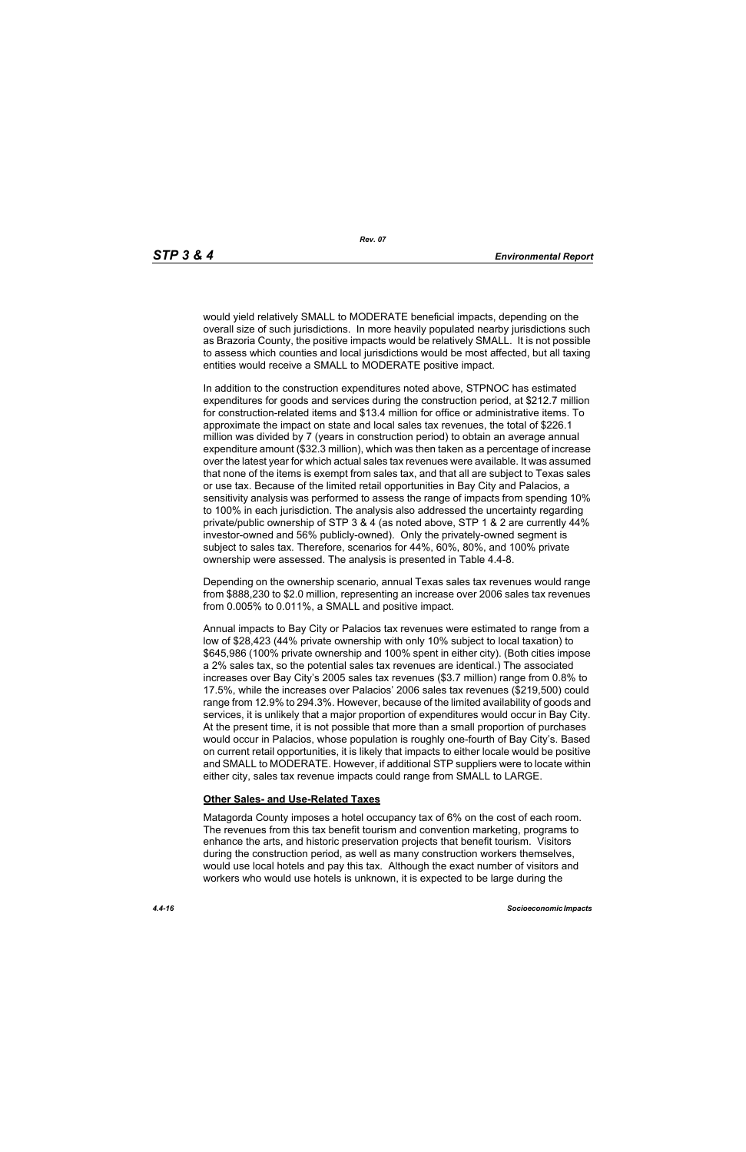would yield relatively SMALL to MODERATE beneficial impacts, depending on the overall size of such jurisdictions. In more heavily populated nearby jurisdictions such as Brazoria County, the positive impacts would be relatively SMALL. It is not possible to assess which counties and local jurisdictions would be most affected, but all taxing entities would receive a SMALL to MODERATE positive impact.

In addition to the construction expenditures noted above, STPNOC has estimated expenditures for goods and services during the construction period, at \$212.7 million for construction-related items and \$13.4 million for office or administrative items. To approximate the impact on state and local sales tax revenues, the total of \$226.1 million was divided by 7 (years in construction period) to obtain an average annual expenditure amount (\$32.3 million), which was then taken as a percentage of increase over the latest year for which actual sales tax revenues were available. It was assumed that none of the items is exempt from sales tax, and that all are subject to Texas sales or use tax. Because of the limited retail opportunities in Bay City and Palacios, a sensitivity analysis was performed to assess the range of impacts from spending 10% to 100% in each jurisdiction. The analysis also addressed the uncertainty regarding private/public ownership of STP 3 & 4 (as noted above, STP 1 & 2 are currently 44% investor-owned and 56% publicly-owned). Only the privately-owned segment is subject to sales tax. Therefore, scenarios for 44%, 60%, 80%, and 100% private ownership were assessed. The analysis is presented in Table 4.4-8.

Depending on the ownership scenario, annual Texas sales tax revenues would range from \$888,230 to \$2.0 million, representing an increase over 2006 sales tax revenues from 0.005% to 0.011%, a SMALL and positive impact.

Annual impacts to Bay City or Palacios tax revenues were estimated to range from a low of \$28,423 (44% private ownership with only 10% subject to local taxation) to \$645,986 (100% private ownership and 100% spent in either city). (Both cities impose a 2% sales tax, so the potential sales tax revenues are identical.) The associated increases over Bay City's 2005 sales tax revenues (\$3.7 million) range from 0.8% to 17.5%, while the increases over Palacios' 2006 sales tax revenues (\$219,500) could range from 12.9% to 294.3%. However, because of the limited availability of goods and services, it is unlikely that a major proportion of expenditures would occur in Bay City. At the present time, it is not possible that more than a small proportion of purchases would occur in Palacios, whose population is roughly one-fourth of Bay City's. Based on current retail opportunities, it is likely that impacts to either locale would be positive and SMALL to MODERATE. However, if additional STP suppliers were to locate within either city, sales tax revenue impacts could range from SMALL to LARGE.

#### **Other Sales- and Use-Related Taxes**

Matagorda County imposes a hotel occupancy tax of 6% on the cost of each room. The revenues from this tax benefit tourism and convention marketing, programs to enhance the arts, and historic preservation projects that benefit tourism. Visitors during the construction period, as well as many construction workers themselves, would use local hotels and pay this tax. Although the exact number of visitors and workers who would use hotels is unknown, it is expected to be large during the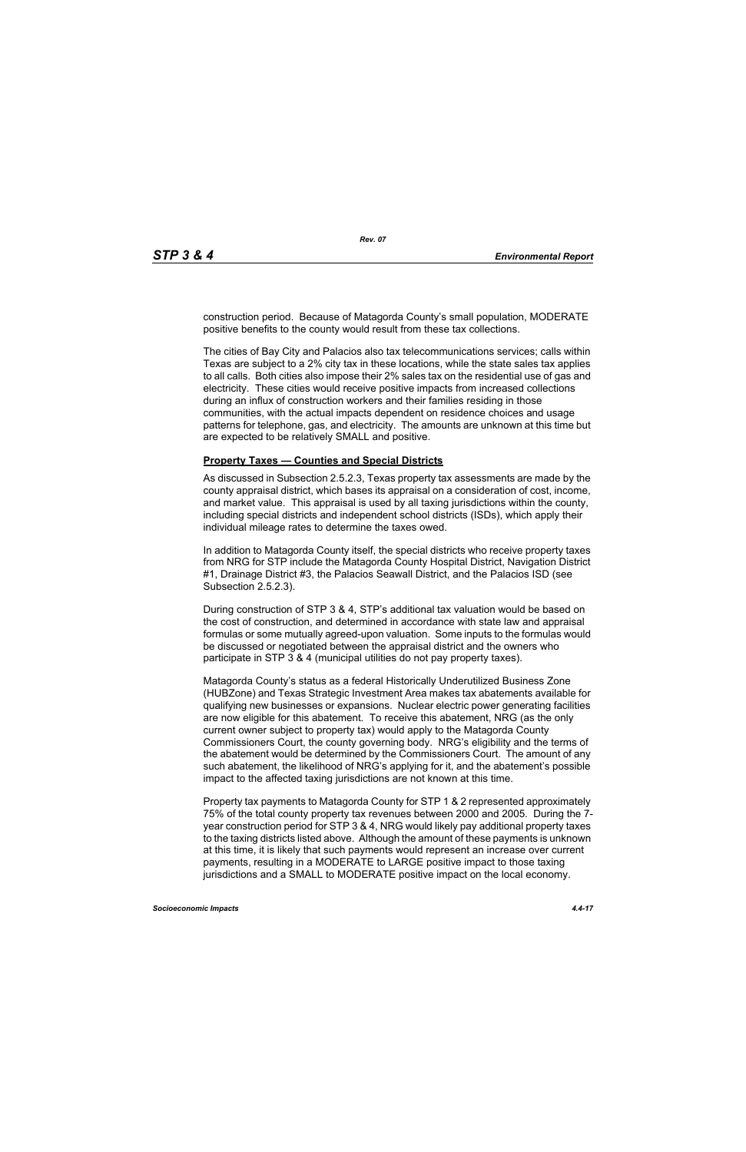construction period. Because of Matagorda County's small population, MODERATE positive benefits to the county would result from these tax collections.

The cities of Bay City and Palacios also tax telecommunications services; calls within Texas are subject to a 2% city tax in these locations, while the state sales tax applies to all calls. Both cities also impose their 2% sales tax on the residential use of gas and electricity. These cities would receive positive impacts from increased collections during an influx of construction workers and their families residing in those communities, with the actual impacts dependent on residence choices and usage patterns for telephone, gas, and electricity. The amounts are unknown at this time but are expected to be relatively SMALL and positive.

#### **Property Taxes — Counties and Special Districts**

As discussed in Subsection 2.5.2.3, Texas property tax assessments are made by the county appraisal district, which bases its appraisal on a consideration of cost, income, and market value. This appraisal is used by all taxing jurisdictions within the county, including special districts and independent school districts (ISDs), which apply their individual mileage rates to determine the taxes owed.

In addition to Matagorda County itself, the special districts who receive property taxes from NRG for STP include the Matagorda County Hospital District, Navigation District #1, Drainage District #3, the Palacios Seawall District, and the Palacios ISD (see Subsection 2.5.2.3).

During construction of STP 3 & 4, STP's additional tax valuation would be based on the cost of construction, and determined in accordance with state law and appraisal formulas or some mutually agreed-upon valuation. Some inputs to the formulas would be discussed or negotiated between the appraisal district and the owners who participate in STP 3 & 4 (municipal utilities do not pay property taxes).

Matagorda County's status as a federal Historically Underutilized Business Zone (HUBZone) and Texas Strategic Investment Area makes tax abatements available for qualifying new businesses or expansions. Nuclear electric power generating facilities are now eligible for this abatement. To receive this abatement, NRG (as the only current owner subject to property tax) would apply to the Matagorda County Commissioners Court, the county governing body. NRG's eligibility and the terms of the abatement would be determined by the Commissioners Court. The amount of any such abatement, the likelihood of NRG's applying for it, and the abatement's possible impact to the affected taxing jurisdictions are not known at this time.

Property tax payments to Matagorda County for STP 1 & 2 represented approximately 75% of the total county property tax revenues between 2000 and 2005. During the 7 year construction period for STP 3 & 4, NRG would likely pay additional property taxes to the taxing districts listed above. Although the amount of these payments is unknown at this time, it is likely that such payments would represent an increase over current payments, resulting in a MODERATE to LARGE positive impact to those taxing jurisdictions and a SMALL to MODERATE positive impact on the local economy.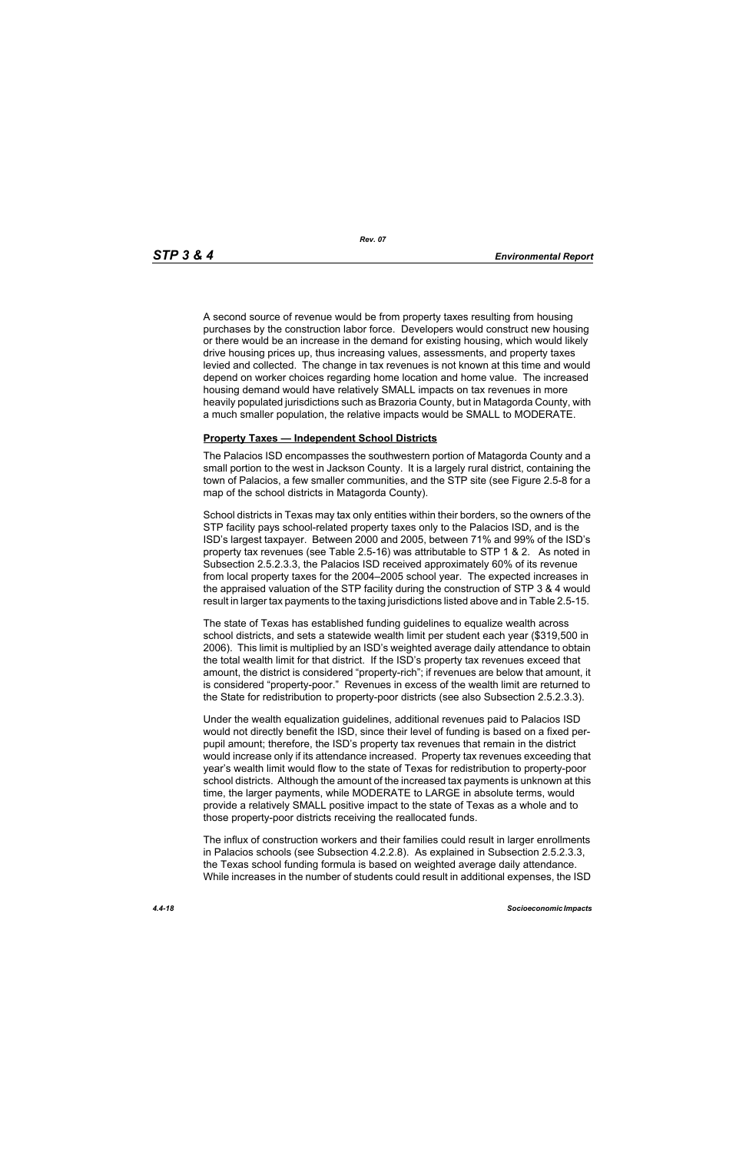A second source of revenue would be from property taxes resulting from housing purchases by the construction labor force. Developers would construct new housing or there would be an increase in the demand for existing housing, which would likely drive housing prices up, thus increasing values, assessments, and property taxes levied and collected. The change in tax revenues is not known at this time and would depend on worker choices regarding home location and home value. The increased housing demand would have relatively SMALL impacts on tax revenues in more heavily populated jurisdictions such as Brazoria County, but in Matagorda County, with a much smaller population, the relative impacts would be SMALL to MODERATE.

#### **Property Taxes — Independent School Districts**

The Palacios ISD encompasses the southwestern portion of Matagorda County and a small portion to the west in Jackson County. It is a largely rural district, containing the town of Palacios, a few smaller communities, and the STP site (see Figure 2.5-8 for a map of the school districts in Matagorda County).

School districts in Texas may tax only entities within their borders, so the owners of the STP facility pays school-related property taxes only to the Palacios ISD, and is the ISD's largest taxpayer. Between 2000 and 2005, between 71% and 99% of the ISD's property tax revenues (see Table 2.5-16) was attributable to STP 1 & 2. As noted in Subsection 2.5.2.3.3, the Palacios ISD received approximately 60% of its revenue from local property taxes for the 2004–2005 school year. The expected increases in the appraised valuation of the STP facility during the construction of STP 3 & 4 would result in larger tax payments to the taxing jurisdictions listed above and in Table 2.5-15.

The state of Texas has established funding guidelines to equalize wealth across school districts, and sets a statewide wealth limit per student each year (\$319,500 in 2006). This limit is multiplied by an ISD's weighted average daily attendance to obtain the total wealth limit for that district. If the ISD's property tax revenues exceed that amount, the district is considered "property-rich"; if revenues are below that amount, it is considered "property-poor." Revenues in excess of the wealth limit are returned to the State for redistribution to property-poor districts (see also Subsection 2.5.2.3.3).

Under the wealth equalization guidelines, additional revenues paid to Palacios ISD would not directly benefit the ISD, since their level of funding is based on a fixed perpupil amount; therefore, the ISD's property tax revenues that remain in the district would increase only if its attendance increased. Property tax revenues exceeding that year's wealth limit would flow to the state of Texas for redistribution to property-poor school districts. Although the amount of the increased tax payments is unknown at this time, the larger payments, while MODERATE to LARGE in absolute terms, would provide a relatively SMALL positive impact to the state of Texas as a whole and to those property-poor districts receiving the reallocated funds.

The influx of construction workers and their families could result in larger enrollments in Palacios schools (see Subsection 4.2.2.8). As explained in Subsection 2.5.2.3.3, the Texas school funding formula is based on weighted average daily attendance. While increases in the number of students could result in additional expenses, the ISD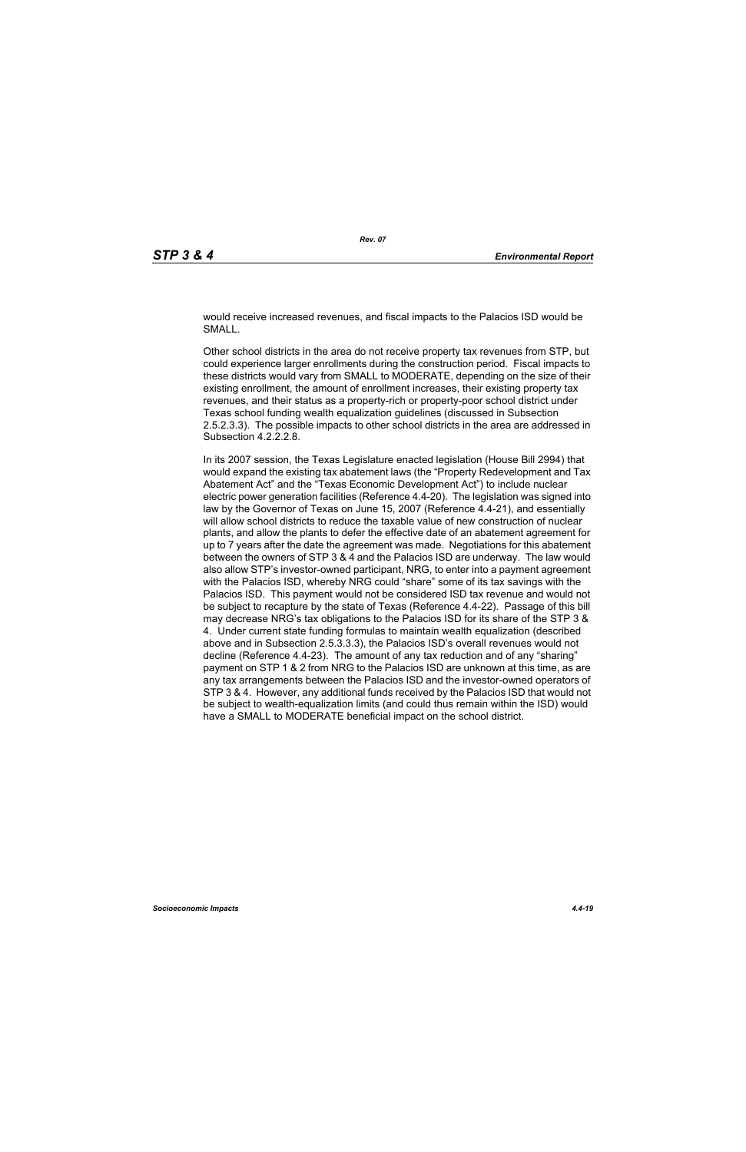would receive increased revenues, and fiscal impacts to the Palacios ISD would be SMALL.

Other school districts in the area do not receive property tax revenues from STP, but could experience larger enrollments during the construction period. Fiscal impacts to these districts would vary from SMALL to MODERATE, depending on the size of their existing enrollment, the amount of enrollment increases, their existing property tax revenues, and their status as a property-rich or property-poor school district under Texas school funding wealth equalization guidelines (discussed in Subsection 2.5.2.3.3). The possible impacts to other school districts in the area are addressed in Subsection 4.2.2.2.8.

In its 2007 session, the Texas Legislature enacted legislation (House Bill 2994) that would expand the existing tax abatement laws (the "Property Redevelopment and Tax Abatement Act" and the "Texas Economic Development Act") to include nuclear electric power generation facilities (Reference 4.4-20). The legislation was signed into law by the Governor of Texas on June 15, 2007 (Reference 4.4-21), and essentially will allow school districts to reduce the taxable value of new construction of nuclear plants, and allow the plants to defer the effective date of an abatement agreement for up to 7 years after the date the agreement was made. Negotiations for this abatement between the owners of STP 3 & 4 and the Palacios ISD are underway. The law would also allow STP's investor-owned participant, NRG, to enter into a payment agreement with the Palacios ISD, whereby NRG could "share" some of its tax savings with the Palacios ISD. This payment would not be considered ISD tax revenue and would not be subject to recapture by the state of Texas (Reference 4.4-22). Passage of this bill may decrease NRG's tax obligations to the Palacios ISD for its share of the STP 3 & 4. Under current state funding formulas to maintain wealth equalization (described above and in Subsection 2.5.3.3.3), the Palacios ISD's overall revenues would not decline (Reference 4.4-23). The amount of any tax reduction and of any "sharing" payment on STP 1 & 2 from NRG to the Palacios ISD are unknown at this time, as are any tax arrangements between the Palacios ISD and the investor-owned operators of STP 3 & 4. However, any additional funds received by the Palacios ISD that would not be subject to wealth-equalization limits (and could thus remain within the ISD) would have a SMALL to MODERATE beneficial impact on the school district.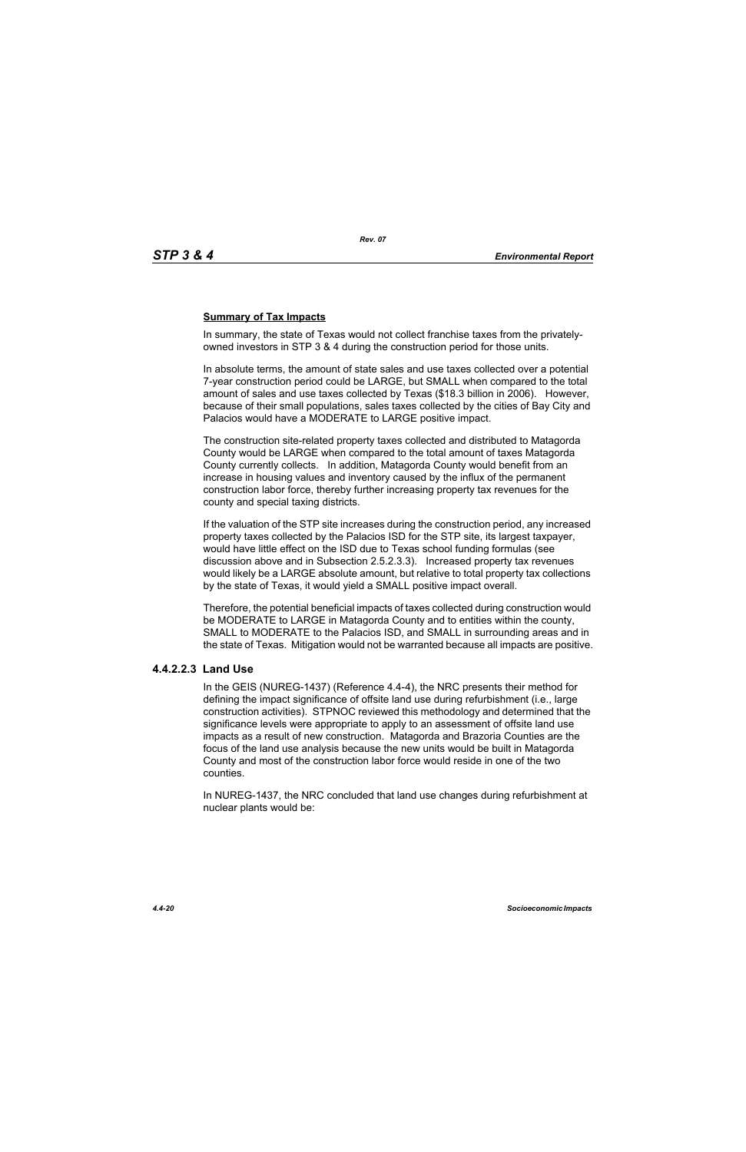## **Summary of Tax Impacts**

In summary, the state of Texas would not collect franchise taxes from the privatelyowned investors in STP 3 & 4 during the construction period for those units.

In absolute terms, the amount of state sales and use taxes collected over a potential 7-year construction period could be LARGE, but SMALL when compared to the total amount of sales and use taxes collected by Texas (\$18.3 billion in 2006). However, because of their small populations, sales taxes collected by the cities of Bay City and Palacios would have a MODERATE to LARGE positive impact.

The construction site-related property taxes collected and distributed to Matagorda County would be LARGE when compared to the total amount of taxes Matagorda County currently collects. In addition, Matagorda County would benefit from an increase in housing values and inventory caused by the influx of the permanent construction labor force, thereby further increasing property tax revenues for the county and special taxing districts.

If the valuation of the STP site increases during the construction period, any increased property taxes collected by the Palacios ISD for the STP site, its largest taxpayer, would have little effect on the ISD due to Texas school funding formulas (see discussion above and in Subsection 2.5.2.3.3). Increased property tax revenues would likely be a LARGE absolute amount, but relative to total property tax collections by the state of Texas, it would yield a SMALL positive impact overall.

Therefore, the potential beneficial impacts of taxes collected during construction would be MODERATE to LARGE in Matagorda County and to entities within the county, SMALL to MODERATE to the Palacios ISD, and SMALL in surrounding areas and in the state of Texas. Mitigation would not be warranted because all impacts are positive.

## **4.4.2.2.3 Land Use**

In the GEIS (NUREG-1437) (Reference 4.4-4), the NRC presents their method for defining the impact significance of offsite land use during refurbishment (i.e., large construction activities). STPNOC reviewed this methodology and determined that the significance levels were appropriate to apply to an assessment of offsite land use impacts as a result of new construction. Matagorda and Brazoria Counties are the focus of the land use analysis because the new units would be built in Matagorda County and most of the construction labor force would reside in one of the two counties.

In NUREG-1437, the NRC concluded that land use changes during refurbishment at nuclear plants would be: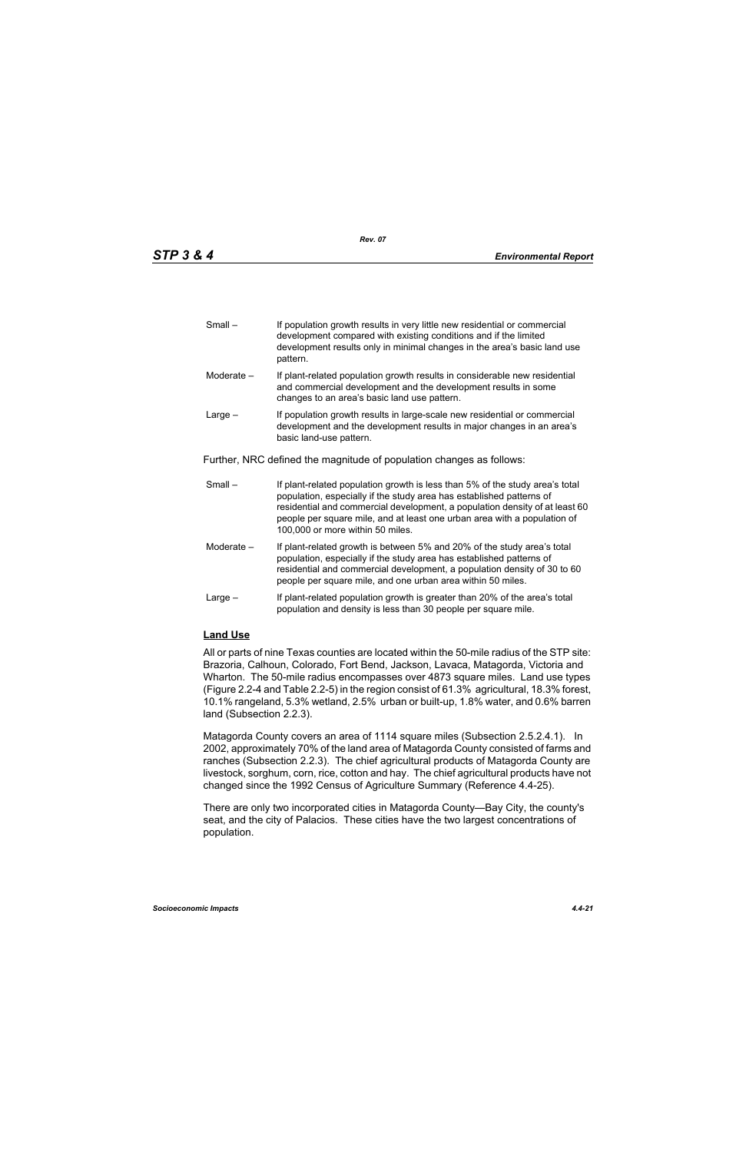| $Small -$ | If population growth results in very little new residential or commercial |
|-----------|---------------------------------------------------------------------------|
|           | development compared with existing conditions and if the limited          |
|           | development results only in minimal changes in the area's basic land use  |
|           | pattern.                                                                  |

- Moderate If plant-related population growth results in considerable new residential and commercial development and the development results in some changes to an area's basic land use pattern.
- Large If population growth results in large-scale new residential or commercial development and the development results in major changes in an area's basic land-use pattern.

Further, NRC defined the magnitude of population changes as follows:

- Small If plant-related population growth is less than 5% of the study area's total population, especially if the study area has established patterns of residential and commercial development, a population density of at least 60 people per square mile, and at least one urban area with a population of 100,000 or more within 50 miles.
- Moderate If plant-related growth is between 5% and 20% of the study area's total population, especially if the study area has established patterns of residential and commercial development, a population density of 30 to 60 people per square mile, and one urban area within 50 miles.
- Large If plant-related population growth is greater than 20% of the area's total population and density is less than 30 people per square mile.

## **Land Use**

All or parts of nine Texas counties are located within the 50-mile radius of the STP site: Brazoria, Calhoun, Colorado, Fort Bend, Jackson, Lavaca, Matagorda, Victoria and Wharton. The 50-mile radius encompasses over 4873 square miles. Land use types (Figure 2.2-4 and Table 2.2-5) in the region consist of 61.3% agricultural, 18.3% forest, 10.1% rangeland, 5.3% wetland, 2.5% urban or built-up, 1.8% water, and 0.6% barren land (Subsection 2.2.3).

Matagorda County covers an area of 1114 square miles (Subsection 2.5.2.4.1). In 2002, approximately 70% of the land area of Matagorda County consisted of farms and ranches (Subsection 2.2.3). The chief agricultural products of Matagorda County are livestock, sorghum, corn, rice, cotton and hay. The chief agricultural products have not changed since the 1992 Census of Agriculture Summary (Reference 4.4-25).

There are only two incorporated cities in Matagorda County—Bay City, the county's seat, and the city of Palacios. These cities have the two largest concentrations of population.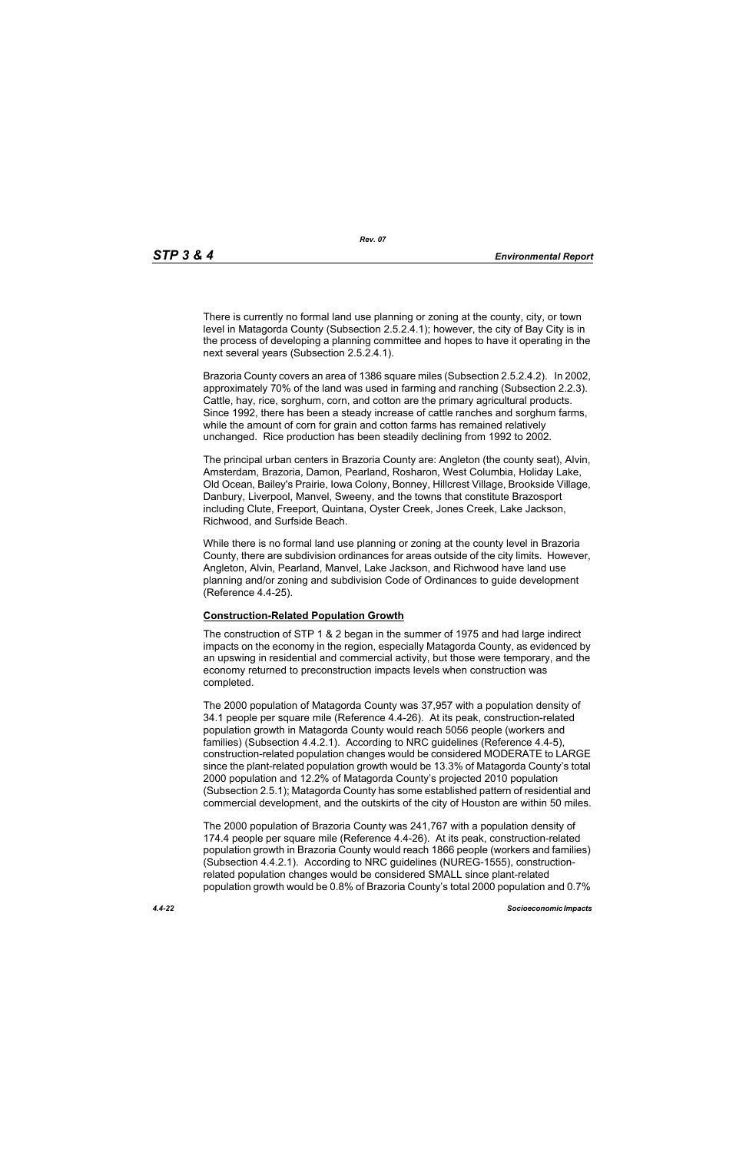There is currently no formal land use planning or zoning at the county, city, or town level in Matagorda County (Subsection 2.5.2.4.1); however, the city of Bay City is in the process of developing a planning committee and hopes to have it operating in the next several years (Subsection 2.5.2.4.1).

Brazoria County covers an area of 1386 square miles (Subsection 2.5.2.4.2). In 2002, approximately 70% of the land was used in farming and ranching (Subsection 2.2.3). Cattle, hay, rice, sorghum, corn, and cotton are the primary agricultural products. Since 1992, there has been a steady increase of cattle ranches and sorghum farms, while the amount of corn for grain and cotton farms has remained relatively unchanged. Rice production has been steadily declining from 1992 to 2002.

The principal urban centers in Brazoria County are: Angleton (the county seat), Alvin, Amsterdam, Brazoria, Damon, Pearland, Rosharon, West Columbia, Holiday Lake, Old Ocean, Bailey's Prairie, Iowa Colony, Bonney, Hillcrest Village, Brookside Village, Danbury, Liverpool, Manvel, Sweeny, and the towns that constitute Brazosport including Clute, Freeport, Quintana, Oyster Creek, Jones Creek, Lake Jackson, Richwood, and Surfside Beach.

While there is no formal land use planning or zoning at the county level in Brazoria County, there are subdivision ordinances for areas outside of the city limits. However, Angleton, Alvin, Pearland, Manvel, Lake Jackson, and Richwood have land use planning and/or zoning and subdivision Code of Ordinances to guide development (Reference 4.4-25).

#### **Construction-Related Population Growth**

The construction of STP 1 & 2 began in the summer of 1975 and had large indirect impacts on the economy in the region, especially Matagorda County, as evidenced by an upswing in residential and commercial activity, but those were temporary, and the economy returned to preconstruction impacts levels when construction was completed.

The 2000 population of Matagorda County was 37,957 with a population density of 34.1 people per square mile (Reference 4.4-26). At its peak, construction-related population growth in Matagorda County would reach 5056 people (workers and families) (Subsection 4.4.2.1). According to NRC guidelines (Reference 4.4-5), construction-related population changes would be considered MODERATE to LARGE since the plant-related population growth would be 13.3% of Matagorda County's total 2000 population and 12.2% of Matagorda County's projected 2010 population (Subsection 2.5.1); Matagorda County has some established pattern of residential and commercial development, and the outskirts of the city of Houston are within 50 miles.

The 2000 population of Brazoria County was 241,767 with a population density of 174.4 people per square mile (Reference 4.4-26). At its peak, construction-related population growth in Brazoria County would reach 1866 people (workers and families) (Subsection 4.4.2.1). According to NRC guidelines (NUREG-1555), constructionrelated population changes would be considered SMALL since plant-related population growth would be 0.8% of Brazoria County's total 2000 population and 0.7%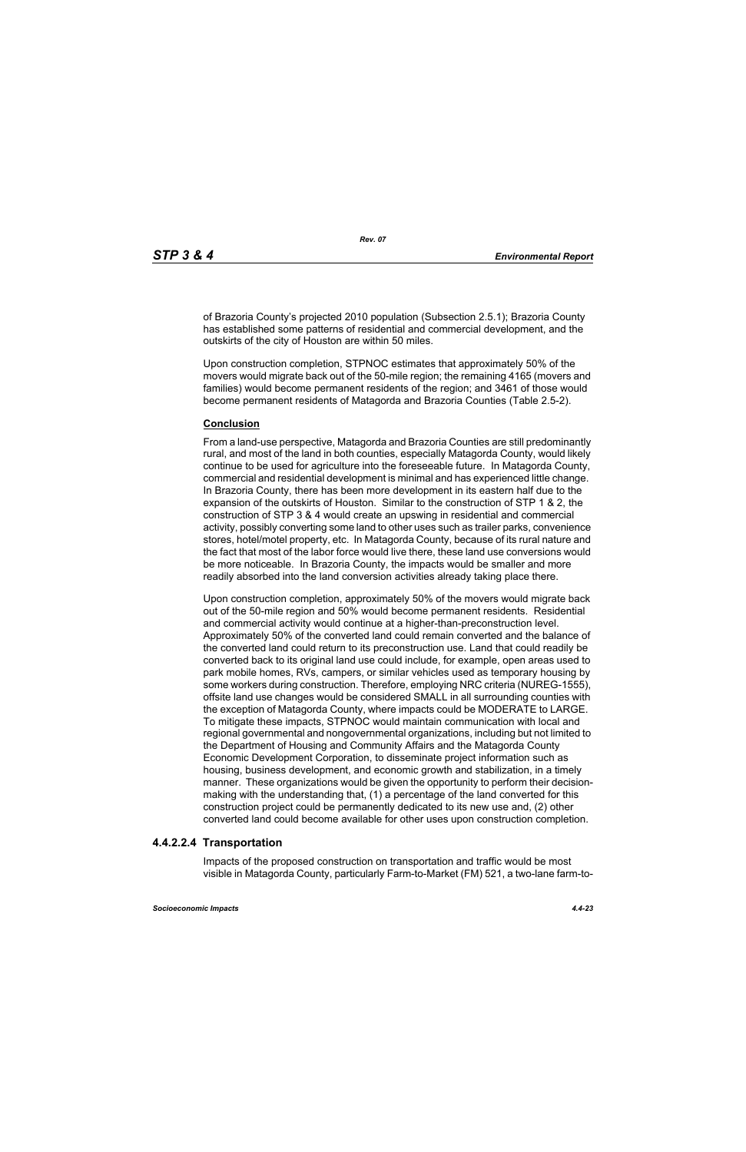of Brazoria County's projected 2010 population (Subsection 2.5.1); Brazoria County has established some patterns of residential and commercial development, and the outskirts of the city of Houston are within 50 miles.

Upon construction completion, STPNOC estimates that approximately 50% of the movers would migrate back out of the 50-mile region; the remaining 4165 (movers and families) would become permanent residents of the region; and 3461 of those would become permanent residents of Matagorda and Brazoria Counties (Table 2.5-2).

#### **Conclusion**

From a land-use perspective, Matagorda and Brazoria Counties are still predominantly rural, and most of the land in both counties, especially Matagorda County, would likely continue to be used for agriculture into the foreseeable future. In Matagorda County, commercial and residential development is minimal and has experienced little change. In Brazoria County, there has been more development in its eastern half due to the expansion of the outskirts of Houston. Similar to the construction of STP 1 & 2, the construction of STP 3 & 4 would create an upswing in residential and commercial activity, possibly converting some land to other uses such as trailer parks, convenience stores, hotel/motel property, etc. In Matagorda County, because of its rural nature and the fact that most of the labor force would live there, these land use conversions would be more noticeable. In Brazoria County, the impacts would be smaller and more readily absorbed into the land conversion activities already taking place there.

Upon construction completion, approximately 50% of the movers would migrate back out of the 50-mile region and 50% would become permanent residents. Residential and commercial activity would continue at a higher-than-preconstruction level. Approximately 50% of the converted land could remain converted and the balance of the converted land could return to its preconstruction use. Land that could readily be converted back to its original land use could include, for example, open areas used to park mobile homes, RVs, campers, or similar vehicles used as temporary housing by some workers during construction. Therefore, employing NRC criteria (NUREG-1555), offsite land use changes would be considered SMALL in all surrounding counties with the exception of Matagorda County, where impacts could be MODERATE to LARGE. To mitigate these impacts, STPNOC would maintain communication with local and regional governmental and nongovernmental organizations, including but not limited to the Department of Housing and Community Affairs and the Matagorda County Economic Development Corporation, to disseminate project information such as housing, business development, and economic growth and stabilization, in a timely manner. These organizations would be given the opportunity to perform their decisionmaking with the understanding that, (1) a percentage of the land converted for this construction project could be permanently dedicated to its new use and, (2) other converted land could become available for other uses upon construction completion.

## **4.4.2.2.4 Transportation**

Impacts of the proposed construction on transportation and traffic would be most visible in Matagorda County, particularly Farm-to-Market (FM) 521, a two-lane farm-to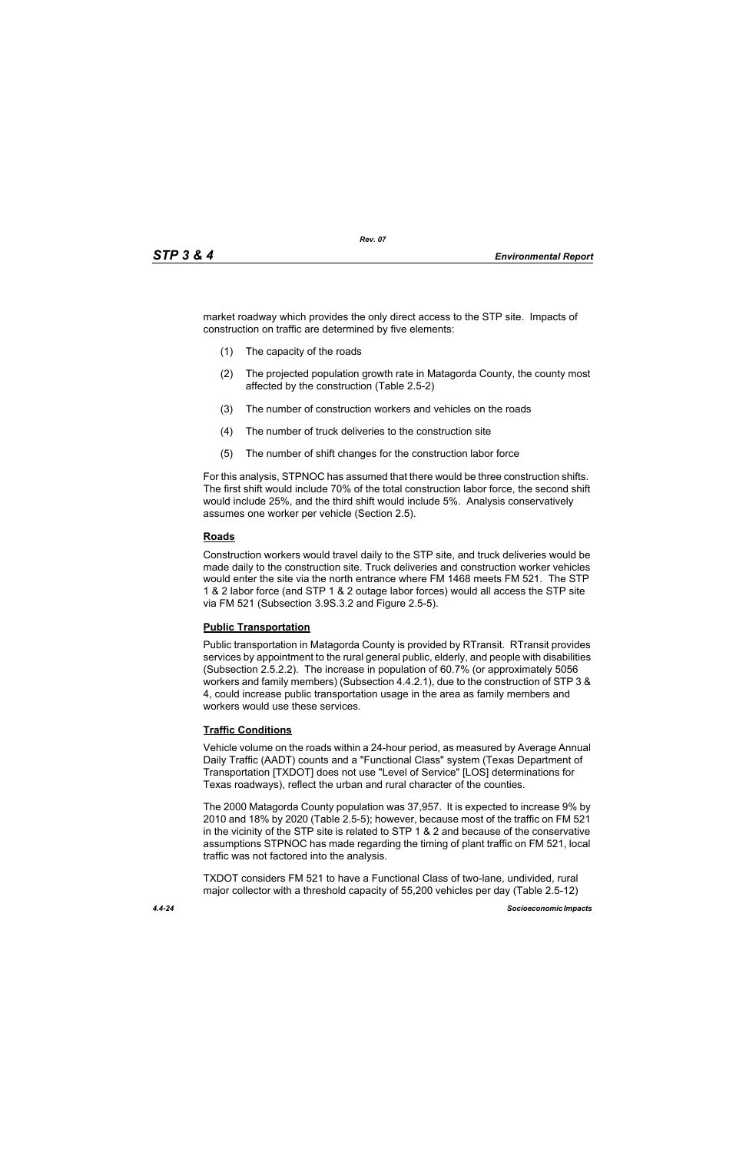market roadway which provides the only direct access to the STP site. Impacts of construction on traffic are determined by five elements:

- (1) The capacity of the roads
- (2) The projected population growth rate in Matagorda County, the county most affected by the construction (Table 2.5-2)
- (3) The number of construction workers and vehicles on the roads
- (4) The number of truck deliveries to the construction site
- (5) The number of shift changes for the construction labor force

For this analysis, STPNOC has assumed that there would be three construction shifts. The first shift would include 70% of the total construction labor force, the second shift would include 25%, and the third shift would include 5%. Analysis conservatively assumes one worker per vehicle (Section 2.5).

## **Roads**

Construction workers would travel daily to the STP site, and truck deliveries would be made daily to the construction site. Truck deliveries and construction worker vehicles would enter the site via the north entrance where FM 1468 meets FM 521. The STP 1 & 2 labor force (and STP 1 & 2 outage labor forces) would all access the STP site via FM 521 (Subsection 3.9S.3.2 and Figure 2.5-5).

#### **Public Transportation**

Public transportation in Matagorda County is provided by RTransit. RTransit provides services by appointment to the rural general public, elderly, and people with disabilities (Subsection 2.5.2.2). The increase in population of 60.7% (or approximately 5056 workers and family members) (Subsection 4.4.2.1), due to the construction of STP 3 & 4, could increase public transportation usage in the area as family members and workers would use these services.

## **Traffic Conditions**

Vehicle volume on the roads within a 24-hour period, as measured by Average Annual Daily Traffic (AADT) counts and a "Functional Class" system (Texas Department of Transportation [TXDOT] does not use "Level of Service" [LOS] determinations for Texas roadways), reflect the urban and rural character of the counties.

The 2000 Matagorda County population was 37,957. It is expected to increase 9% by 2010 and 18% by 2020 (Table 2.5-5); however, because most of the traffic on FM 521 in the vicinity of the STP site is related to STP 1 & 2 and because of the conservative assumptions STPNOC has made regarding the timing of plant traffic on FM 521, local traffic was not factored into the analysis.

TXDOT considers FM 521 to have a Functional Class of two-lane, undivided, rural major collector with a threshold capacity of 55,200 vehicles per day (Table 2.5-12)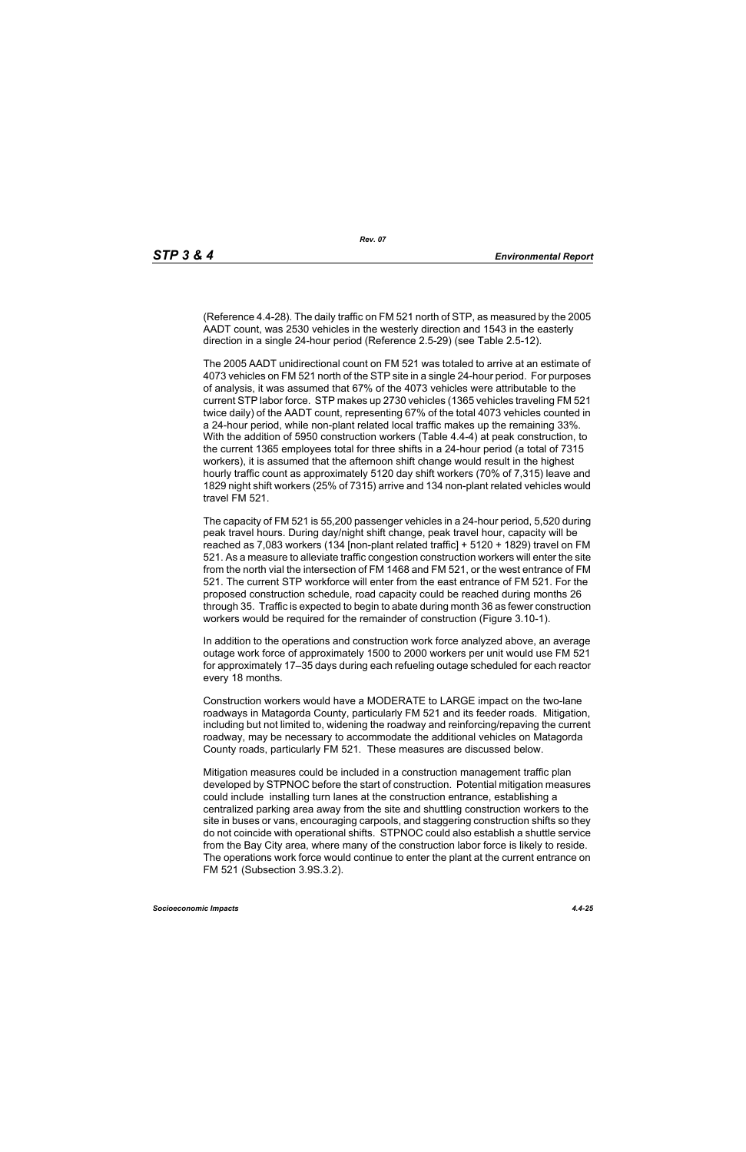(Reference 4.4-28). The daily traffic on FM 521 north of STP, as measured by the 2005 AADT count, was 2530 vehicles in the westerly direction and 1543 in the easterly direction in a single 24-hour period (Reference 2.5-29) (see Table 2.5-12).

The 2005 AADT unidirectional count on FM 521 was totaled to arrive at an estimate of 4073 vehicles on FM 521 north of the STP site in a single 24-hour period. For purposes of analysis, it was assumed that 67% of the 4073 vehicles were attributable to the current STP labor force. STP makes up 2730 vehicles (1365 vehicles traveling FM 521 twice daily) of the AADT count, representing 67% of the total 4073 vehicles counted in a 24-hour period, while non-plant related local traffic makes up the remaining 33%. With the addition of 5950 construction workers (Table 4.4-4) at peak construction, to the current 1365 employees total for three shifts in a 24-hour period (a total of 7315 workers), it is assumed that the afternoon shift change would result in the highest hourly traffic count as approximately 5120 day shift workers (70% of 7,315) leave and 1829 night shift workers (25% of 7315) arrive and 134 non-plant related vehicles would travel FM 521.

The capacity of FM 521 is 55,200 passenger vehicles in a 24-hour period, 5,520 during peak travel hours. During day/night shift change, peak travel hour, capacity will be reached as 7,083 workers (134 [non-plant related traffic] + 5120 + 1829) travel on FM 521. As a measure to alleviate traffic congestion construction workers will enter the site from the north vial the intersection of FM 1468 and FM 521, or the west entrance of FM 521. The current STP workforce will enter from the east entrance of FM 521. For the proposed construction schedule, road capacity could be reached during months 26 through 35. Traffic is expected to begin to abate during month 36 as fewer construction workers would be required for the remainder of construction (Figure 3.10-1).

In addition to the operations and construction work force analyzed above, an average outage work force of approximately 1500 to 2000 workers per unit would use FM 521 for approximately 17–35 days during each refueling outage scheduled for each reactor every 18 months.

Construction workers would have a MODERATE to LARGE impact on the two-lane roadways in Matagorda County, particularly FM 521 and its feeder roads. Mitigation, including but not limited to, widening the roadway and reinforcing/repaving the current roadway, may be necessary to accommodate the additional vehicles on Matagorda County roads, particularly FM 521. These measures are discussed below.

Mitigation measures could be included in a construction management traffic plan developed by STPNOC before the start of construction. Potential mitigation measures could include installing turn lanes at the construction entrance, establishing a centralized parking area away from the site and shuttling construction workers to the site in buses or vans, encouraging carpools, and staggering construction shifts so they do not coincide with operational shifts. STPNOC could also establish a shuttle service from the Bay City area, where many of the construction labor force is likely to reside. The operations work force would continue to enter the plant at the current entrance on FM 521 (Subsection 3.9S.3.2).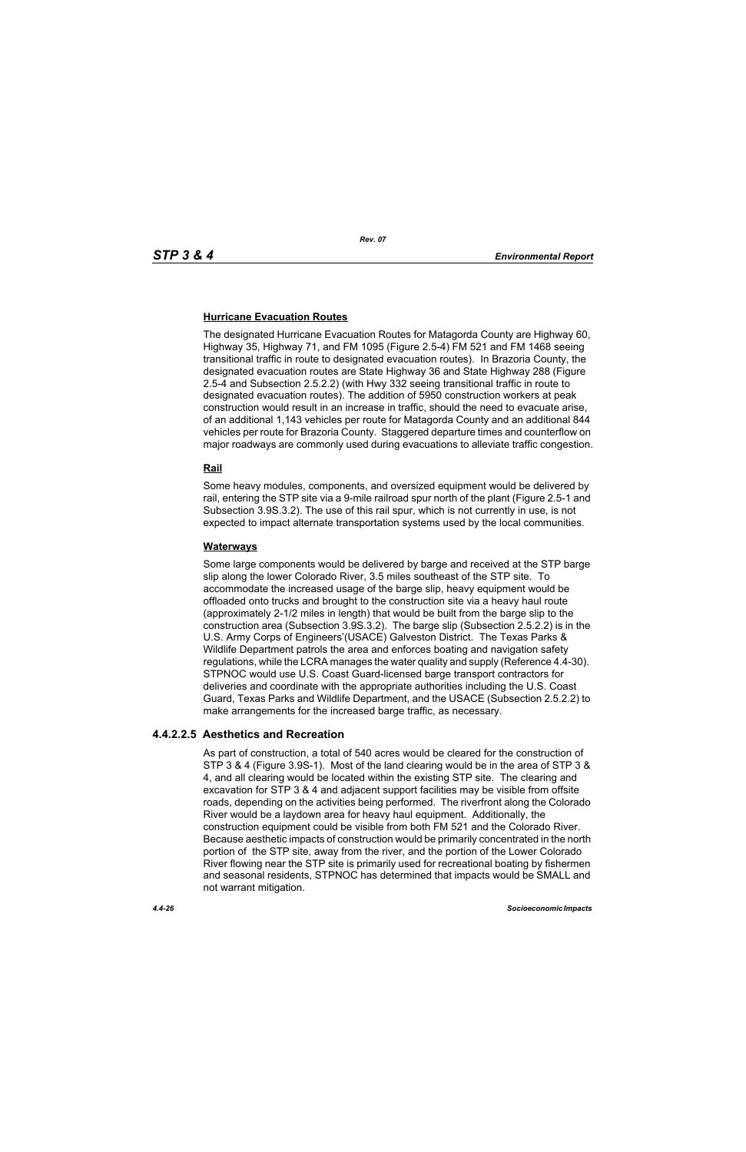## **Hurricane Evacuation Routes**

The designated Hurricane Evacuation Routes for Matagorda County are Highway 60, Highway 35, Highway 71, and FM 1095 (Figure 2.5-4) FM 521 and FM 1468 seeing transitional traffic in route to designated evacuation routes). In Brazoria County, the designated evacuation routes are State Highway 36 and State Highway 288 (Figure 2.5-4 and Subsection 2.5.2.2) (with Hwy 332 seeing transitional traffic in route to designated evacuation routes). The addition of 5950 construction workers at peak construction would result in an increase in traffic, should the need to evacuate arise, of an additional 1,143 vehicles per route for Matagorda County and an additional 844 vehicles per route for Brazoria County. Staggered departure times and counterflow on major roadways are commonly used during evacuations to alleviate traffic congestion.

## **Rail**

Some heavy modules, components, and oversized equipment would be delivered by rail, entering the STP site via a 9-mile railroad spur north of the plant (Figure 2.5-1 and Subsection 3.9S.3.2). The use of this rail spur, which is not currently in use, is not expected to impact alternate transportation systems used by the local communities.

#### **Waterways**

Some large components would be delivered by barge and received at the STP barge slip along the lower Colorado River, 3.5 miles southeast of the STP site. To accommodate the increased usage of the barge slip, heavy equipment would be offloaded onto trucks and brought to the construction site via a heavy haul route (approximately 2-1/2 miles in length) that would be built from the barge slip to the construction area (Subsection 3.9S.3.2). The barge slip (Subsection 2.5.2.2) is in the U.S. Army Corps of Engineers'(USACE) Galveston District. The Texas Parks & Wildlife Department patrols the area and enforces boating and navigation safety regulations, while the LCRA manages the water quality and supply (Reference 4.4-30). STPNOC would use U.S. Coast Guard-licensed barge transport contractors for deliveries and coordinate with the appropriate authorities including the U.S. Coast Guard, Texas Parks and Wildlife Department, and the USACE (Subsection 2.5.2.2) to make arrangements for the increased barge traffic, as necessary.

## **4.4.2.2.5 Aesthetics and Recreation**

As part of construction, a total of 540 acres would be cleared for the construction of STP 3 & 4 (Figure 3.9S-1). Most of the land clearing would be in the area of STP 3 & 4, and all clearing would be located within the existing STP site. The clearing and excavation for STP 3 & 4 and adjacent support facilities may be visible from offsite roads, depending on the activities being performed. The riverfront along the Colorado River would be a laydown area for heavy haul equipment. Additionally, the construction equipment could be visible from both FM 521 and the Colorado River. Because aesthetic impacts of construction would be primarily concentrated in the north portion of the STP site, away from the river, and the portion of the Lower Colorado River flowing near the STP site is primarily used for recreational boating by fishermen and seasonal residents, STPNOC has determined that impacts would be SMALL and not warrant mitigation.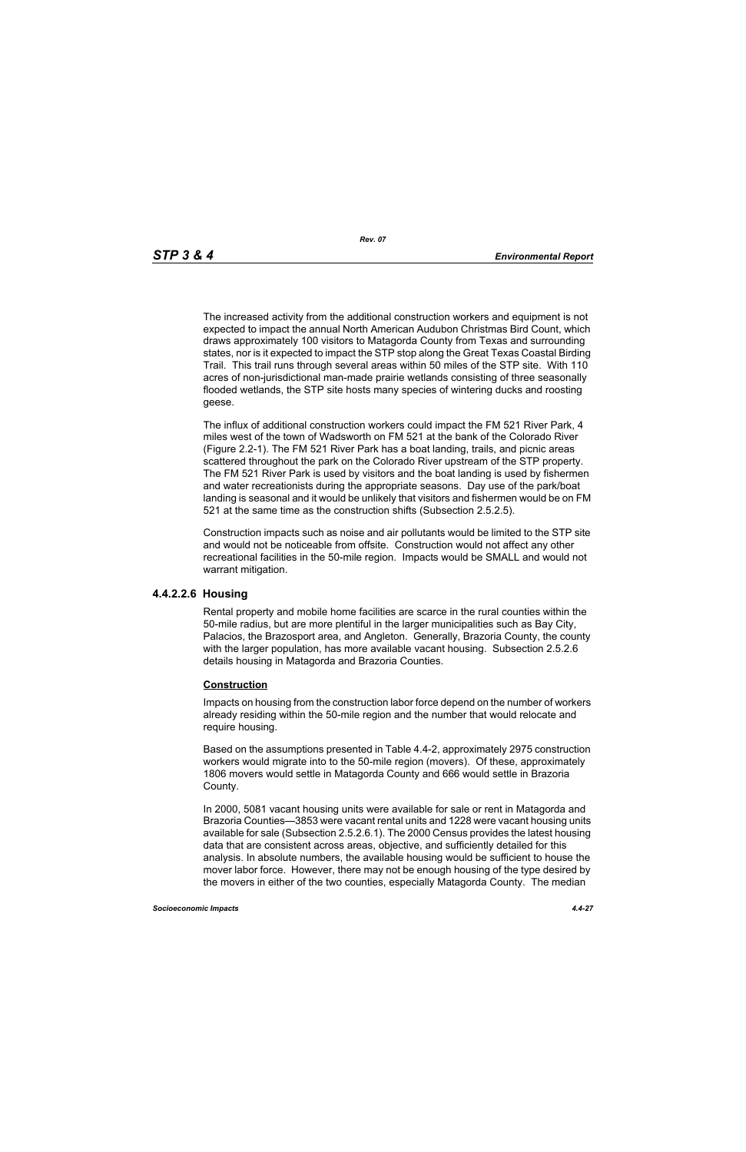The increased activity from the additional construction workers and equipment is not expected to impact the annual North American Audubon Christmas Bird Count, which draws approximately 100 visitors to Matagorda County from Texas and surrounding states, nor is it expected to impact the STP stop along the Great Texas Coastal Birding Trail. This trail runs through several areas within 50 miles of the STP site. With 110 acres of non-jurisdictional man-made prairie wetlands consisting of three seasonally flooded wetlands, the STP site hosts many species of wintering ducks and roosting geese.

The influx of additional construction workers could impact the FM 521 River Park, 4 miles west of the town of Wadsworth on FM 521 at the bank of the Colorado River (Figure 2.2-1). The FM 521 River Park has a boat landing, trails, and picnic areas scattered throughout the park on the Colorado River upstream of the STP property. The FM 521 River Park is used by visitors and the boat landing is used by fishermen and water recreationists during the appropriate seasons. Day use of the park/boat landing is seasonal and it would be unlikely that visitors and fishermen would be on FM 521 at the same time as the construction shifts (Subsection 2.5.2.5).

Construction impacts such as noise and air pollutants would be limited to the STP site and would not be noticeable from offsite. Construction would not affect any other recreational facilities in the 50-mile region. Impacts would be SMALL and would not warrant mitigation.

#### **4.4.2.2.6 Housing**

Rental property and mobile home facilities are scarce in the rural counties within the 50-mile radius, but are more plentiful in the larger municipalities such as Bay City, Palacios, the Brazosport area, and Angleton. Generally, Brazoria County, the county with the larger population, has more available vacant housing. Subsection 2.5.2.6 details housing in Matagorda and Brazoria Counties.

#### **Construction**

Impacts on housing from the construction labor force depend on the number of workers already residing within the 50-mile region and the number that would relocate and require housing.

Based on the assumptions presented in Table 4.4-2, approximately 2975 construction workers would migrate into to the 50-mile region (movers). Of these, approximately 1806 movers would settle in Matagorda County and 666 would settle in Brazoria County.

In 2000, 5081 vacant housing units were available for sale or rent in Matagorda and Brazoria Counties—3853 were vacant rental units and 1228 were vacant housing units available for sale (Subsection 2.5.2.6.1). The 2000 Census provides the latest housing data that are consistent across areas, objective, and sufficiently detailed for this analysis. In absolute numbers, the available housing would be sufficient to house the mover labor force. However, there may not be enough housing of the type desired by the movers in either of the two counties, especially Matagorda County. The median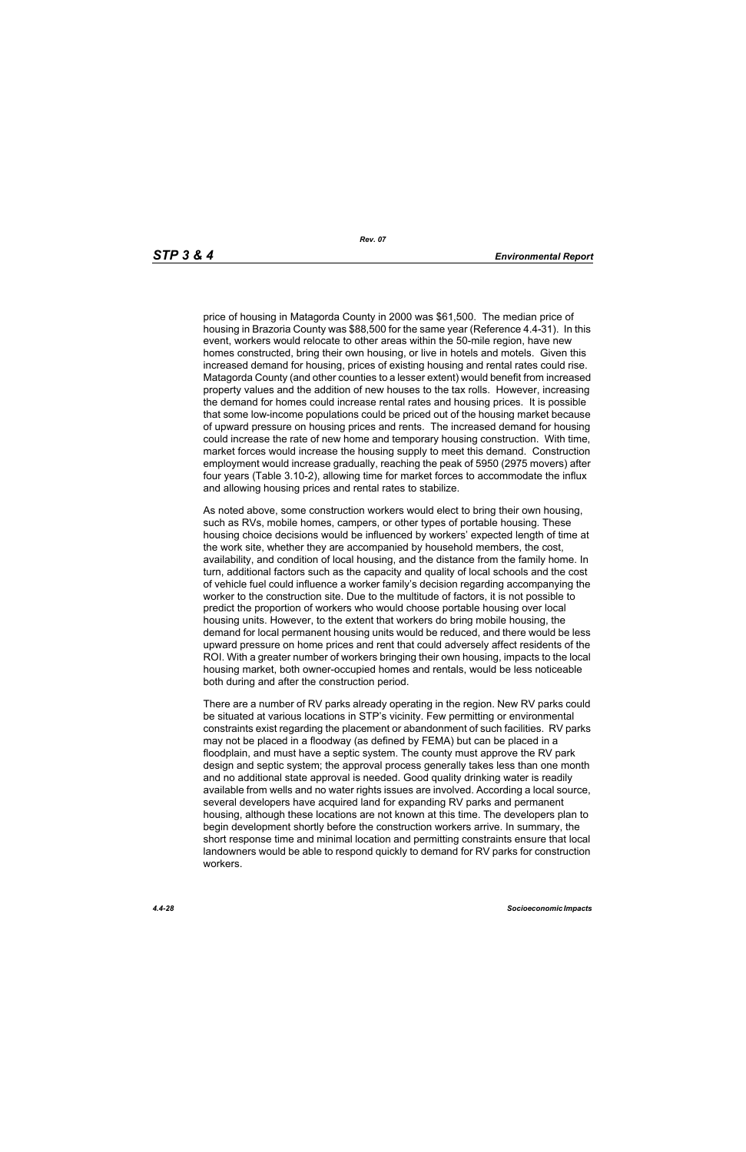price of housing in Matagorda County in 2000 was \$61,500. The median price of housing in Brazoria County was \$88,500 for the same year (Reference 4.4-31). In this event, workers would relocate to other areas within the 50-mile region, have new homes constructed, bring their own housing, or live in hotels and motels. Given this increased demand for housing, prices of existing housing and rental rates could rise. Matagorda County (and other counties to a lesser extent) would benefit from increased property values and the addition of new houses to the tax rolls. However, increasing the demand for homes could increase rental rates and housing prices. It is possible that some low-income populations could be priced out of the housing market because of upward pressure on housing prices and rents. The increased demand for housing could increase the rate of new home and temporary housing construction. With time, market forces would increase the housing supply to meet this demand. Construction employment would increase gradually, reaching the peak of 5950 (2975 movers) after four years (Table 3.10-2), allowing time for market forces to accommodate the influx and allowing housing prices and rental rates to stabilize.

As noted above, some construction workers would elect to bring their own housing, such as RVs, mobile homes, campers, or other types of portable housing. These housing choice decisions would be influenced by workers' expected length of time at the work site, whether they are accompanied by household members, the cost, availability, and condition of local housing, and the distance from the family home. In turn, additional factors such as the capacity and quality of local schools and the cost of vehicle fuel could influence a worker family's decision regarding accompanying the worker to the construction site. Due to the multitude of factors, it is not possible to predict the proportion of workers who would choose portable housing over local housing units. However, to the extent that workers do bring mobile housing, the demand for local permanent housing units would be reduced, and there would be less upward pressure on home prices and rent that could adversely affect residents of the ROI. With a greater number of workers bringing their own housing, impacts to the local housing market, both owner-occupied homes and rentals, would be less noticeable both during and after the construction period.

There are a number of RV parks already operating in the region. New RV parks could be situated at various locations in STP's vicinity. Few permitting or environmental constraints exist regarding the placement or abandonment of such facilities. RV parks may not be placed in a floodway (as defined by FEMA) but can be placed in a floodplain, and must have a septic system. The county must approve the RV park design and septic system; the approval process generally takes less than one month and no additional state approval is needed. Good quality drinking water is readily available from wells and no water rights issues are involved. According a local source, several developers have acquired land for expanding RV parks and permanent housing, although these locations are not known at this time. The developers plan to begin development shortly before the construction workers arrive. In summary, the short response time and minimal location and permitting constraints ensure that local landowners would be able to respond quickly to demand for RV parks for construction workers.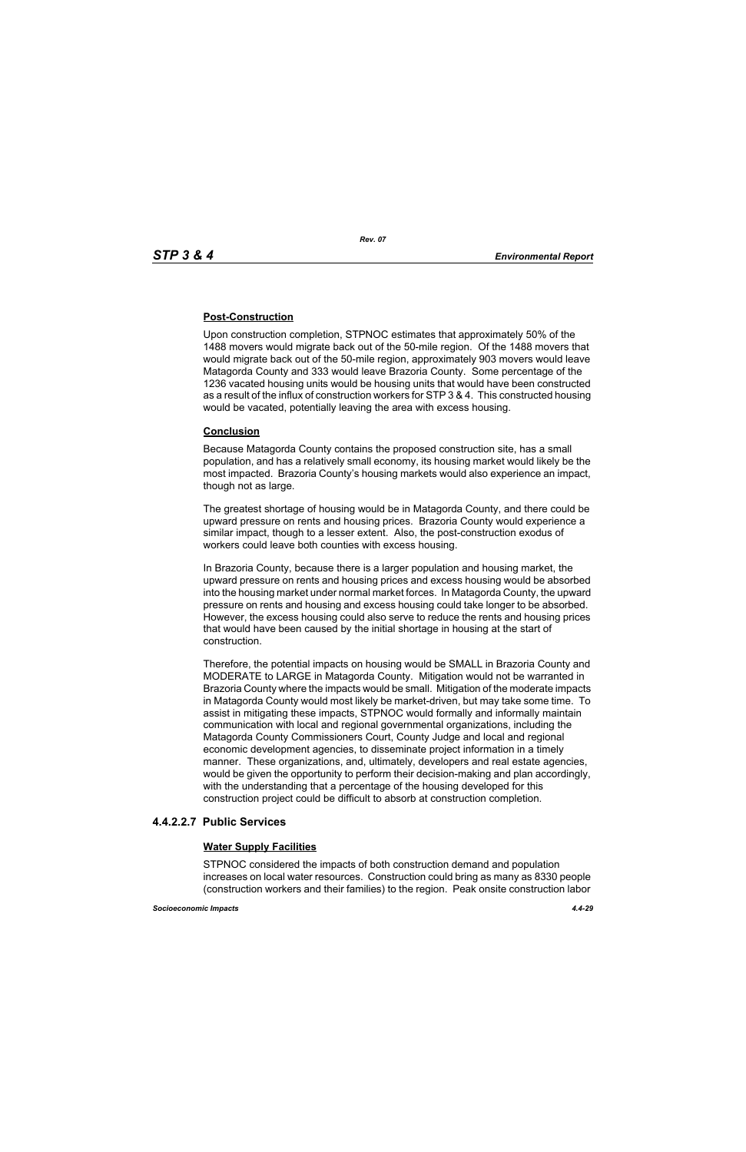## **Post-Construction**

Upon construction completion, STPNOC estimates that approximately 50% of the 1488 movers would migrate back out of the 50-mile region. Of the 1488 movers that would migrate back out of the 50-mile region, approximately 903 movers would leave Matagorda County and 333 would leave Brazoria County. Some percentage of the 1236 vacated housing units would be housing units that would have been constructed as a result of the influx of construction workers for STP 3 & 4. This constructed housing would be vacated, potentially leaving the area with excess housing.

## **Conclusion**

Because Matagorda County contains the proposed construction site, has a small population, and has a relatively small economy, its housing market would likely be the most impacted. Brazoria County's housing markets would also experience an impact, though not as large.

The greatest shortage of housing would be in Matagorda County, and there could be upward pressure on rents and housing prices. Brazoria County would experience a similar impact, though to a lesser extent. Also, the post-construction exodus of workers could leave both counties with excess housing.

In Brazoria County, because there is a larger population and housing market, the upward pressure on rents and housing prices and excess housing would be absorbed into the housing market under normal market forces. In Matagorda County, the upward pressure on rents and housing and excess housing could take longer to be absorbed. However, the excess housing could also serve to reduce the rents and housing prices that would have been caused by the initial shortage in housing at the start of construction.

Therefore, the potential impacts on housing would be SMALL in Brazoria County and MODERATE to LARGE in Matagorda County. Mitigation would not be warranted in Brazoria County where the impacts would be small. Mitigation of the moderate impacts in Matagorda County would most likely be market-driven, but may take some time. To assist in mitigating these impacts, STPNOC would formally and informally maintain communication with local and regional governmental organizations, including the Matagorda County Commissioners Court, County Judge and local and regional economic development agencies, to disseminate project information in a timely manner. These organizations, and, ultimately, developers and real estate agencies, would be given the opportunity to perform their decision-making and plan accordingly, with the understanding that a percentage of the housing developed for this construction project could be difficult to absorb at construction completion.

## **4.4.2.2.7 Public Services**

## **Water Supply Facilities**

STPNOC considered the impacts of both construction demand and population increases on local water resources. Construction could bring as many as 8330 people (construction workers and their families) to the region. Peak onsite construction labor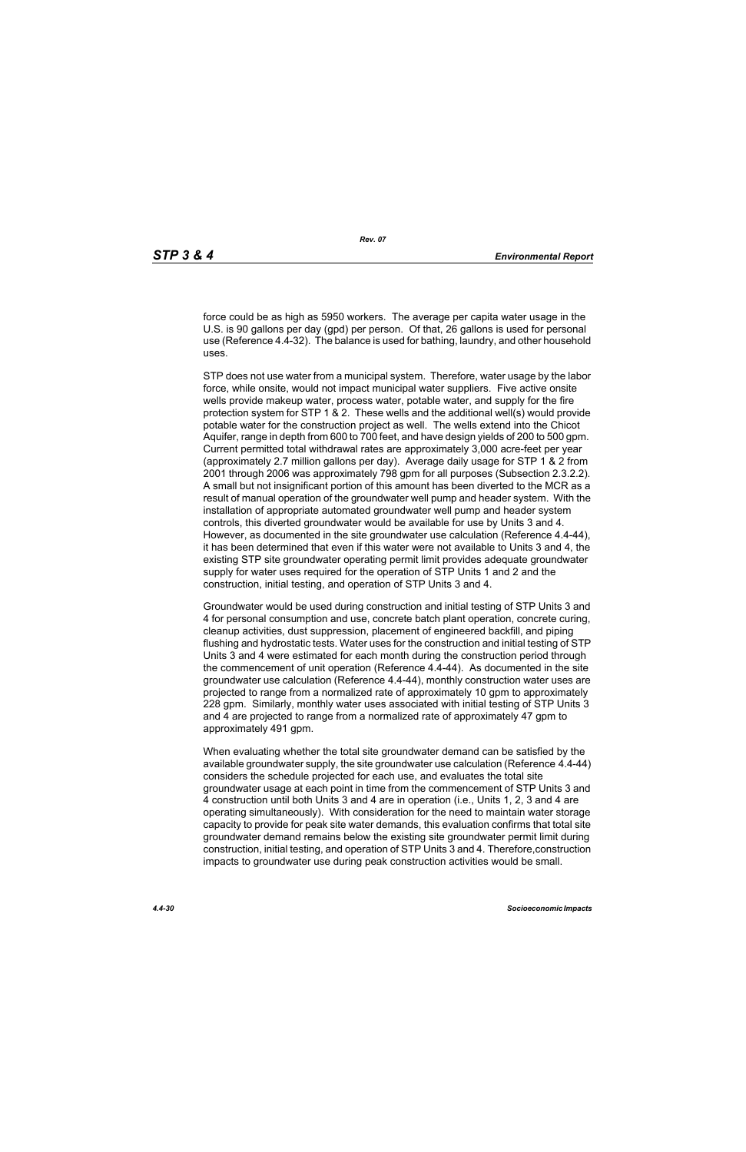force could be as high as 5950 workers. The average per capita water usage in the U.S. is 90 gallons per day (gpd) per person. Of that, 26 gallons is used for personal use (Reference 4.4-32). The balance is used for bathing, laundry, and other household uses.

STP does not use water from a municipal system. Therefore, water usage by the labor force, while onsite, would not impact municipal water suppliers. Five active onsite wells provide makeup water, process water, potable water, and supply for the fire protection system for STP 1 & 2. These wells and the additional well(s) would provide potable water for the construction project as well. The wells extend into the Chicot Aquifer, range in depth from 600 to 700 feet, and have design yields of 200 to 500 gpm. Current permitted total withdrawal rates are approximately 3,000 acre-feet per year (approximately 2.7 million gallons per day). Average daily usage for STP 1 & 2 from 2001 through 2006 was approximately 798 gpm for all purposes (Subsection 2.3.2.2). A small but not insignificant portion of this amount has been diverted to the MCR as a result of manual operation of the groundwater well pump and header system. With the installation of appropriate automated groundwater well pump and header system controls, this diverted groundwater would be available for use by Units 3 and 4. However, as documented in the site groundwater use calculation (Reference 4.4-44), it has been determined that even if this water were not available to Units 3 and 4, the existing STP site groundwater operating permit limit provides adequate groundwater supply for water uses required for the operation of STP Units 1 and 2 and the construction, initial testing, and operation of STP Units 3 and 4.

Groundwater would be used during construction and initial testing of STP Units 3 and 4 for personal consumption and use, concrete batch plant operation, concrete curing, cleanup activities, dust suppression, placement of engineered backfill, and piping flushing and hydrostatic tests. Water uses for the construction and initial testing of STP Units 3 and 4 were estimated for each month during the construction period through the commencement of unit operation (Reference 4.4-44). As documented in the site groundwater use calculation (Reference 4.4-44), monthly construction water uses are projected to range from a normalized rate of approximately 10 gpm to approximately 228 gpm. Similarly, monthly water uses associated with initial testing of STP Units 3 and 4 are projected to range from a normalized rate of approximately 47 gpm to approximately 491 gpm.

When evaluating whether the total site groundwater demand can be satisfied by the available groundwater supply, the site groundwater use calculation (Reference 4.4-44) considers the schedule projected for each use, and evaluates the total site groundwater usage at each point in time from the commencement of STP Units 3 and 4 construction until both Units 3 and 4 are in operation (i.e., Units 1, 2, 3 and 4 are operating simultaneously). With consideration for the need to maintain water storage capacity to provide for peak site water demands, this evaluation confirms that total site groundwater demand remains below the existing site groundwater permit limit during construction, initial testing, and operation of STP Units 3 and 4. Therefore,construction impacts to groundwater use during peak construction activities would be small.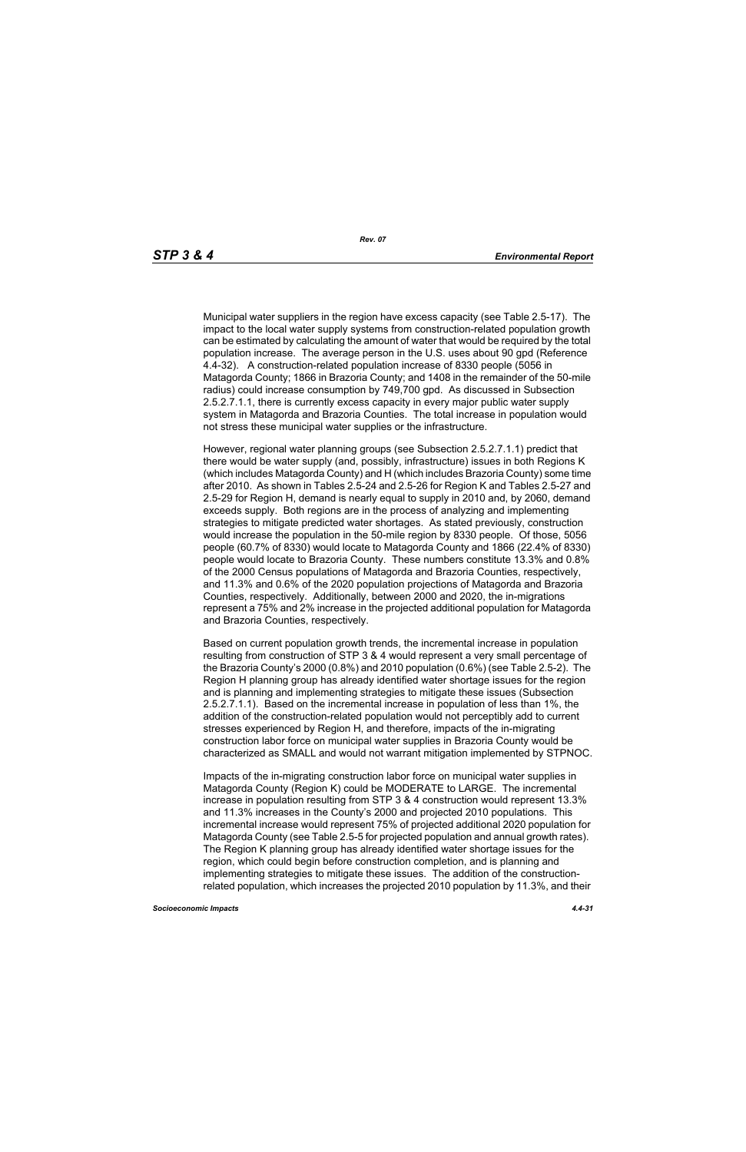Municipal water suppliers in the region have excess capacity (see Table 2.5-17). The impact to the local water supply systems from construction-related population growth can be estimated by calculating the amount of water that would be required by the total population increase. The average person in the U.S. uses about 90 gpd (Reference 4.4-32). A construction-related population increase of 8330 people (5056 in Matagorda County; 1866 in Brazoria County; and 1408 in the remainder of the 50-mile radius) could increase consumption by 749,700 gpd. As discussed in Subsection 2.5.2.7.1.1, there is currently excess capacity in every major public water supply system in Matagorda and Brazoria Counties. The total increase in population would not stress these municipal water supplies or the infrastructure.

However, regional water planning groups (see Subsection 2.5.2.7.1.1) predict that there would be water supply (and, possibly, infrastructure) issues in both Regions K (which includes Matagorda County) and H (which includes Brazoria County) some time after 2010. As shown in Tables 2.5-24 and 2.5-26 for Region K and Tables 2.5-27 and 2.5-29 for Region H, demand is nearly equal to supply in 2010 and, by 2060, demand exceeds supply. Both regions are in the process of analyzing and implementing strategies to mitigate predicted water shortages. As stated previously, construction would increase the population in the 50-mile region by 8330 people. Of those, 5056 people (60.7% of 8330) would locate to Matagorda County and 1866 (22.4% of 8330) people would locate to Brazoria County. These numbers constitute 13.3% and 0.8% of the 2000 Census populations of Matagorda and Brazoria Counties, respectively, and 11.3% and 0.6% of the 2020 population projections of Matagorda and Brazoria Counties, respectively. Additionally, between 2000 and 2020, the in-migrations represent a 75% and 2% increase in the projected additional population for Matagorda and Brazoria Counties, respectively.

Based on current population growth trends, the incremental increase in population resulting from construction of STP 3 & 4 would represent a very small percentage of the Brazoria County's 2000 (0.8%) and 2010 population (0.6%) (see Table 2.5-2). The Region H planning group has already identified water shortage issues for the region and is planning and implementing strategies to mitigate these issues (Subsection 2.5.2.7.1.1). Based on the incremental increase in population of less than 1%, the addition of the construction-related population would not perceptibly add to current stresses experienced by Region H, and therefore, impacts of the in-migrating construction labor force on municipal water supplies in Brazoria County would be characterized as SMALL and would not warrant mitigation implemented by STPNOC.

Impacts of the in-migrating construction labor force on municipal water supplies in Matagorda County (Region K) could be MODERATE to LARGE. The incremental increase in population resulting from STP 3 & 4 construction would represent 13.3% and 11.3% increases in the County's 2000 and projected 2010 populations. This incremental increase would represent 75% of projected additional 2020 population for Matagorda County (see Table 2.5-5 for projected population and annual growth rates). The Region K planning group has already identified water shortage issues for the region, which could begin before construction completion, and is planning and implementing strategies to mitigate these issues. The addition of the constructionrelated population, which increases the projected 2010 population by 11.3%, and their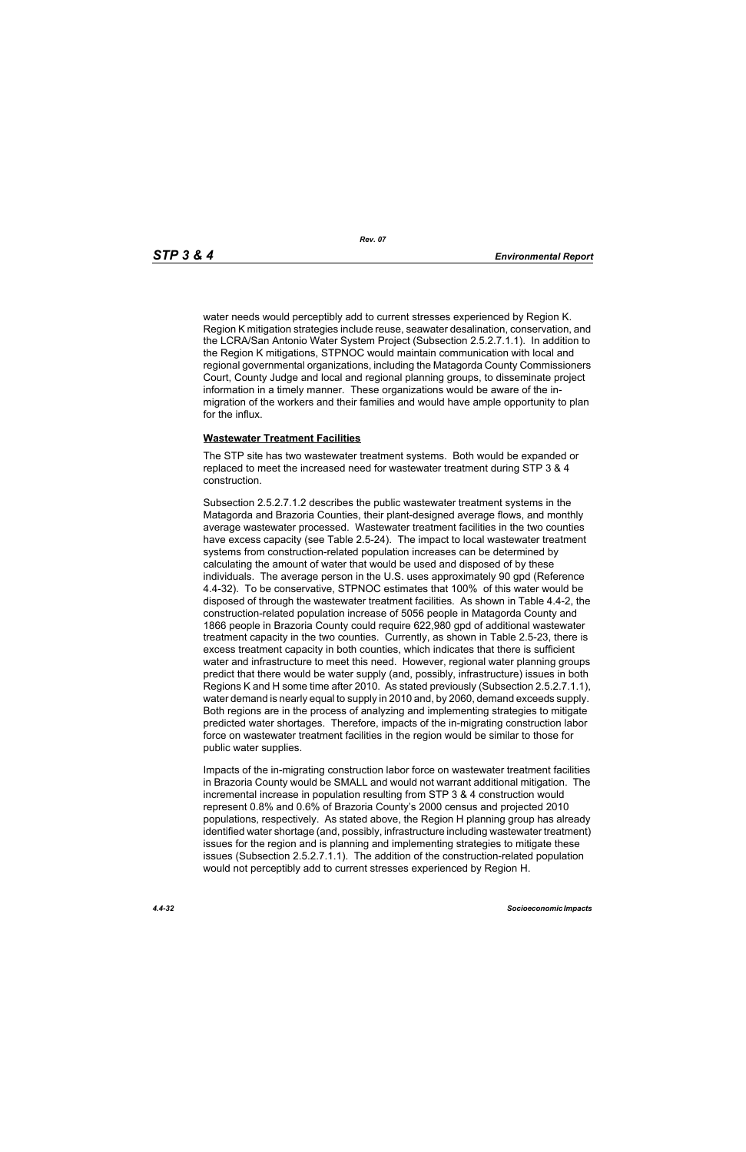water needs would perceptibly add to current stresses experienced by Region K. Region K mitigation strategies include reuse, seawater desalination, conservation, and the LCRA/San Antonio Water System Project (Subsection 2.5.2.7.1.1). In addition to the Region K mitigations, STPNOC would maintain communication with local and regional governmental organizations, including the Matagorda County Commissioners Court, County Judge and local and regional planning groups, to disseminate project information in a timely manner. These organizations would be aware of the inmigration of the workers and their families and would have ample opportunity to plan for the influx.

#### **Wastewater Treatment Facilities**

The STP site has two wastewater treatment systems. Both would be expanded or replaced to meet the increased need for wastewater treatment during STP 3 & 4 construction.

Subsection 2.5.2.7.1.2 describes the public wastewater treatment systems in the Matagorda and Brazoria Counties, their plant-designed average flows, and monthly average wastewater processed. Wastewater treatment facilities in the two counties have excess capacity (see Table 2.5-24). The impact to local wastewater treatment systems from construction-related population increases can be determined by calculating the amount of water that would be used and disposed of by these individuals. The average person in the U.S. uses approximately 90 gpd (Reference 4.4-32). To be conservative, STPNOC estimates that 100% of this water would be disposed of through the wastewater treatment facilities. As shown in Table 4.4-2, the construction-related population increase of 5056 people in Matagorda County and 1866 people in Brazoria County could require 622,980 gpd of additional wastewater treatment capacity in the two counties. Currently, as shown in Table 2.5-23, there is excess treatment capacity in both counties, which indicates that there is sufficient water and infrastructure to meet this need. However, regional water planning groups predict that there would be water supply (and, possibly, infrastructure) issues in both Regions K and H some time after 2010. As stated previously (Subsection 2.5.2.7.1.1), water demand is nearly equal to supply in 2010 and, by 2060, demand exceeds supply. Both regions are in the process of analyzing and implementing strategies to mitigate predicted water shortages. Therefore, impacts of the in-migrating construction labor force on wastewater treatment facilities in the region would be similar to those for public water supplies.

Impacts of the in-migrating construction labor force on wastewater treatment facilities in Brazoria County would be SMALL and would not warrant additional mitigation. The incremental increase in population resulting from STP 3 & 4 construction would represent 0.8% and 0.6% of Brazoria County's 2000 census and projected 2010 populations, respectively. As stated above, the Region H planning group has already identified water shortage (and, possibly, infrastructure including wastewater treatment) issues for the region and is planning and implementing strategies to mitigate these issues (Subsection 2.5.2.7.1.1). The addition of the construction-related population would not perceptibly add to current stresses experienced by Region H.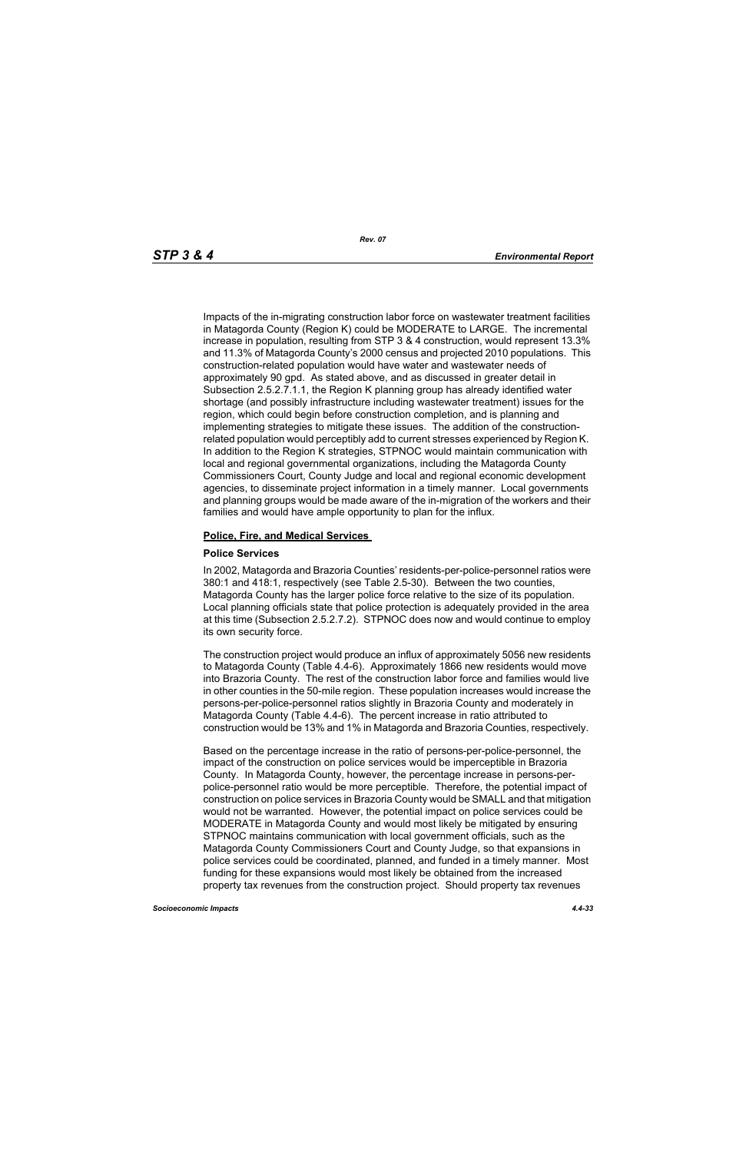Impacts of the in-migrating construction labor force on wastewater treatment facilities in Matagorda County (Region K) could be MODERATE to LARGE. The incremental increase in population, resulting from STP 3 & 4 construction, would represent 13.3% and 11.3% of Matagorda County's 2000 census and projected 2010 populations. This construction-related population would have water and wastewater needs of approximately 90 gpd. As stated above, and as discussed in greater detail in Subsection 2.5.2.7.1.1, the Region K planning group has already identified water shortage (and possibly infrastructure including wastewater treatment) issues for the region, which could begin before construction completion, and is planning and implementing strategies to mitigate these issues. The addition of the constructionrelated population would perceptibly add to current stresses experienced by Region K. In addition to the Region K strategies, STPNOC would maintain communication with local and regional governmental organizations, including the Matagorda County Commissioners Court, County Judge and local and regional economic development agencies, to disseminate project information in a timely manner. Local governments and planning groups would be made aware of the in-migration of the workers and their families and would have ample opportunity to plan for the influx.

#### **Police, Fire, and Medical Services**

#### **Police Services**

In 2002, Matagorda and Brazoria Counties' residents-per-police-personnel ratios were 380:1 and 418:1, respectively (see Table 2.5-30). Between the two counties, Matagorda County has the larger police force relative to the size of its population. Local planning officials state that police protection is adequately provided in the area at this time (Subsection 2.5.2.7.2). STPNOC does now and would continue to employ its own security force.

The construction project would produce an influx of approximately 5056 new residents to Matagorda County (Table 4.4-6). Approximately 1866 new residents would move into Brazoria County. The rest of the construction labor force and families would live in other counties in the 50-mile region. These population increases would increase the persons-per-police-personnel ratios slightly in Brazoria County and moderately in Matagorda County (Table 4.4-6). The percent increase in ratio attributed to construction would be 13% and 1% in Matagorda and Brazoria Counties, respectively.

Based on the percentage increase in the ratio of persons-per-police-personnel, the impact of the construction on police services would be imperceptible in Brazoria County. In Matagorda County, however, the percentage increase in persons-perpolice-personnel ratio would be more perceptible. Therefore, the potential impact of construction on police services in Brazoria County would be SMALL and that mitigation would not be warranted. However, the potential impact on police services could be MODERATE in Matagorda County and would most likely be mitigated by ensuring STPNOC maintains communication with local government officials, such as the Matagorda County Commissioners Court and County Judge, so that expansions in police services could be coordinated, planned, and funded in a timely manner. Most funding for these expansions would most likely be obtained from the increased property tax revenues from the construction project. Should property tax revenues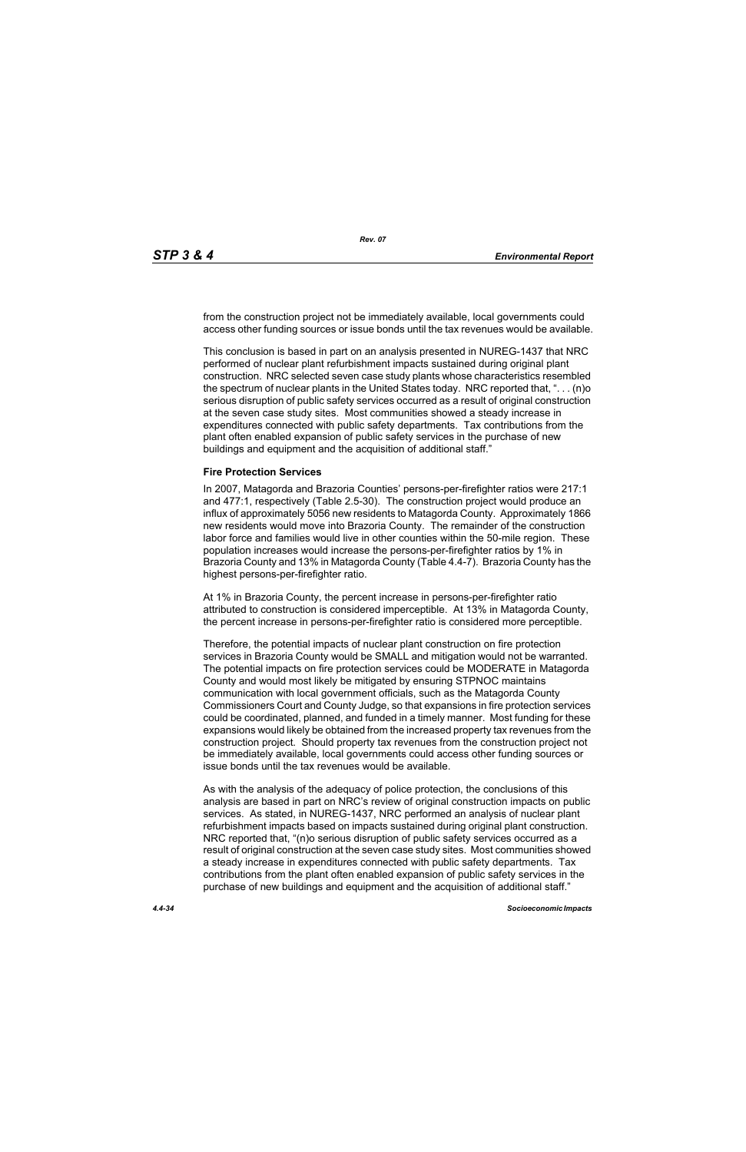from the construction project not be immediately available, local governments could access other funding sources or issue bonds until the tax revenues would be available.

This conclusion is based in part on an analysis presented in NUREG-1437 that NRC performed of nuclear plant refurbishment impacts sustained during original plant construction. NRC selected seven case study plants whose characteristics resembled the spectrum of nuclear plants in the United States today. NRC reported that, ". . . (n)o serious disruption of public safety services occurred as a result of original construction at the seven case study sites. Most communities showed a steady increase in expenditures connected with public safety departments. Tax contributions from the plant often enabled expansion of public safety services in the purchase of new buildings and equipment and the acquisition of additional staff."

#### **Fire Protection Services**

In 2007, Matagorda and Brazoria Counties' persons-per-firefighter ratios were 217:1 and 477:1, respectively (Table 2.5-30). The construction project would produce an influx of approximately 5056 new residents to Matagorda County. Approximately 1866 new residents would move into Brazoria County. The remainder of the construction labor force and families would live in other counties within the 50-mile region. These population increases would increase the persons-per-firefighter ratios by 1% in Brazoria County and 13% in Matagorda County (Table 4.4-7). Brazoria County has the highest persons-per-firefighter ratio.

At 1% in Brazoria County, the percent increase in persons-per-firefighter ratio attributed to construction is considered imperceptible. At 13% in Matagorda County, the percent increase in persons-per-firefighter ratio is considered more perceptible.

Therefore, the potential impacts of nuclear plant construction on fire protection services in Brazoria County would be SMALL and mitigation would not be warranted. The potential impacts on fire protection services could be MODERATE in Matagorda County and would most likely be mitigated by ensuring STPNOC maintains communication with local government officials, such as the Matagorda County Commissioners Court and County Judge, so that expansions in fire protection services could be coordinated, planned, and funded in a timely manner. Most funding for these expansions would likely be obtained from the increased property tax revenues from the construction project. Should property tax revenues from the construction project not be immediately available, local governments could access other funding sources or issue bonds until the tax revenues would be available.

As with the analysis of the adequacy of police protection, the conclusions of this analysis are based in part on NRC's review of original construction impacts on public services. As stated, in NUREG-1437, NRC performed an analysis of nuclear plant refurbishment impacts based on impacts sustained during original plant construction. NRC reported that, "(n)o serious disruption of public safety services occurred as a result of original construction at the seven case study sites. Most communities showed a steady increase in expenditures connected with public safety departments. Tax contributions from the plant often enabled expansion of public safety services in the purchase of new buildings and equipment and the acquisition of additional staff."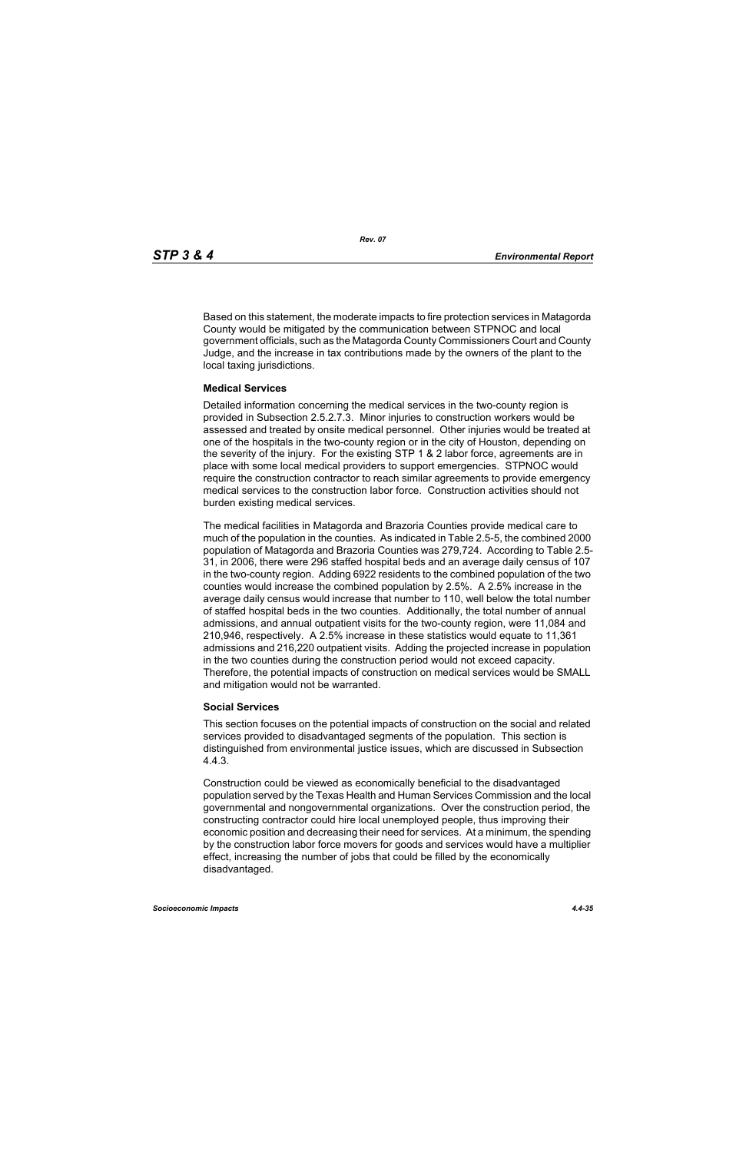Based on this statement, the moderate impacts to fire protection services in Matagorda County would be mitigated by the communication between STPNOC and local government officials, such as the Matagorda County Commissioners Court and County Judge, and the increase in tax contributions made by the owners of the plant to the local taxing jurisdictions.

#### **Medical Services**

Detailed information concerning the medical services in the two-county region is provided in Subsection 2.5.2.7.3. Minor injuries to construction workers would be assessed and treated by onsite medical personnel. Other injuries would be treated at one of the hospitals in the two-county region or in the city of Houston, depending on the severity of the injury. For the existing STP 1 & 2 labor force, agreements are in place with some local medical providers to support emergencies. STPNOC would require the construction contractor to reach similar agreements to provide emergency medical services to the construction labor force. Construction activities should not burden existing medical services.

The medical facilities in Matagorda and Brazoria Counties provide medical care to much of the population in the counties. As indicated in Table 2.5-5, the combined 2000 population of Matagorda and Brazoria Counties was 279,724. According to Table 2.5- 31, in 2006, there were 296 staffed hospital beds and an average daily census of 107 in the two-county region. Adding 6922 residents to the combined population of the two counties would increase the combined population by 2.5%. A 2.5% increase in the average daily census would increase that number to 110, well below the total number of staffed hospital beds in the two counties. Additionally, the total number of annual admissions, and annual outpatient visits for the two-county region, were 11,084 and 210,946, respectively. A 2.5% increase in these statistics would equate to 11,361 admissions and 216,220 outpatient visits. Adding the projected increase in population in the two counties during the construction period would not exceed capacity. Therefore, the potential impacts of construction on medical services would be SMALL and mitigation would not be warranted.

## **Social Services**

This section focuses on the potential impacts of construction on the social and related services provided to disadvantaged segments of the population. This section is distinguished from environmental justice issues, which are discussed in Subsection 4.4.3.

Construction could be viewed as economically beneficial to the disadvantaged population served by the Texas Health and Human Services Commission and the local governmental and nongovernmental organizations. Over the construction period, the constructing contractor could hire local unemployed people, thus improving their economic position and decreasing their need for services. At a minimum, the spending by the construction labor force movers for goods and services would have a multiplier effect, increasing the number of jobs that could be filled by the economically disadvantaged.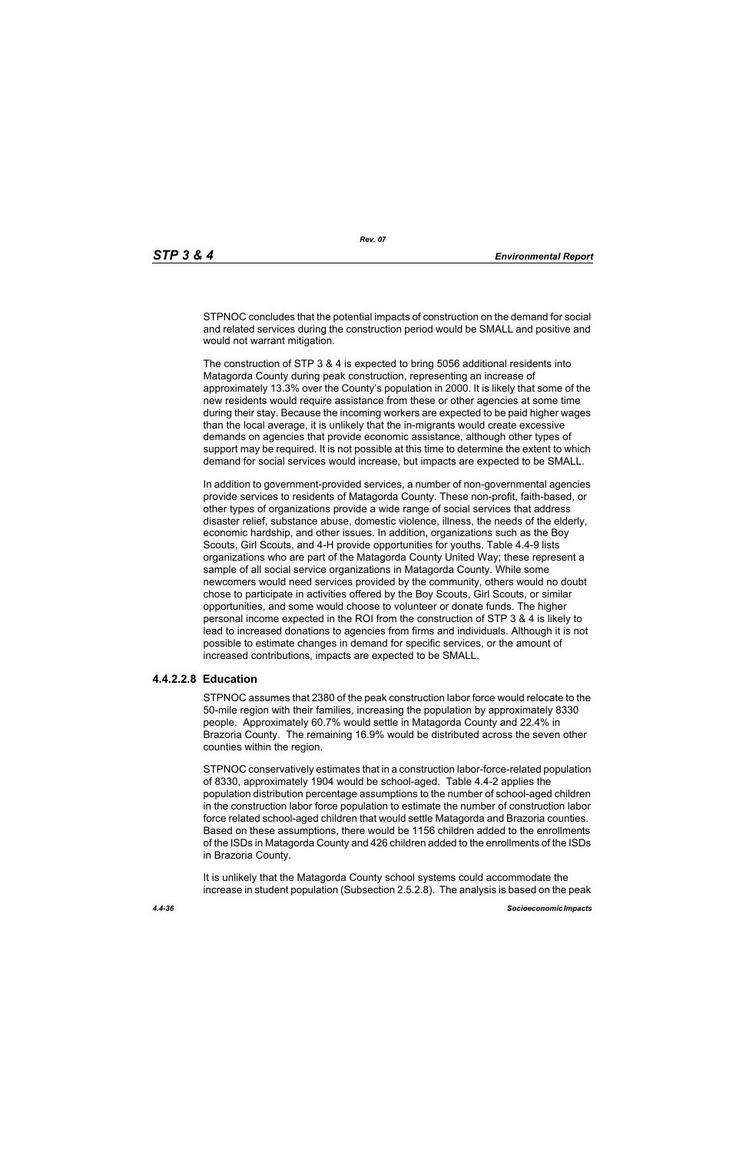STPNOC concludes that the potential impacts of construction on the demand for social and related services during the construction period would be SMALL and positive and would not warrant mitigation.

The construction of STP 3 & 4 is expected to bring 5056 additional residents into Matagorda County during peak construction, representing an increase of approximately 13.3% over the County's population in 2000. It is likely that some of the new residents would require assistance from these or other agencies at some time during their stay. Because the incoming workers are expected to be paid higher wages than the local average, it is unlikely that the in-migrants would create excessive demands on agencies that provide economic assistance, although other types of support may be required. It is not possible at this time to determine the extent to which demand for social services would increase, but impacts are expected to be SMALL.

In addition to government-provided services, a number of non-governmental agencies provide services to residents of Matagorda County. These non-profit, faith-based, or other types of organizations provide a wide range of social services that address disaster relief, substance abuse, domestic violence, illness, the needs of the elderly, economic hardship, and other issues. In addition, organizations such as the Boy Scouts, Girl Scouts, and 4-H provide opportunities for youths. Table 4.4-9 lists organizations who are part of the Matagorda County United Way; these represent a sample of all social service organizations in Matagorda County. While some newcomers would need services provided by the community, others would no doubt chose to participate in activities offered by the Boy Scouts, Girl Scouts, or similar opportunities, and some would choose to volunteer or donate funds. The higher personal income expected in the ROI from the construction of STP 3 & 4 is likely to lead to increased donations to agencies from firms and individuals. Although it is not possible to estimate changes in demand for specific services, or the amount of increased contributions, impacts are expected to be SMALL.

## **4.4.2.2.8 Education**

STPNOC assumes that 2380 of the peak construction labor force would relocate to the 50-mile region with their families, increasing the population by approximately 8330 people. Approximately 60.7% would settle in Matagorda County and 22.4% in Brazoria County. The remaining 16.9% would be distributed across the seven other counties within the region.

STPNOC conservatively estimates that in a construction labor-force-related population of 8330, approximately 1904 would be school-aged. Table 4.4-2 applies the population distribution percentage assumptions to the number of school-aged children in the construction labor force population to estimate the number of construction labor force related school-aged children that would settle Matagorda and Brazoria counties. Based on these assumptions, there would be 1156 children added to the enrollments of the ISDs in Matagorda County and 426 children added to the enrollments of the ISDs in Brazoria County.

It is unlikely that the Matagorda County school systems could accommodate the increase in student population (Subsection 2.5.2.8). The analysis is based on the peak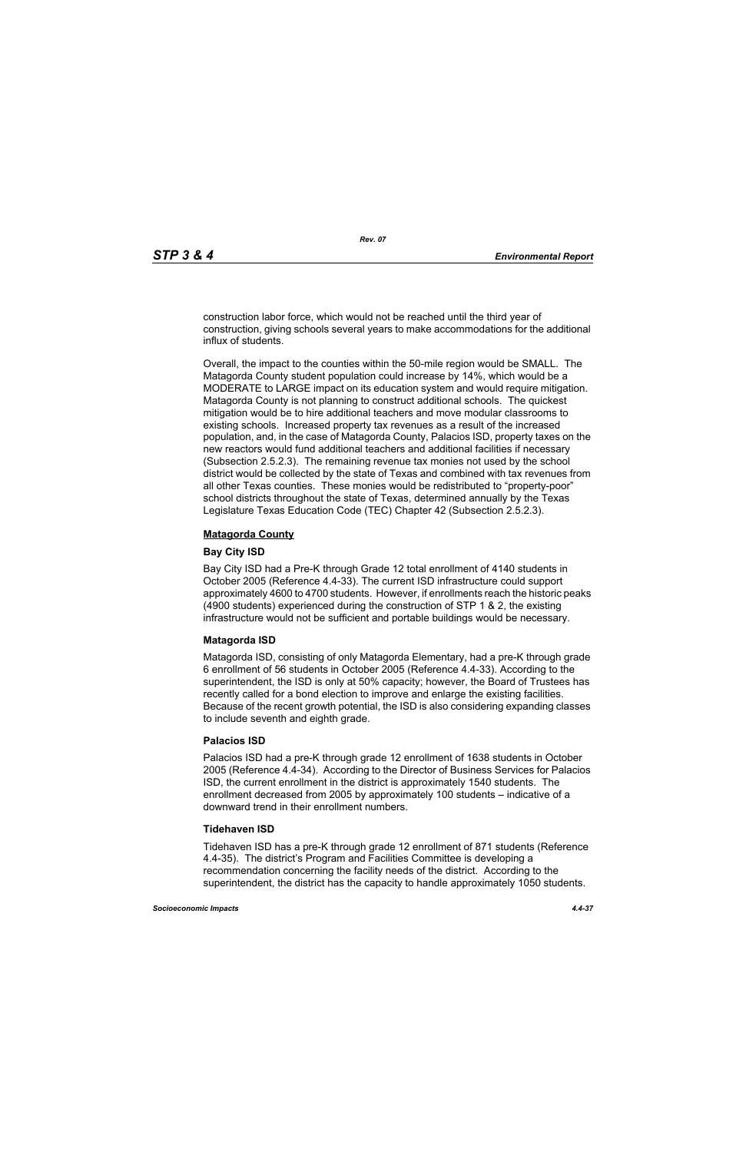construction labor force, which would not be reached until the third year of construction, giving schools several years to make accommodations for the additional influx of students.

Overall, the impact to the counties within the 50-mile region would be SMALL. The Matagorda County student population could increase by 14%, which would be a MODERATE to LARGE impact on its education system and would require mitigation. Matagorda County is not planning to construct additional schools. The quickest mitigation would be to hire additional teachers and move modular classrooms to existing schools. Increased property tax revenues as a result of the increased population, and, in the case of Matagorda County, Palacios ISD, property taxes on the new reactors would fund additional teachers and additional facilities if necessary (Subsection 2.5.2.3). The remaining revenue tax monies not used by the school district would be collected by the state of Texas and combined with tax revenues from all other Texas counties. These monies would be redistributed to "property-poor" school districts throughout the state of Texas, determined annually by the Texas Legislature Texas Education Code (TEC) Chapter 42 (Subsection 2.5.2.3).

#### **Matagorda County**

#### **Bay City ISD**

Bay City ISD had a Pre-K through Grade 12 total enrollment of 4140 students in October 2005 (Reference 4.4-33). The current ISD infrastructure could support approximately 4600 to 4700 students. However, if enrollments reach the historic peaks (4900 students) experienced during the construction of STP 1 & 2, the existing infrastructure would not be sufficient and portable buildings would be necessary.

## **Matagorda ISD**

Matagorda ISD, consisting of only Matagorda Elementary, had a pre-K through grade 6 enrollment of 56 students in October 2005 (Reference 4.4-33). According to the superintendent, the ISD is only at 50% capacity; however, the Board of Trustees has recently called for a bond election to improve and enlarge the existing facilities. Because of the recent growth potential, the ISD is also considering expanding classes to include seventh and eighth grade.

#### **Palacios ISD**

Palacios ISD had a pre-K through grade 12 enrollment of 1638 students in October 2005 (Reference 4.4-34). According to the Director of Business Services for Palacios ISD, the current enrollment in the district is approximately 1540 students. The enrollment decreased from 2005 by approximately 100 students – indicative of a downward trend in their enrollment numbers.

#### **Tidehaven ISD**

Tidehaven ISD has a pre-K through grade 12 enrollment of 871 students (Reference 4.4-35). The district's Program and Facilities Committee is developing a recommendation concerning the facility needs of the district. According to the superintendent, the district has the capacity to handle approximately 1050 students.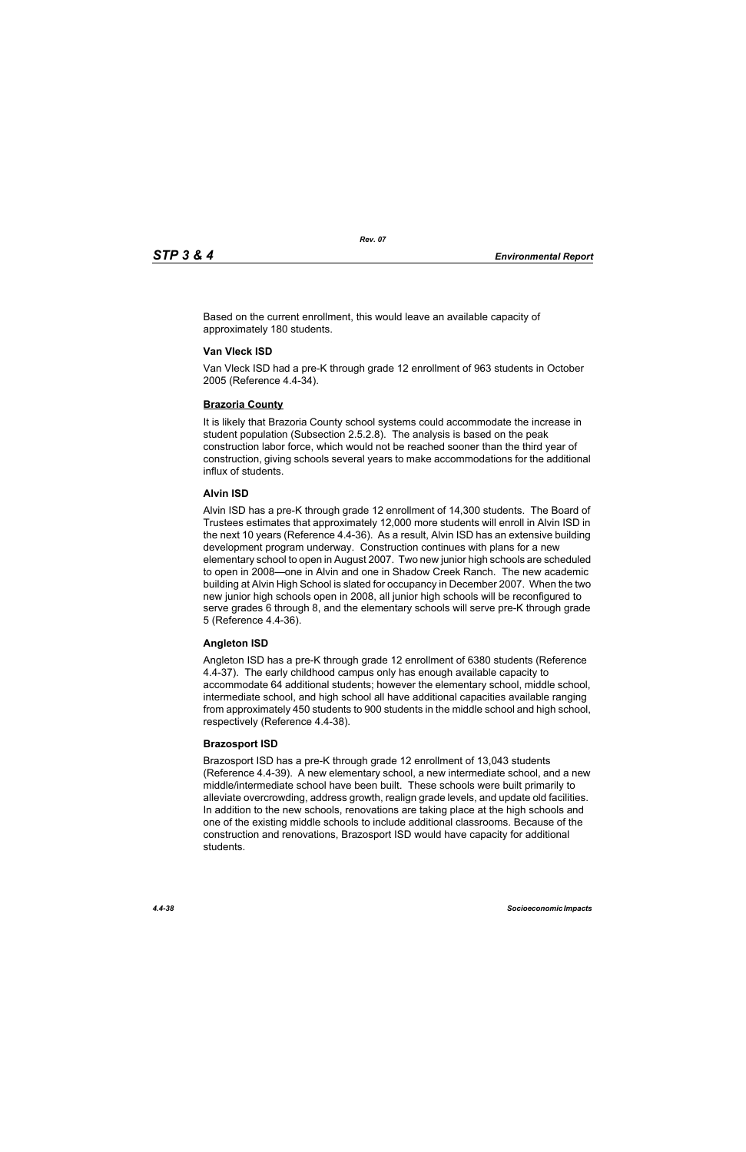Based on the current enrollment, this would leave an available capacity of approximately 180 students.

## **Van Vleck ISD**

Van Vleck ISD had a pre-K through grade 12 enrollment of 963 students in October 2005 (Reference 4.4-34).

## **Brazoria County**

It is likely that Brazoria County school systems could accommodate the increase in student population (Subsection 2.5.2.8). The analysis is based on the peak construction labor force, which would not be reached sooner than the third year of construction, giving schools several years to make accommodations for the additional influx of students.

## **Alvin ISD**

Alvin ISD has a pre-K through grade 12 enrollment of 14,300 students. The Board of Trustees estimates that approximately 12,000 more students will enroll in Alvin ISD in the next 10 years (Reference 4.4-36). As a result, Alvin ISD has an extensive building development program underway. Construction continues with plans for a new elementary school to open in August 2007. Two new junior high schools are scheduled to open in 2008—one in Alvin and one in Shadow Creek Ranch. The new academic building at Alvin High School is slated for occupancy in December 2007. When the two new junior high schools open in 2008, all junior high schools will be reconfigured to serve grades 6 through 8, and the elementary schools will serve pre-K through grade 5 (Reference 4.4-36).

## **Angleton ISD**

Angleton ISD has a pre-K through grade 12 enrollment of 6380 students (Reference 4.4-37). The early childhood campus only has enough available capacity to accommodate 64 additional students; however the elementary school, middle school, intermediate school, and high school all have additional capacities available ranging from approximately 450 students to 900 students in the middle school and high school, respectively (Reference 4.4-38).

## **Brazosport ISD**

Brazosport ISD has a pre-K through grade 12 enrollment of 13,043 students (Reference 4.4-39). A new elementary school, a new intermediate school, and a new middle/intermediate school have been built. These schools were built primarily to alleviate overcrowding, address growth, realign grade levels, and update old facilities. In addition to the new schools, renovations are taking place at the high schools and one of the existing middle schools to include additional classrooms. Because of the construction and renovations, Brazosport ISD would have capacity for additional students.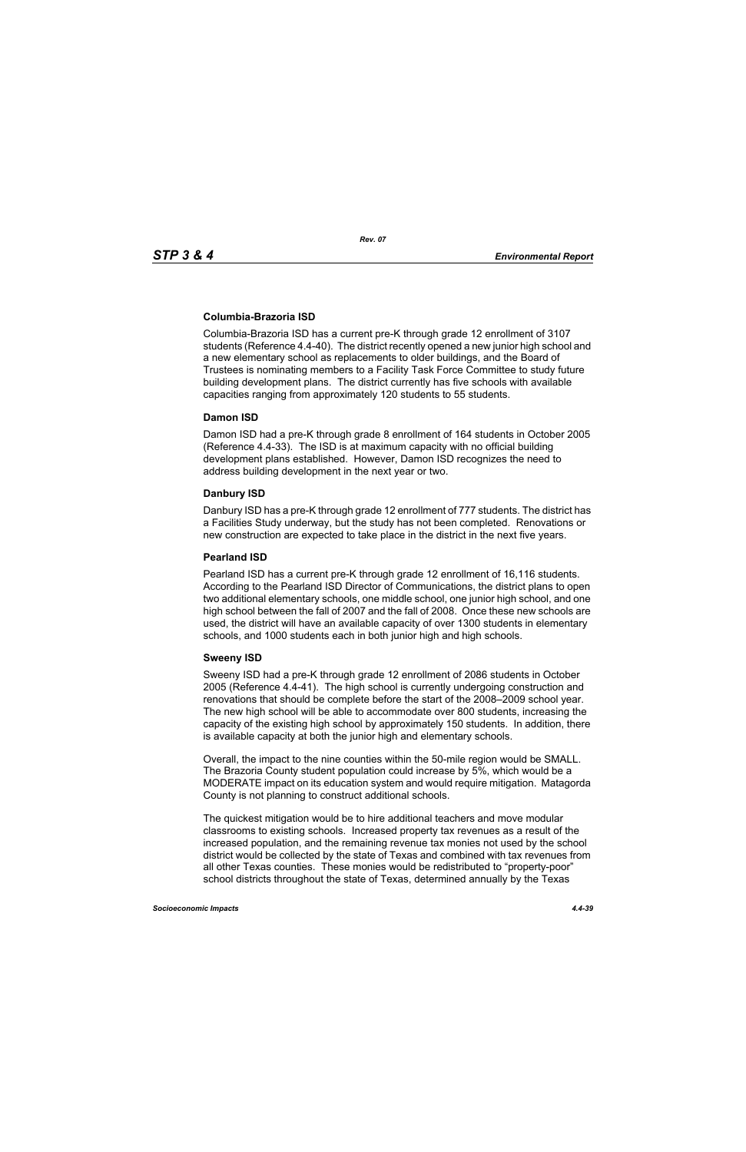## **Columbia-Brazoria ISD**

Columbia-Brazoria ISD has a current pre-K through grade 12 enrollment of 3107 students (Reference 4.4-40). The district recently opened a new junior high school and a new elementary school as replacements to older buildings, and the Board of Trustees is nominating members to a Facility Task Force Committee to study future building development plans. The district currently has five schools with available capacities ranging from approximately 120 students to 55 students.

#### **Damon ISD**

Damon ISD had a pre-K through grade 8 enrollment of 164 students in October 2005 (Reference 4.4-33). The ISD is at maximum capacity with no official building development plans established. However, Damon ISD recognizes the need to address building development in the next year or two.

## **Danbury ISD**

Danbury ISD has a pre-K through grade 12 enrollment of 777 students. The district has a Facilities Study underway, but the study has not been completed. Renovations or new construction are expected to take place in the district in the next five years.

#### **Pearland ISD**

Pearland ISD has a current pre-K through grade 12 enrollment of 16,116 students. According to the Pearland ISD Director of Communications, the district plans to open two additional elementary schools, one middle school, one junior high school, and one high school between the fall of 2007 and the fall of 2008. Once these new schools are used, the district will have an available capacity of over 1300 students in elementary schools, and 1000 students each in both junior high and high schools.

## **Sweeny ISD**

Sweeny ISD had a pre-K through grade 12 enrollment of 2086 students in October 2005 (Reference 4.4-41). The high school is currently undergoing construction and renovations that should be complete before the start of the 2008–2009 school year. The new high school will be able to accommodate over 800 students, increasing the capacity of the existing high school by approximately 150 students. In addition, there is available capacity at both the junior high and elementary schools.

Overall, the impact to the nine counties within the 50-mile region would be SMALL. The Brazoria County student population could increase by 5%, which would be a MODERATE impact on its education system and would require mitigation. Matagorda County is not planning to construct additional schools.

The quickest mitigation would be to hire additional teachers and move modular classrooms to existing schools. Increased property tax revenues as a result of the increased population, and the remaining revenue tax monies not used by the school district would be collected by the state of Texas and combined with tax revenues from all other Texas counties. These monies would be redistributed to "property-poor" school districts throughout the state of Texas, determined annually by the Texas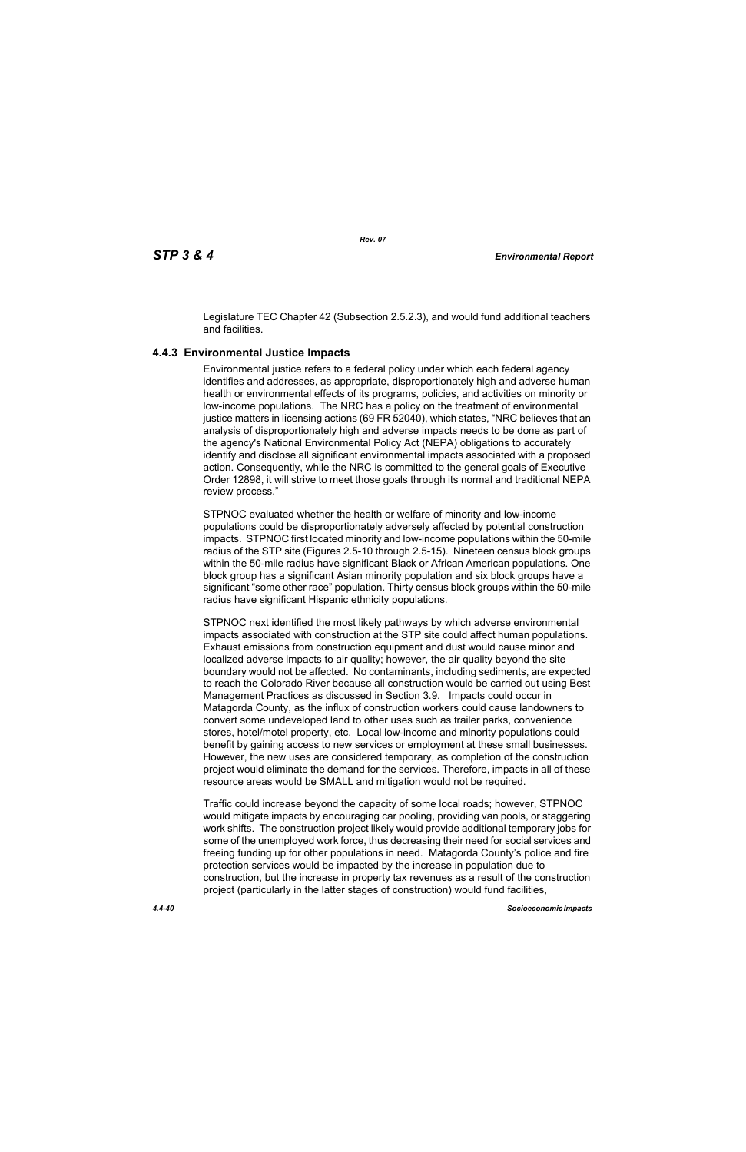Legislature TEC Chapter 42 (Subsection 2.5.2.3), and would fund additional teachers and facilities.

# **4.4.3 Environmental Justice Impacts**

Environmental justice refers to a federal policy under which each federal agency identifies and addresses, as appropriate, disproportionately high and adverse human health or environmental effects of its programs, policies, and activities on minority or low-income populations. The NRC has a policy on the treatment of environmental justice matters in licensing actions (69 FR 52040), which states, "NRC believes that an analysis of disproportionately high and adverse impacts needs to be done as part of the agency's National Environmental Policy Act (NEPA) obligations to accurately identify and disclose all significant environmental impacts associated with a proposed action. Consequently, while the NRC is committed to the general goals of Executive Order 12898, it will strive to meet those goals through its normal and traditional NEPA review process."

STPNOC evaluated whether the health or welfare of minority and low-income populations could be disproportionately adversely affected by potential construction impacts. STPNOC first located minority and low-income populations within the 50-mile radius of the STP site (Figures 2.5-10 through 2.5-15). Nineteen census block groups within the 50-mile radius have significant Black or African American populations. One block group has a significant Asian minority population and six block groups have a significant "some other race" population. Thirty census block groups within the 50-mile radius have significant Hispanic ethnicity populations.

STPNOC next identified the most likely pathways by which adverse environmental impacts associated with construction at the STP site could affect human populations. Exhaust emissions from construction equipment and dust would cause minor and localized adverse impacts to air quality; however, the air quality beyond the site boundary would not be affected. No contaminants, including sediments, are expected to reach the Colorado River because all construction would be carried out using Best Management Practices as discussed in Section 3.9. Impacts could occur in Matagorda County, as the influx of construction workers could cause landowners to convert some undeveloped land to other uses such as trailer parks, convenience stores, hotel/motel property, etc. Local low-income and minority populations could benefit by gaining access to new services or employment at these small businesses. However, the new uses are considered temporary, as completion of the construction project would eliminate the demand for the services. Therefore, impacts in all of these resource areas would be SMALL and mitigation would not be required.

Traffic could increase beyond the capacity of some local roads; however, STPNOC would mitigate impacts by encouraging car pooling, providing van pools, or staggering work shifts. The construction project likely would provide additional temporary jobs for some of the unemployed work force, thus decreasing their need for social services and freeing funding up for other populations in need. Matagorda County's police and fire protection services would be impacted by the increase in population due to construction, but the increase in property tax revenues as a result of the construction project (particularly in the latter stages of construction) would fund facilities,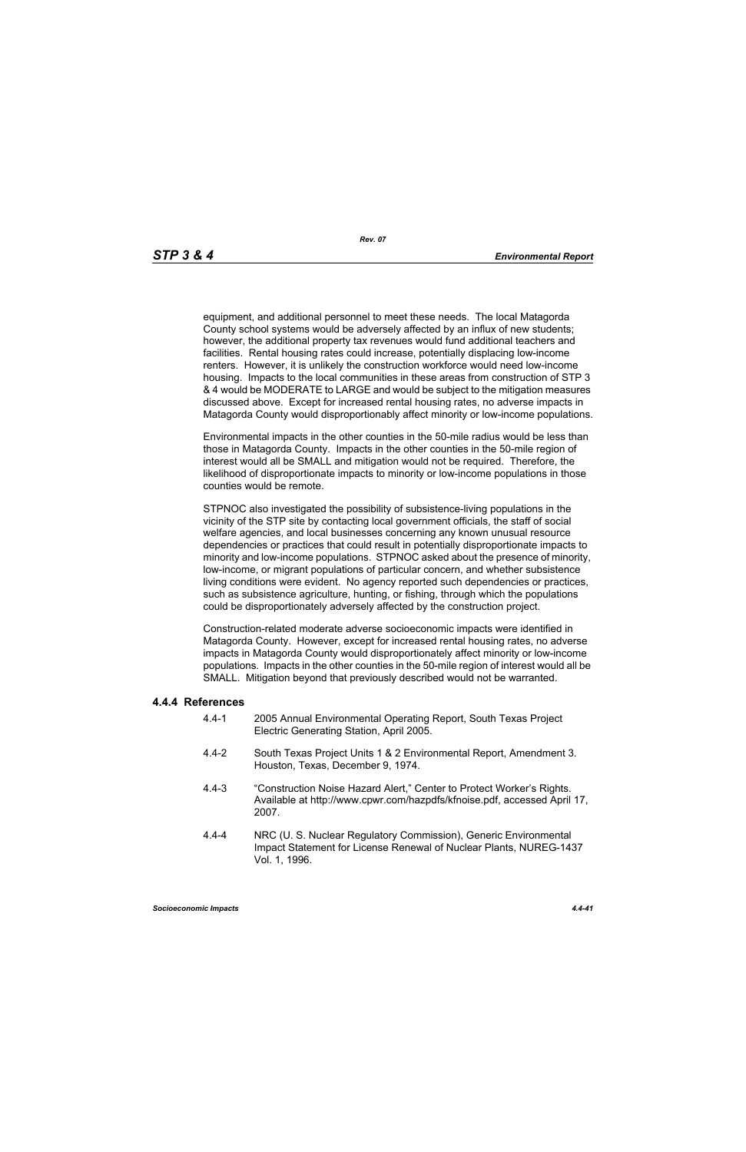equipment, and additional personnel to meet these needs. The local Matagorda County school systems would be adversely affected by an influx of new students; however, the additional property tax revenues would fund additional teachers and facilities. Rental housing rates could increase, potentially displacing low-income renters. However, it is unlikely the construction workforce would need low-income housing. Impacts to the local communities in these areas from construction of STP 3 & 4 would be MODERATE to LARGE and would be subject to the mitigation measures discussed above. Except for increased rental housing rates, no adverse impacts in Matagorda County would disproportionably affect minority or low-income populations.

Environmental impacts in the other counties in the 50-mile radius would be less than those in Matagorda County. Impacts in the other counties in the 50-mile region of interest would all be SMALL and mitigation would not be required. Therefore, the likelihood of disproportionate impacts to minority or low-income populations in those counties would be remote.

STPNOC also investigated the possibility of subsistence-living populations in the vicinity of the STP site by contacting local government officials, the staff of social welfare agencies, and local businesses concerning any known unusual resource dependencies or practices that could result in potentially disproportionate impacts to minority and low-income populations. STPNOC asked about the presence of minority, low-income, or migrant populations of particular concern, and whether subsistence living conditions were evident. No agency reported such dependencies or practices, such as subsistence agriculture, hunting, or fishing, through which the populations could be disproportionately adversely affected by the construction project.

Construction-related moderate adverse socioeconomic impacts were identified in Matagorda County. However, except for increased rental housing rates, no adverse impacts in Matagorda County would disproportionately affect minority or low-income populations. Impacts in the other counties in the 50-mile region of interest would all be SMALL. Mitigation beyond that previously described would not be warranted.

#### **4.4.4 References**

- 4.4-1 2005 Annual Environmental Operating Report, South Texas Project Electric Generating Station, April 2005.
- 4.4-2 South Texas Project Units 1 & 2 Environmental Report, Amendment 3. Houston, Texas, December 9, 1974.
- 4.4-3 "Construction Noise Hazard Alert," Center to Protect Worker's Rights. Available at http://www.cpwr.com/hazpdfs/kfnoise.pdf, accessed April 17, 2007.
- 4.4-4 NRC (U. S. Nuclear Regulatory Commission), Generic Environmental Impact Statement for License Renewal of Nuclear Plants, NUREG-1437 Vol. 1, 1996.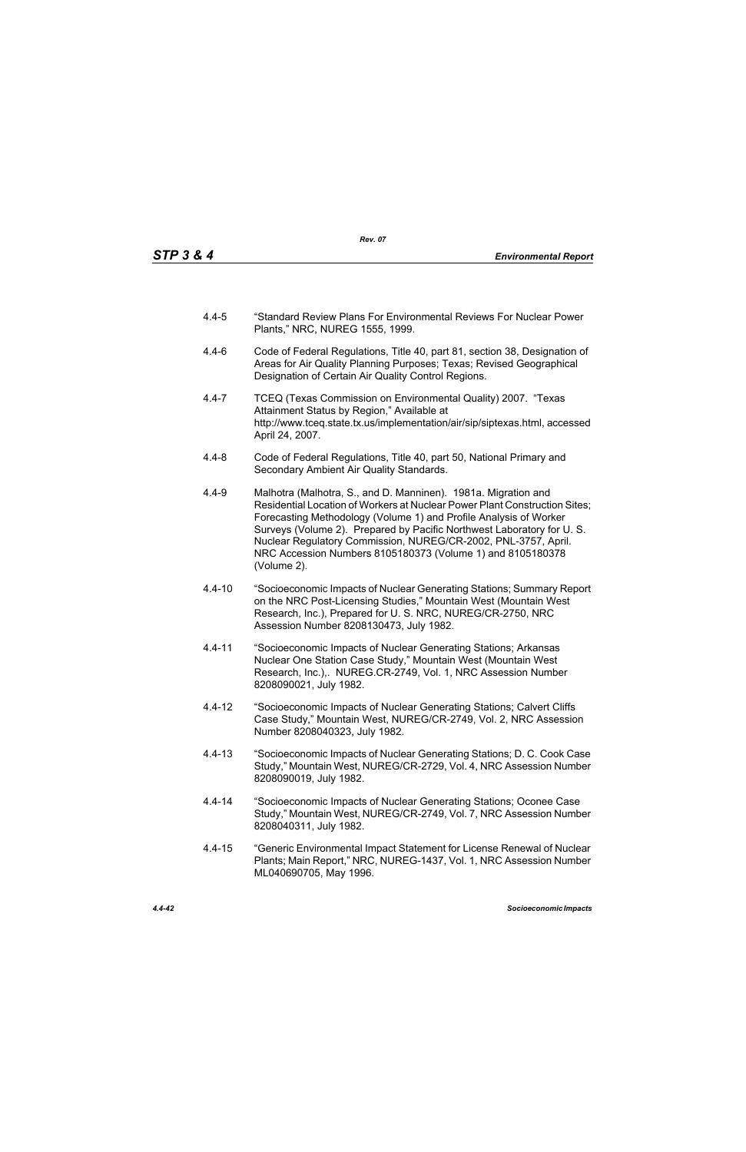- 4.4-5 "Standard Review Plans For Environmental Reviews For Nuclear Power Plants," NRC, NUREG 1555, 1999.
- 4.4-6 Code of Federal Regulations, Title 40, part 81, section 38, Designation of Areas for Air Quality Planning Purposes; Texas; Revised Geographical Designation of Certain Air Quality Control Regions.
- 4.4-7 TCEQ (Texas Commission on Environmental Quality) 2007. "Texas Attainment Status by Region," Available at http://www.tceq.state.tx.us/implementation/air/sip/siptexas.html, accessed April 24, 2007.
- 4.4-8 Code of Federal Regulations, Title 40, part 50, National Primary and Secondary Ambient Air Quality Standards.
- 4.4-9 Malhotra (Malhotra, S., and D. Manninen). 1981a. Migration and Residential Location of Workers at Nuclear Power Plant Construction Sites; Forecasting Methodology (Volume 1) and Profile Analysis of Worker Surveys (Volume 2). Prepared by Pacific Northwest Laboratory for U. S. Nuclear Regulatory Commission, NUREG/CR-2002, PNL-3757, April. NRC Accession Numbers 8105180373 (Volume 1) and 8105180378 (Volume 2).
- 4.4-10 "Socioeconomic Impacts of Nuclear Generating Stations; Summary Report on the NRC Post-Licensing Studies," Mountain West (Mountain West Research, Inc.), Prepared for U. S. NRC, NUREG/CR-2750, NRC Assession Number 8208130473, July 1982.
- 4.4-11 "Socioeconomic Impacts of Nuclear Generating Stations; Arkansas Nuclear One Station Case Study," Mountain West (Mountain West Research, Inc.),. NUREG.CR-2749, Vol. 1, NRC Assession Number 8208090021, July 1982.
- 4.4-12 "Socioeconomic Impacts of Nuclear Generating Stations; Calvert Cliffs Case Study," Mountain West, NUREG/CR-2749, Vol. 2, NRC Assession Number 8208040323, July 1982.
- 4.4-13 "Socioeconomic Impacts of Nuclear Generating Stations; D. C. Cook Case Study," Mountain West, NUREG/CR-2729, Vol. 4, NRC Assession Number 8208090019, July 1982.
- 4.4-14 "Socioeconomic Impacts of Nuclear Generating Stations; Oconee Case Study," Mountain West, NUREG/CR-2749, Vol. 7, NRC Assession Number 8208040311, July 1982.
- 4.4-15 "Generic Environmental Impact Statement for License Renewal of Nuclear Plants; Main Report," NRC, NUREG-1437, Vol. 1, NRC Assession Number ML040690705, May 1996.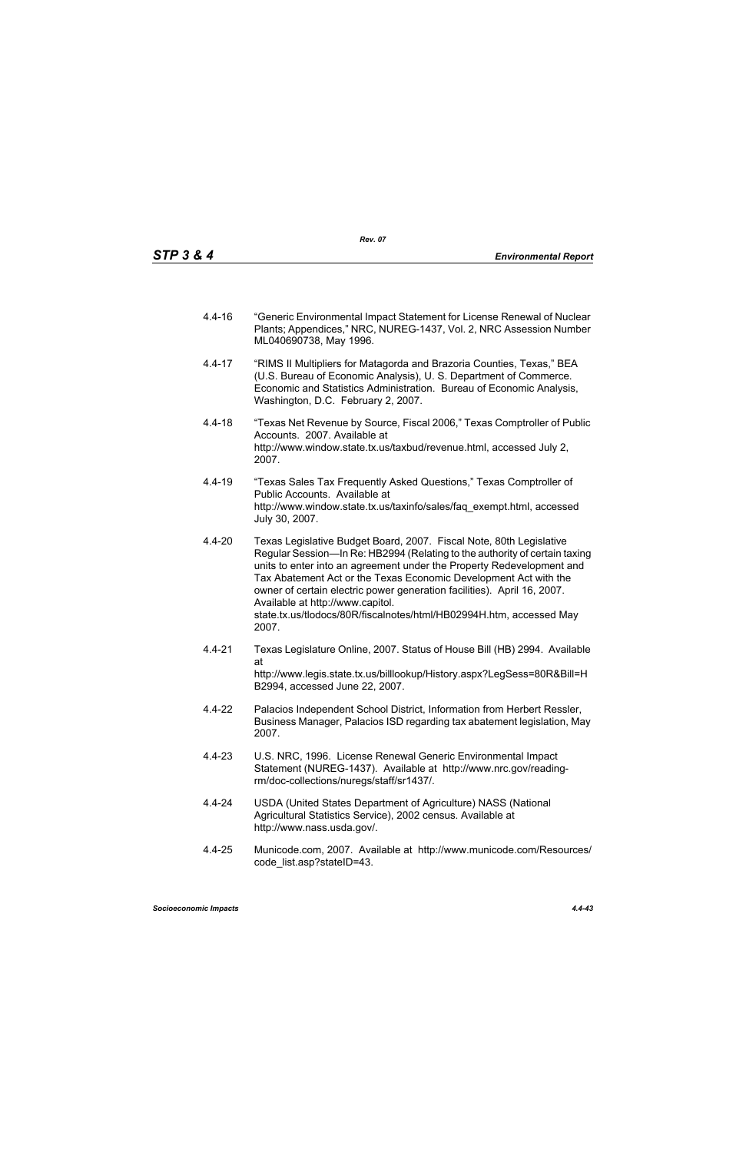- 4.4-16 "Generic Environmental Impact Statement for License Renewal of Nuclear Plants; Appendices," NRC, NUREG-1437, Vol. 2, NRC Assession Number ML040690738, May 1996.
- 4.4-17 "RIMS II Multipliers for Matagorda and Brazoria Counties, Texas," BEA (U.S. Bureau of Economic Analysis), U. S. Department of Commerce. Economic and Statistics Administration. Bureau of Economic Analysis, Washington, D.C. February 2, 2007.
- 4.4-18 "Texas Net Revenue by Source, Fiscal 2006," Texas Comptroller of Public Accounts. 2007. Available at http://www.window.state.tx.us/taxbud/revenue.html, accessed July 2, 2007.
- 4.4-19 "Texas Sales Tax Frequently Asked Questions," Texas Comptroller of Public Accounts. Available at http://www.window.state.tx.us/taxinfo/sales/faq\_exempt.html, accessed July 30, 2007.
- 4.4-20 Texas Legislative Budget Board, 2007. Fiscal Note, 80th Legislative Regular Session—In Re: HB2994 (Relating to the authority of certain taxing units to enter into an agreement under the Property Redevelopment and Tax Abatement Act or the Texas Economic Development Act with the owner of certain electric power generation facilities). April 16, 2007. Available at http://www.capitol. state.tx.us/tlodocs/80R/fiscalnotes/html/HB02994H.htm, accessed May 2007.
- 4.4-21 Texas Legislature Online, 2007. Status of House Bill (HB) 2994. Available at http://www.legis.state.tx.us/billlookup/History.aspx?LegSess=80R&Bill=H B2994, accessed June 22, 2007.
- 4.4-22 Palacios Independent School District, Information from Herbert Ressler, Business Manager, Palacios ISD regarding tax abatement legislation, May 2007.
- 4.4-23 U.S. NRC, 1996. License Renewal Generic Environmental Impact Statement (NUREG-1437). Available at http://www.nrc.gov/readingrm/doc-collections/nuregs/staff/sr1437/.
- 4.4-24 USDA (United States Department of Agriculture) NASS (National Agricultural Statistics Service), 2002 census. Available at http://www.nass.usda.gov/.
- 4.4-25 Municode.com, 2007. Available at http://www.municode.com/Resources/ code\_list.asp?stateID=43.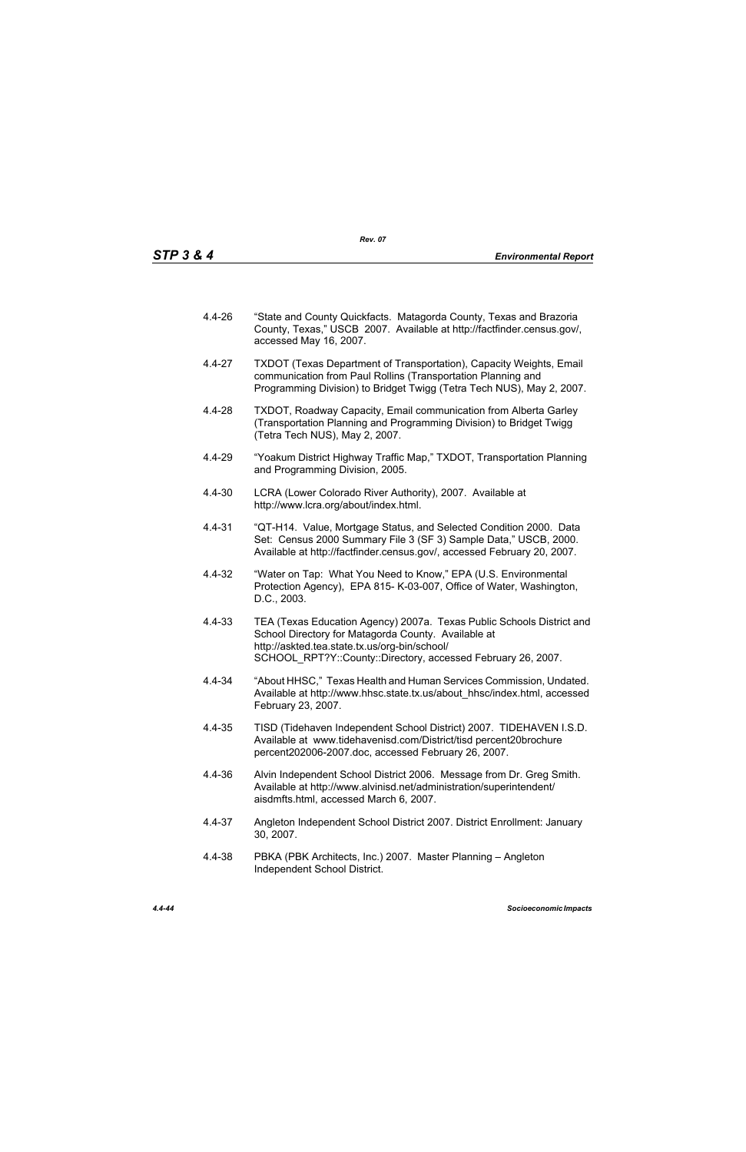- 4.4-26 "State and County Quickfacts. Matagorda County, Texas and Brazoria County, Texas," USCB 2007. Available at http://factfinder.census.gov/, accessed May 16, 2007.
- 4.4-27 TXDOT (Texas Department of Transportation), Capacity Weights, Email communication from Paul Rollins (Transportation Planning and Programming Division) to Bridget Twigg (Tetra Tech NUS), May 2, 2007.
- 4.4-28 TXDOT, Roadway Capacity, Email communication from Alberta Garley (Transportation Planning and Programming Division) to Bridget Twigg (Tetra Tech NUS), May 2, 2007.
- 4.4-29 "Yoakum District Highway Traffic Map," TXDOT, Transportation Planning and Programming Division, 2005.
- 4.4-30 LCRA (Lower Colorado River Authority), 2007. Available at http://www.lcra.org/about/index.html.
- 4.4-31 "QT-H14. Value, Mortgage Status, and Selected Condition 2000. Data Set: Census 2000 Summary File 3 (SF 3) Sample Data," USCB, 2000. Available at http://factfinder.census.gov/, accessed February 20, 2007.
- 4.4-32 "Water on Tap: What You Need to Know," EPA (U.S. Environmental Protection Agency), EPA 815- K-03-007, Office of Water, Washington, D.C., 2003.
- 4.4-33 TEA (Texas Education Agency) 2007a. Texas Public Schools District and School Directory for Matagorda County. Available at http://askted.tea.state.tx.us/org-bin/school/ SCHOOL\_RPT?Y::County::Directory, accessed February 26, 2007.
- 4.4-34 "About HHSC," Texas Health and Human Services Commission, Undated. Available at http://www.hhsc.state.tx.us/about\_hhsc/index.html, accessed February 23, 2007.
- 4.4-35 TISD (Tidehaven Independent School District) 2007. TIDEHAVEN I.S.D. Available at www.tidehavenisd.com/District/tisd percent20brochure percent202006-2007.doc, accessed February 26, 2007.
- 4.4-36 Alvin Independent School District 2006. Message from Dr. Greg Smith. Available at http://www.alvinisd.net/administration/superintendent/ aisdmfts.html, accessed March 6, 2007.
- 4.4-37 Angleton Independent School District 2007. District Enrollment: January 30, 2007.
- 4.4-38 PBKA (PBK Architects, Inc.) 2007. Master Planning Angleton Independent School District.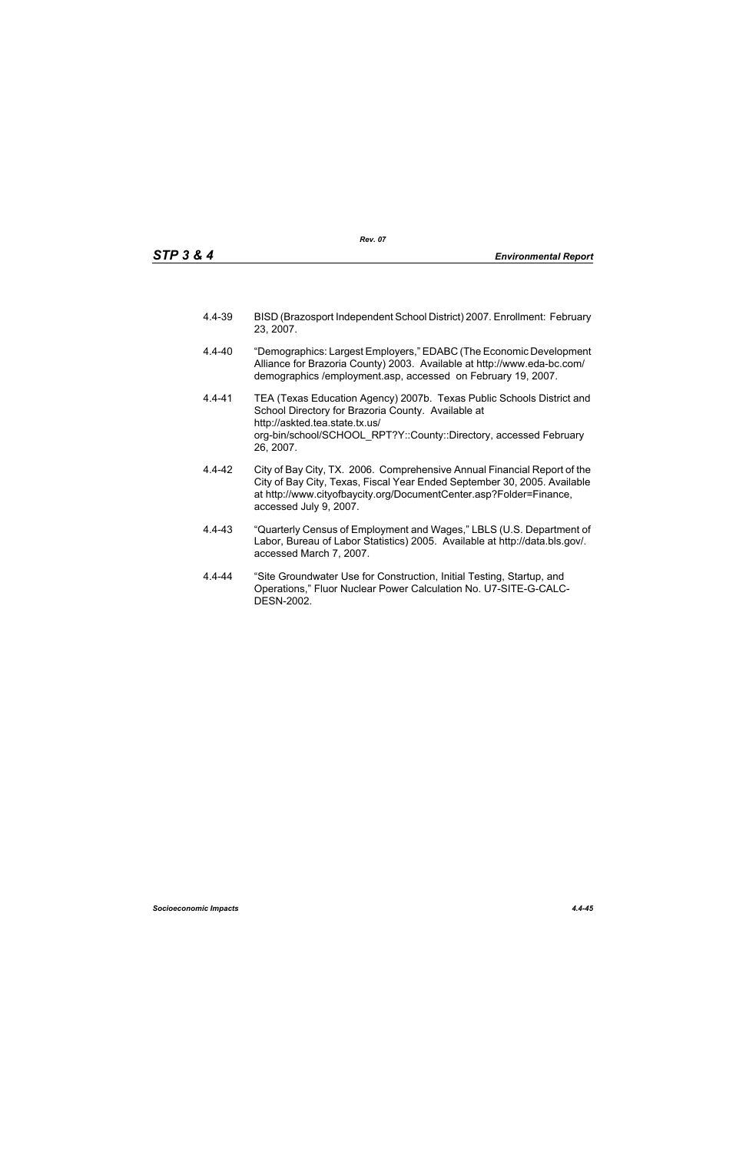- 4.4-39 BISD (Brazosport Independent School District) 2007. Enrollment: February 23, 2007.
- 4.4-40 "Demographics: Largest Employers," EDABC (The Economic Development Alliance for Brazoria County) 2003. Available at http://www.eda-bc.com/ demographics /employment.asp, accessed on February 19, 2007.
- 4.4-41 TEA (Texas Education Agency) 2007b. Texas Public Schools District and School Directory for Brazoria County. Available at http://askted.tea.state.tx.us/ org-bin/school/SCHOOL\_RPT?Y::County::Directory, accessed February 26, 2007.
- 4.4-42 City of Bay City, TX. 2006. Comprehensive Annual Financial Report of the City of Bay City, Texas, Fiscal Year Ended September 30, 2005. Available at http://www.cityofbaycity.org/DocumentCenter.asp?Folder=Finance, accessed July 9, 2007.
- 4.4-43 "Quarterly Census of Employment and Wages," LBLS (U.S. Department of Labor, Bureau of Labor Statistics) 2005. Available at http://data.bls.gov/. accessed March 7, 2007.
- 4.4-44 "Site Groundwater Use for Construction, Initial Testing, Startup, and Operations," Fluor Nuclear Power Calculation No. U7-SITE-G-CALC-DESN-2002.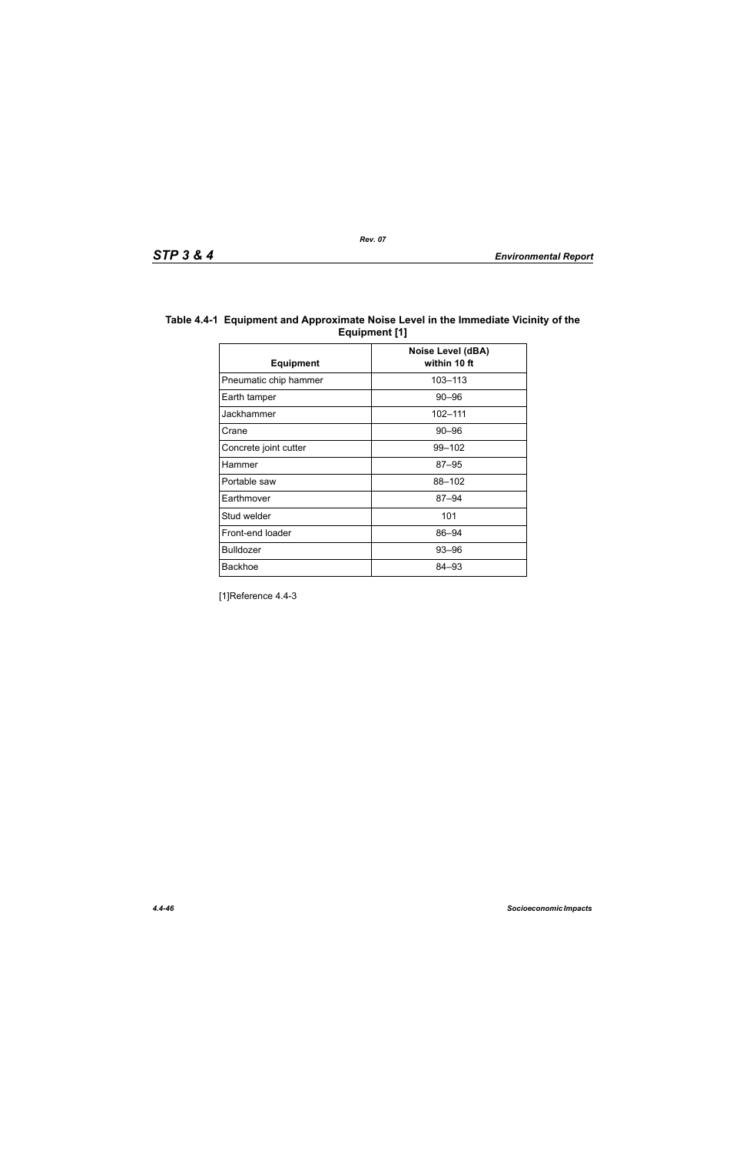| Table 4.4-1 Equipment and Approximate Noise Level in the Immediate Vicinity of the |
|------------------------------------------------------------------------------------|
| Equipment [1]                                                                      |

| <b>Equipment</b>      | <b>Noise Level (dBA)</b><br>within 10 ft |
|-----------------------|------------------------------------------|
| Pneumatic chip hammer | 103-113                                  |
| Earth tamper          | $90 - 96$                                |
| Jackhammer            | 102-111                                  |
| Crane                 | $90 - 96$                                |
| Concrete joint cutter | 99-102                                   |
| Hammer                | $87 - 95$                                |
| Portable saw          | 88-102                                   |
| Earthmover            | $87 - 94$                                |
| Stud welder           | 101                                      |
| Front-end loader      | 86-94                                    |
| <b>Bulldozer</b>      | $93 - 96$                                |
| <b>Backhoe</b>        | 84–93                                    |

[1]Reference 4.4-3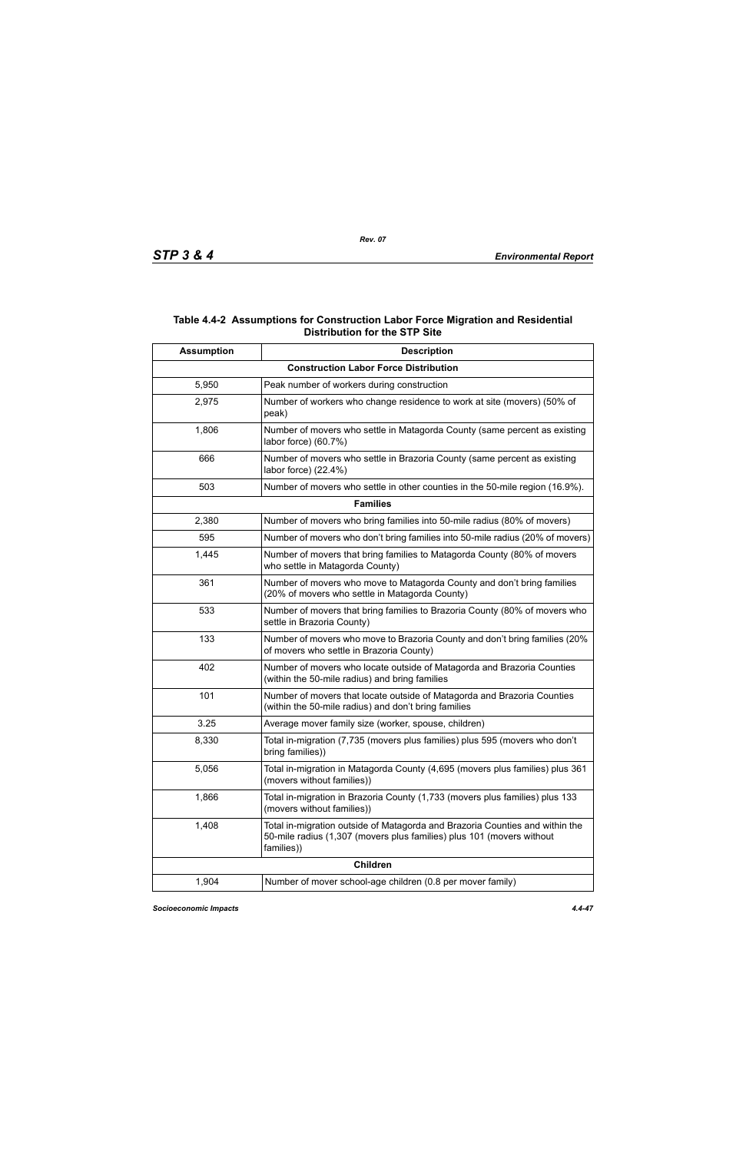## **Table 4.4-2 Assumptions for Construction Labor Force Migration and Residential Distribution for the STP Site**

| <b>Assumption</b> | <b>Description</b>                                                                                                                                                  |
|-------------------|---------------------------------------------------------------------------------------------------------------------------------------------------------------------|
|                   | <b>Construction Labor Force Distribution</b>                                                                                                                        |
| 5,950             | Peak number of workers during construction                                                                                                                          |
| 2,975             | Number of workers who change residence to work at site (movers) (50% of<br>peak)                                                                                    |
| 1,806             | Number of movers who settle in Matagorda County (same percent as existing<br>labor force) (60.7%)                                                                   |
| 666               | Number of movers who settle in Brazoria County (same percent as existing<br>labor force) (22.4%)                                                                    |
| 503               | Number of movers who settle in other counties in the 50-mile region (16.9%).                                                                                        |
|                   | <b>Families</b>                                                                                                                                                     |
| 2,380             | Number of movers who bring families into 50-mile radius (80% of movers)                                                                                             |
| 595               | Number of movers who don't bring families into 50-mile radius (20% of movers)                                                                                       |
| 1,445             | Number of movers that bring families to Matagorda County (80% of movers<br>who settle in Matagorda County)                                                          |
| 361               | Number of movers who move to Matagorda County and don't bring families<br>(20% of movers who settle in Matagorda County)                                            |
| 533               | Number of movers that bring families to Brazoria County (80% of movers who<br>settle in Brazoria County)                                                            |
| 133               | Number of movers who move to Brazoria County and don't bring families (20%<br>of movers who settle in Brazoria County)                                              |
| 402               | Number of movers who locate outside of Matagorda and Brazoria Counties<br>(within the 50-mile radius) and bring families                                            |
| 101               | Number of movers that locate outside of Matagorda and Brazoria Counties<br>(within the 50-mile radius) and don't bring families                                     |
| 3.25              | Average mover family size (worker, spouse, children)                                                                                                                |
| 8,330             | Total in-migration (7,735 (movers plus families) plus 595 (movers who don't<br>bring families))                                                                     |
| 5,056             | Total in-migration in Matagorda County (4,695 (movers plus families) plus 361<br>(movers without families))                                                         |
| 1,866             | Total in-migration in Brazoria County (1,733 (movers plus families) plus 133<br>(movers without families))                                                          |
| 1,408             | Total in-migration outside of Matagorda and Brazoria Counties and within the<br>50-mile radius (1,307 (movers plus families) plus 101 (movers without<br>families)) |
|                   | <b>Children</b>                                                                                                                                                     |
| 1,904             | Number of mover school-age children (0.8 per mover family)                                                                                                          |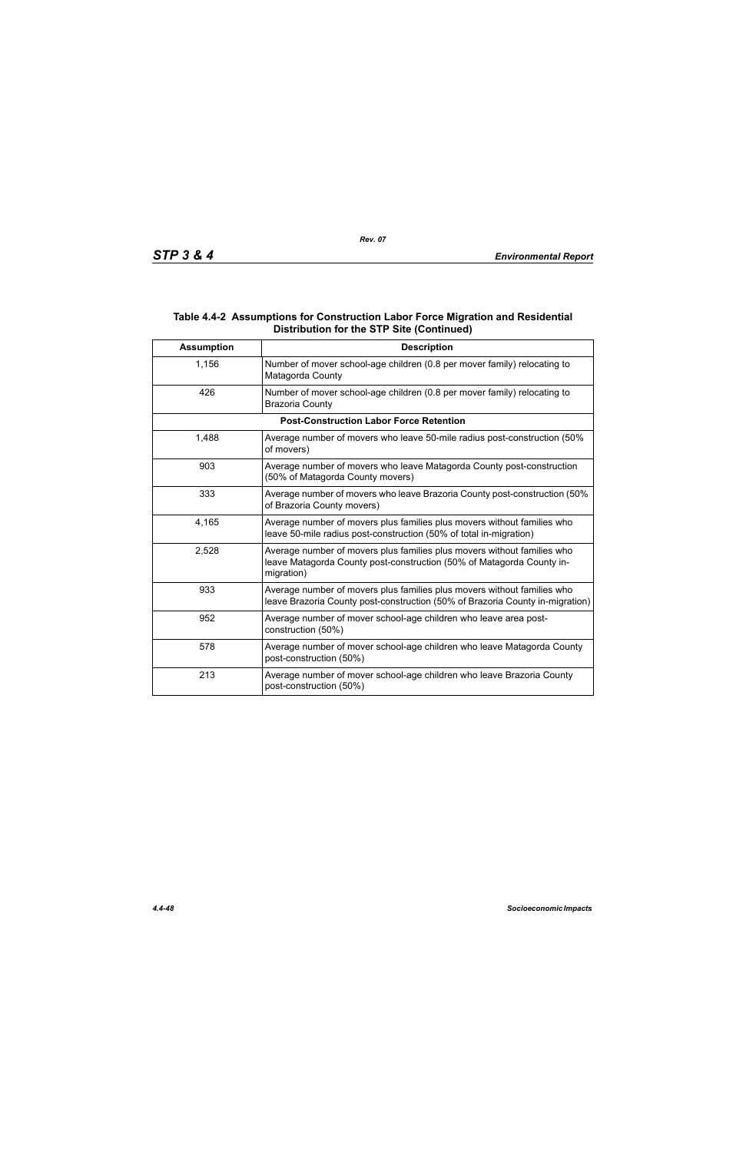## **Table 4.4-2 Assumptions for Construction Labor Force Migration and Residential Distribution for the STP Site (Continued)**

| <b>Assumption</b> | <b>Description</b>                                                                                                                                             |
|-------------------|----------------------------------------------------------------------------------------------------------------------------------------------------------------|
| 1,156             | Number of mover school-age children (0.8 per mover family) relocating to<br>Matagorda County                                                                   |
| 426               | Number of mover school-age children (0.8 per mover family) relocating to<br><b>Brazoria County</b>                                                             |
|                   | <b>Post-Construction Labor Force Retention</b>                                                                                                                 |
| 1,488             | Average number of movers who leave 50-mile radius post-construction (50%<br>of movers)                                                                         |
| 903               | Average number of movers who leave Matagorda County post-construction<br>(50% of Matagorda County movers)                                                      |
| 333               | Average number of movers who leave Brazoria County post-construction (50%<br>of Brazoria County movers)                                                        |
| 4,165             | Average number of movers plus families plus movers without families who<br>leave 50-mile radius post-construction (50% of total in-migration)                  |
| 2,528             | Average number of movers plus families plus movers without families who<br>leave Matagorda County post-construction (50% of Matagorda County in-<br>migration) |
| 933               | Average number of movers plus families plus movers without families who<br>leave Brazoria County post-construction (50% of Brazoria County in-migration)       |
| 952               | Average number of mover school-age children who leave area post-<br>construction (50%)                                                                         |
| 578               | Average number of mover school-age children who leave Matagorda County<br>post-construction (50%)                                                              |
| 213               | Average number of mover school-age children who leave Brazoria County<br>post-construction (50%)                                                               |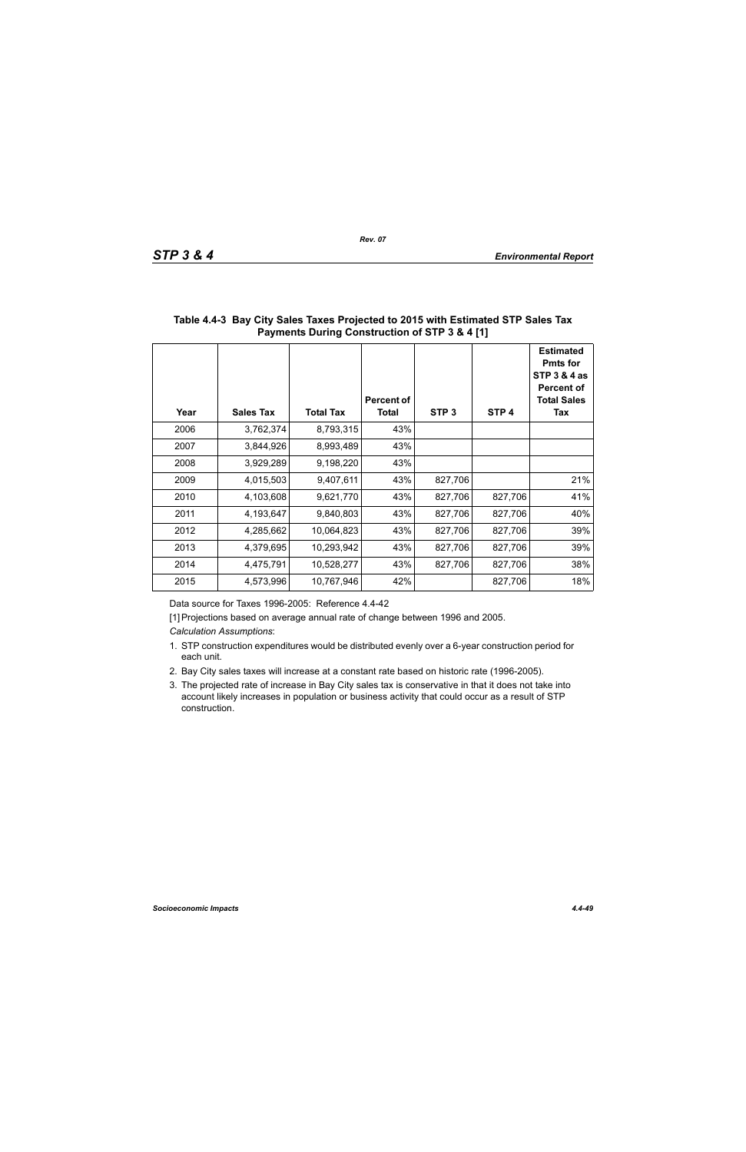| Year | <b>Sales Tax</b> | <b>Total Tax</b> | Percent of<br><b>Total</b> | STP <sub>3</sub> | STP <sub>4</sub> | <b>Estimated</b><br><b>Pmts for</b><br><b>STP 3 &amp; 4 as</b><br><b>Percent of</b><br><b>Total Sales</b><br>Tax |
|------|------------------|------------------|----------------------------|------------------|------------------|------------------------------------------------------------------------------------------------------------------|
| 2006 | 3,762,374        | 8,793,315        | 43%                        |                  |                  |                                                                                                                  |
| 2007 | 3,844,926        | 8,993,489        | 43%                        |                  |                  |                                                                                                                  |
| 2008 | 3,929,289        | 9,198,220        | 43%                        |                  |                  |                                                                                                                  |
| 2009 | 4,015,503        | 9,407,611        | 43%                        | 827,706          |                  | 21%                                                                                                              |
| 2010 | 4,103,608        | 9,621,770        | 43%                        | 827,706          | 827,706          | 41%                                                                                                              |
| 2011 | 4,193,647        | 9,840,803        | 43%                        | 827,706          | 827,706          | 40%                                                                                                              |
| 2012 | 4,285,662        | 10,064,823       | 43%                        | 827,706          | 827,706          | 39%                                                                                                              |
| 2013 | 4,379,695        | 10,293,942       | 43%                        | 827,706          | 827,706          | 39%                                                                                                              |
| 2014 | 4,475,791        | 10,528,277       | 43%                        | 827,706          | 827,706          | 38%                                                                                                              |
| 2015 | 4,573,996        | 10,767,946       | 42%                        |                  | 827,706          | 18%                                                                                                              |

## **Table 4.4-3 Bay City Sales Taxes Projected to 2015 with Estimated STP Sales Tax Payments During Construction of STP 3 & 4 [1]**

Data source for Taxes 1996-2005: Reference 4.4-42

[1] Projections based on average annual rate of change between 1996 and 2005.

*Calculation Assumptions*:

- 1. STP construction expenditures would be distributed evenly over a 6-year construction period for each unit.
- 2. Bay City sales taxes will increase at a constant rate based on historic rate (1996-2005).
- 3. The projected rate of increase in Bay City sales tax is conservative in that it does not take into account likely increases in population or business activity that could occur as a result of STP construction.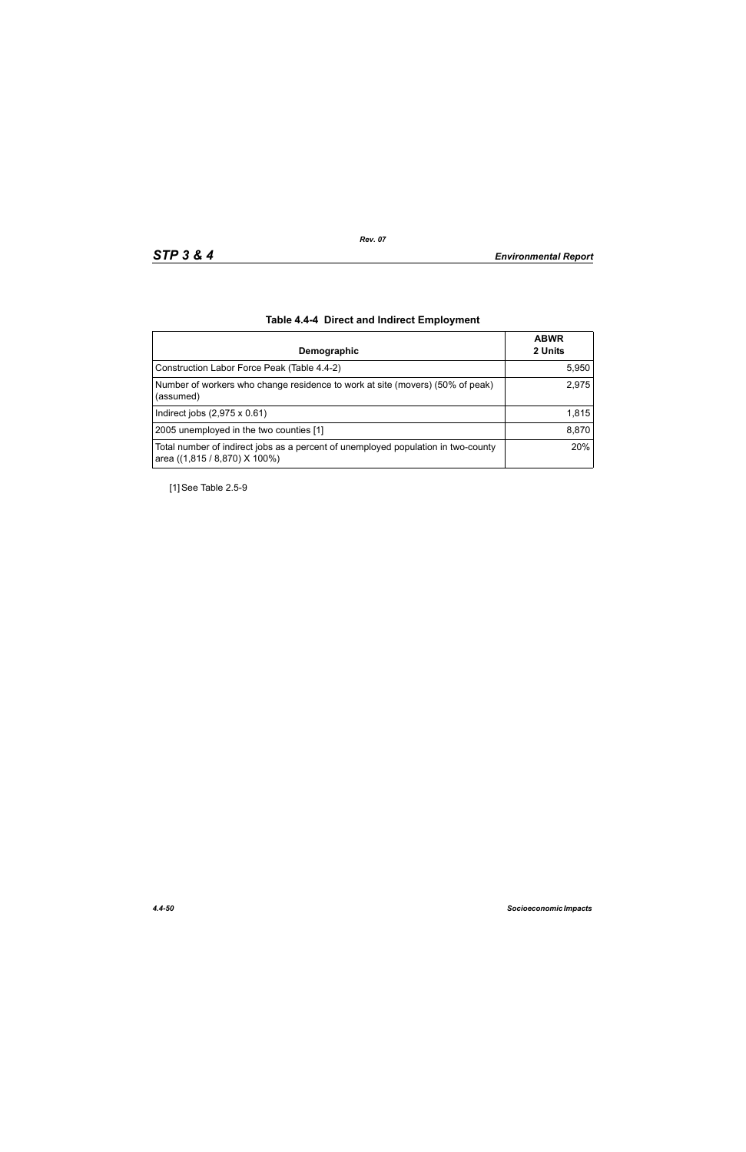| Demographic                                                                                                        | <b>ABWR</b><br>2 Units |
|--------------------------------------------------------------------------------------------------------------------|------------------------|
| Construction Labor Force Peak (Table 4.4-2)                                                                        | 5,950                  |
| Number of workers who change residence to work at site (movers) (50% of peak)<br>(assumed)                         | 2,975                  |
| Indirect jobs $(2,975 \times 0.61)$                                                                                | 1,815                  |
| 2005 unemployed in the two counties [1]                                                                            | 8,870                  |
| Total number of indirect jobs as a percent of unemployed population in two-county<br>area ((1,815 / 8,870) X 100%) | 20%                    |

# **Table 4.4-4 Direct and Indirect Employment**

[1] See Table 2.5-9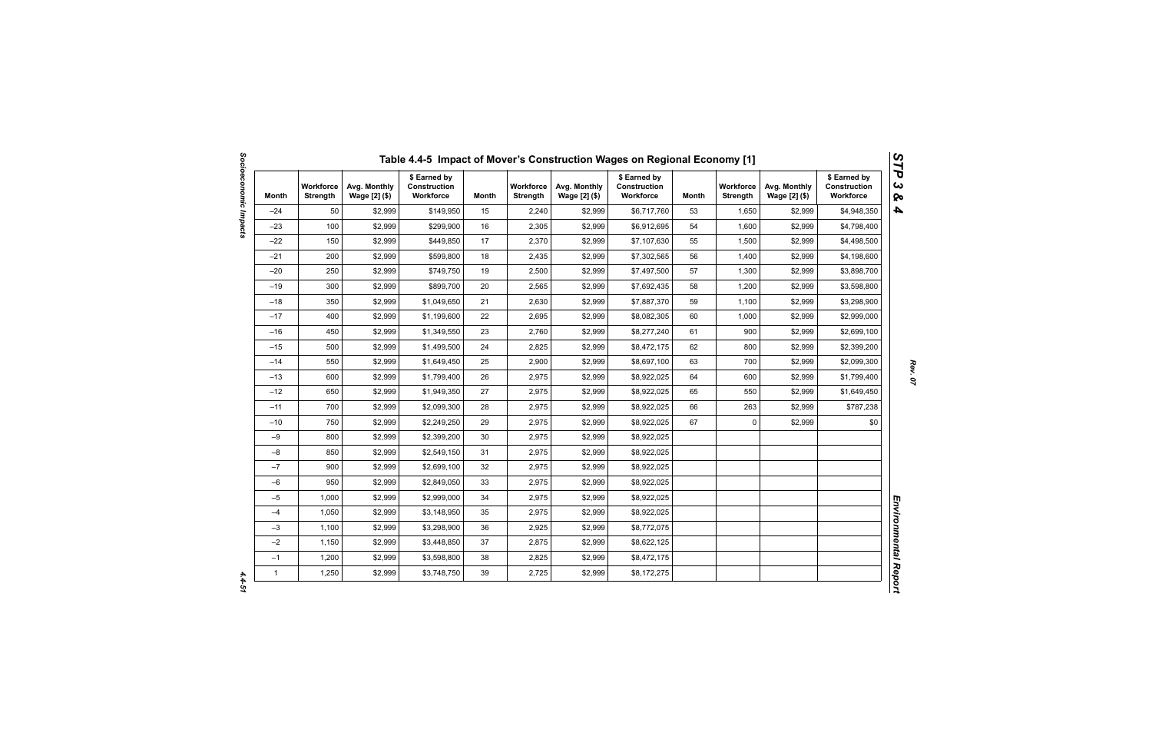| Month        | <b>Workforce</b><br><b>Strength</b> | Avg. Monthly<br>Wage [2] (\$) | \$ Earned by<br>Construction<br>Workforce | Month | <b>Workforce</b><br><b>Strength</b> | Avg. Monthly<br>Wage [2] (\$) | \$ Earned by<br><b>Construction</b><br>Workforce | Month | <b>Workforce</b><br><b>Strength</b> | Avg. Monthly<br>Wage [2] (\$) | \$ Earned by<br>Construction<br>Workforce |
|--------------|-------------------------------------|-------------------------------|-------------------------------------------|-------|-------------------------------------|-------------------------------|--------------------------------------------------|-------|-------------------------------------|-------------------------------|-------------------------------------------|
| $-24$        | 50                                  | \$2,999                       | \$149,950                                 | 15    | 2,240                               | \$2,999                       | \$6,717,760                                      | 53    | 1,650                               | \$2,999                       | \$4,948,350                               |
| $-23$        | 100                                 | \$2,999                       | \$299,900                                 | 16    | 2,305                               | \$2,999                       | \$6,912,695                                      | 54    | 1,600                               | \$2,999                       | \$4,798,400                               |
| $-22$        | 150                                 | \$2,999                       | \$449,850                                 | 17    | 2,370                               | \$2,999                       | \$7,107,630                                      | 55    | 1,500                               | \$2,999                       | \$4,498,500                               |
| $-21$        | 200                                 | \$2,999                       | \$599,800                                 | 18    | 2,435                               | \$2,999                       | \$7,302,565                                      | 56    | 1,400                               | \$2,999                       | \$4,198,600                               |
| $-20$        | 250                                 | \$2,999                       | \$749,750                                 | 19    | 2,500                               | \$2,999                       | \$7,497,500                                      | 57    | 1,300                               | \$2,999                       | \$3,898,700                               |
| $-19$        | 300                                 | \$2,999                       | \$899,700                                 | 20    | 2,565                               | \$2,999                       | \$7,692,435                                      | 58    | 1,200                               | \$2,999                       | \$3,598,800                               |
| $-18$        | 350                                 | \$2,999                       | \$1,049,650                               | 21    | 2,630                               | \$2,999                       | \$7,887,370                                      | 59    | 1,100                               | \$2,999                       | \$3,298,900                               |
| $-17$        | 400                                 | \$2,999                       | \$1,199,600                               | 22    | 2,695                               | \$2,999                       | \$8,082,305                                      | 60    | 1,000                               | \$2,999                       | \$2,999,000                               |
| $-16$        | 450                                 | \$2,999                       | \$1,349,550                               | 23    | 2,760                               | \$2,999                       | \$8,277,240                                      | 61    | 900                                 | \$2,999                       | \$2,699,100                               |
| $-15$        | 500                                 | \$2,999                       | \$1,499,500                               | 24    | 2,825                               | \$2,999                       | \$8,472,175                                      | 62    | 800                                 | \$2,999                       | \$2,399,200                               |
| $-14$        | 550                                 | \$2,999                       | \$1,649,450                               | 25    | 2,900                               | \$2,999                       | \$8,697,100                                      | 63    | 700                                 | \$2,999                       | \$2,099,300                               |
| $-13$        | 600                                 | \$2,999                       | \$1,799,400                               | 26    | 2,975                               | \$2,999                       | \$8,922,025                                      | 64    | 600                                 | \$2,999                       | \$1,799,400                               |
| $-12$        | 650                                 | \$2,999                       | \$1,949,350                               | 27    | 2,975                               | \$2,999                       | \$8,922,025                                      | 65    | 550                                 | \$2,999                       | \$1,649,450                               |
| $-11$        | 700                                 | \$2,999                       | \$2,099,300                               | 28    | 2,975                               | \$2,999                       | \$8,922,025                                      | 66    | 263                                 | \$2,999                       | \$787,238                                 |
| $-10$        | 750                                 | \$2,999                       | \$2,249,250                               | 29    | 2,975                               | \$2,999                       | \$8,922,025                                      | 67    | 0                                   | \$2,999                       | \$0                                       |
| $-9$         | 800                                 | \$2,999                       | \$2,399,200                               | 30    | 2,975                               | \$2,999                       | \$8,922,025                                      |       |                                     |                               |                                           |
| $-8$         | 850                                 | \$2,999                       | \$2,549,150                               | 31    | 2,975                               | \$2,999                       | \$8,922,025                                      |       |                                     |                               |                                           |
| $-7$         | 900                                 | \$2,999                       | \$2,699,100                               | 32    | 2,975                               | \$2,999                       | \$8,922,025                                      |       |                                     |                               |                                           |
| $-6$         | 950                                 | \$2,999                       | \$2,849,050                               | 33    | 2,975                               | \$2,999                       | \$8,922,025                                      |       |                                     |                               |                                           |
| $-5$         | 1,000                               | \$2,999                       | \$2,999,000                               | 34    | 2,975                               | \$2,999                       | \$8,922,025                                      |       |                                     |                               |                                           |
| $-4$         | 1,050                               | \$2,999                       | \$3,148,950                               | 35    | 2,975                               | \$2,999                       | \$8,922,025                                      |       |                                     |                               |                                           |
| $-3$         | 1,100                               | \$2,999                       | \$3,298,900                               | 36    | 2,925                               | \$2,999                       | \$8,772,075                                      |       |                                     |                               |                                           |
| $-2$         | 1,150                               | \$2,999                       | \$3,448,850                               | 37    | 2,875                               | \$2,999                       | \$8,622,125                                      |       |                                     |                               |                                           |
| $-1$         | 1,200                               | \$2,999                       | \$3,598,800                               | 38    | 2,825                               | \$2,999                       | \$8,472,175                                      |       |                                     |                               |                                           |
| $\mathbf{1}$ | 1,250                               | \$2,999                       | \$3,748,750                               | 39    | 2,725                               | \$2,999                       | \$8,172,275                                      |       |                                     |                               |                                           |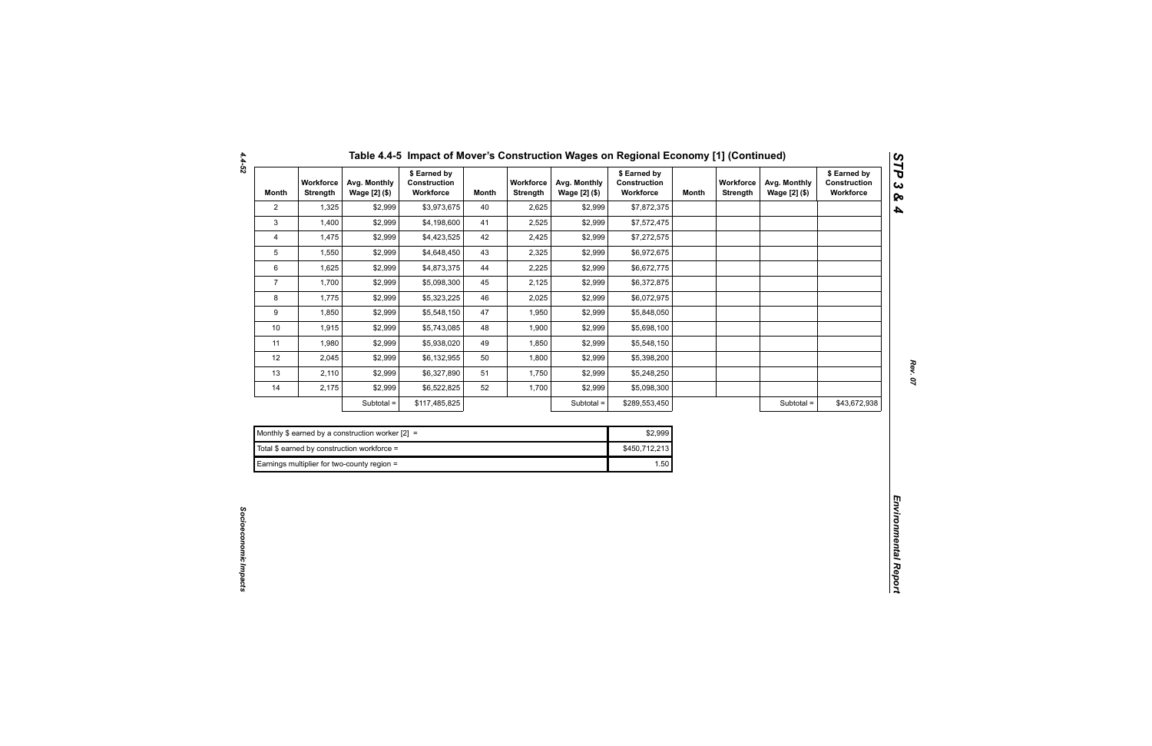| Month          | Workforce<br><b>Strength</b> | Avg. Monthly<br>Wage [2] (\$)                      | \$ Earned by<br>Construction<br>Workforce | <b>Month</b> | Workforce<br>Strength | Avg. Monthly<br>Wage [2] (\$) | \$ Earned by<br>Construction<br>Workforce | <b>Month</b> | Workforce<br>Strength | Avg. Monthly<br>Wage [2] (\$) | \$ Earned by<br>Construction<br>Workforce |
|----------------|------------------------------|----------------------------------------------------|-------------------------------------------|--------------|-----------------------|-------------------------------|-------------------------------------------|--------------|-----------------------|-------------------------------|-------------------------------------------|
| $\mathbf{2}$   | 1,325                        | \$2,999                                            | \$3,973,675                               | 40           | 2,625                 | \$2,999                       | \$7,872,375                               |              |                       |                               |                                           |
| $\mathbf{3}$   | 1,400                        | \$2,999                                            | \$4,198,600                               | 41           | 2,525                 | \$2,999                       | \$7,572,475                               |              |                       |                               |                                           |
| 4              | 1,475                        | \$2,999                                            | \$4,423,525                               | 42           | 2,425                 | \$2,999                       | \$7,272,575                               |              |                       |                               |                                           |
| 5              | 1,550                        | \$2,999                                            | \$4,648,450                               | 43           | 2,325                 | \$2,999                       | \$6,972,675                               |              |                       |                               |                                           |
| 6              | 1,625                        | \$2,999                                            | \$4,873,375                               | 44           | 2,225                 | \$2,999                       | \$6,672,775                               |              |                       |                               |                                           |
| $\overline{7}$ | 1,700                        | \$2,999                                            | \$5,098,300                               | 45           | 2,125                 | \$2,999                       | \$6,372,875                               |              |                       |                               |                                           |
| 8              | 1,775                        | \$2,999                                            | \$5,323,225                               | 46           | 2,025                 | \$2,999                       | \$6,072,975                               |              |                       |                               |                                           |
| 9              | 1,850                        | \$2,999                                            | \$5,548,150                               | 47           | 1,950                 | \$2,999                       | \$5,848,050                               |              |                       |                               |                                           |
| $10$           | 1,915                        | \$2,999                                            | \$5,743,085                               | 48           | 1,900                 | \$2,999                       | \$5,698,100                               |              |                       |                               |                                           |
| 11             | 1,980                        | \$2,999                                            | \$5,938,020                               | 49           | 1,850                 | \$2,999                       | \$5,548,150                               |              |                       |                               |                                           |
| 12             | 2,045                        | \$2,999                                            | \$6,132,955                               | 50           | 1,800                 | \$2,999                       | \$5,398,200                               |              |                       |                               |                                           |
| 13             | 2,110                        | \$2,999                                            | \$6,327,890                               | 51           | 1,750                 | \$2,999                       | \$5,248,250                               |              |                       |                               |                                           |
| 14             | 2,175                        | \$2,999                                            | \$6,522,825                               | 52           | 1,700                 | \$2,999                       | \$5,098,300                               |              |                       |                               |                                           |
|                |                              | Subtotal =                                         | \$117,485,825                             |              |                       | Subtotal =                    | \$289,553,450                             |              |                       | Subtotal =                    | \$43,672,938                              |
|                |                              |                                                    |                                           |              |                       |                               |                                           |              |                       |                               |                                           |
|                |                              | Monthly \$ earned by a construction worker $[2] =$ |                                           |              |                       |                               | \$2,999                                   |              |                       |                               |                                           |
|                |                              | Total \$ earned by construction workforce =        |                                           |              |                       |                               | \$450,712,213                             |              |                       |                               |                                           |
|                |                              | Earnings multiplier for two-county region =        |                                           |              |                       |                               | 1.50                                      |              |                       |                               |                                           |

|  | Table 4.4-5 Impact of Mover's Construction Wages on Regional Economy [1] (Continued) |
|--|--------------------------------------------------------------------------------------|
|--|--------------------------------------------------------------------------------------|

| Monthly \$ earned by a construction worker $[2] =$ | \$2.999       |
|----------------------------------------------------|---------------|
| Total \$ earned by construction workforce =        | \$450.712.213 |
| Earnings multiplier for two-county region =        | 1.50          |

*Socioeconomic Impacts* 

Socioeconomic Impacts

*4.4-52*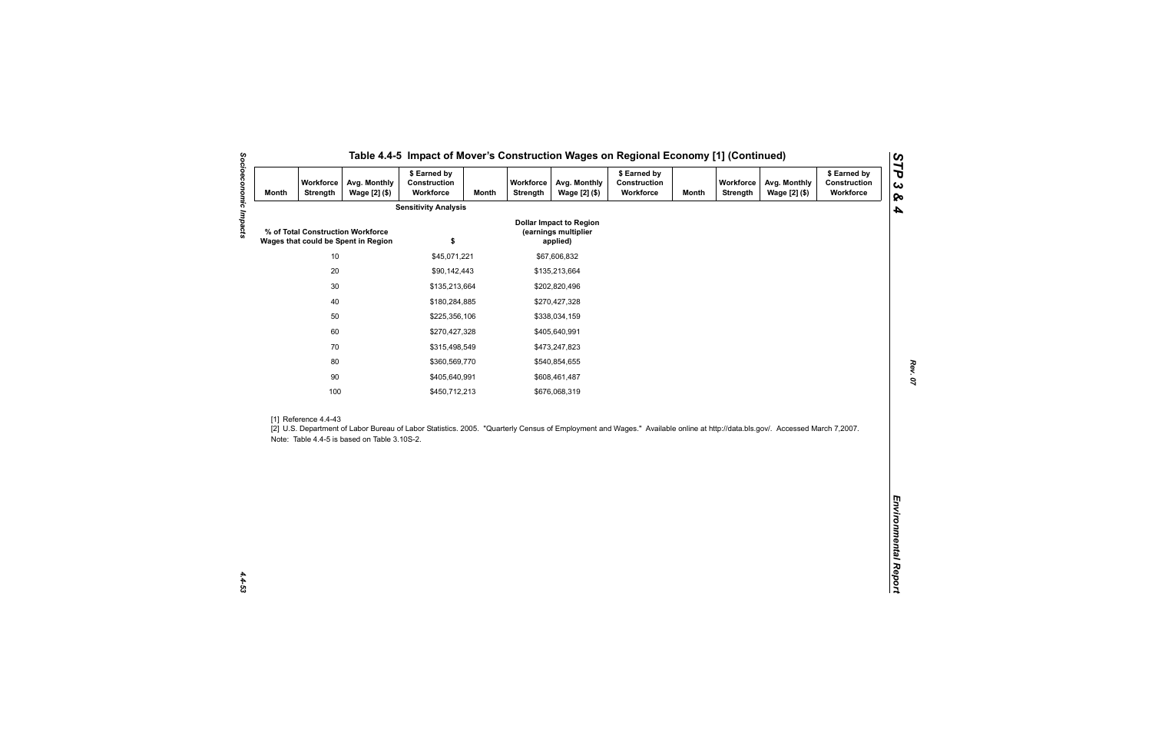| <b>Month</b> | Workforce<br>Strength | Avg. Monthly<br>Wage [2] (\$)                                            | \$ Earned by<br>Construction<br>Workforce | <b>Month</b>  | Workforce<br>Strength | Avg. Monthly<br>Wage [2] (\$)                                      | \$ Earned by<br>Construction<br>Workforce                                                                                                                                   | <b>Month</b> | Workforce<br><b>Strength</b> | Avg. Monthly<br>Wage [2] (\$) | \$ Earned by<br>Construction<br>Workforce |
|--------------|-----------------------|--------------------------------------------------------------------------|-------------------------------------------|---------------|-----------------------|--------------------------------------------------------------------|-----------------------------------------------------------------------------------------------------------------------------------------------------------------------------|--------------|------------------------------|-------------------------------|-------------------------------------------|
|              |                       |                                                                          | <b>Sensitivity Analysis</b>               |               |                       |                                                                    |                                                                                                                                                                             |              |                              |                               |                                           |
|              |                       | % of Total Construction Workforce<br>Wages that could be Spent in Region | \$                                        |               |                       | <b>Dollar Impact to Region</b><br>(earnings multiplier<br>applied) |                                                                                                                                                                             |              |                              |                               |                                           |
| $10$         |                       | \$45,071,221                                                             |                                           |               | \$67,606,832          |                                                                    |                                                                                                                                                                             |              |                              |                               |                                           |
|              | $20\,$                |                                                                          | \$90,142,443                              |               |                       | \$135,213,664                                                      |                                                                                                                                                                             |              |                              |                               |                                           |
|              | $30\,$                |                                                                          | \$135,213,664                             |               |                       | \$202,820,496                                                      |                                                                                                                                                                             |              |                              |                               |                                           |
|              | 40                    |                                                                          | \$180,284,885                             |               |                       | \$270,427,328                                                      |                                                                                                                                                                             |              |                              |                               |                                           |
|              | 50                    |                                                                          | \$225,356,106                             |               |                       | \$338,034,159                                                      |                                                                                                                                                                             |              |                              |                               |                                           |
|              | 60                    |                                                                          | \$270,427,328                             |               | \$405,640,991         |                                                                    |                                                                                                                                                                             |              |                              |                               |                                           |
| 70           |                       | \$315,498,549                                                            |                                           | \$473,247,823 |                       |                                                                    |                                                                                                                                                                             |              |                              |                               |                                           |
| 80           |                       | \$360,569,770                                                            |                                           |               | \$540,854,655         |                                                                    |                                                                                                                                                                             |              |                              |                               |                                           |
|              | $90\,$                |                                                                          | \$405,640,991                             |               | \$608,461,487         |                                                                    |                                                                                                                                                                             |              |                              |                               |                                           |
|              | 100                   |                                                                          | \$450,712,213                             |               |                       | \$676,068,319                                                      |                                                                                                                                                                             |              |                              |                               |                                           |
|              | [1] Reference 4.4-43  | Note: Table 4.4-5 is based on Table 3.10S-2.                             |                                           |               |                       |                                                                    | [2] U.S. Department of Labor Bureau of Labor Statistics. 2005. "Quarterly Census of Employment and Wages." Available online at http://data.bls.gov/. Accessed March 7,2007. |              |                              |                               |                                           |
|              |                       |                                                                          |                                           |               |                       |                                                                    |                                                                                                                                                                             |              |                              |                               |                                           |
|              |                       |                                                                          |                                           |               |                       |                                                                    |                                                                                                                                                                             |              |                              |                               |                                           |
|              |                       |                                                                          |                                           |               |                       |                                                                    |                                                                                                                                                                             |              |                              |                               |                                           |
|              |                       |                                                                          |                                           |               |                       |                                                                    |                                                                                                                                                                             |              |                              |                               |                                           |
|              |                       |                                                                          |                                           |               |                       |                                                                    |                                                                                                                                                                             |              |                              |                               |                                           |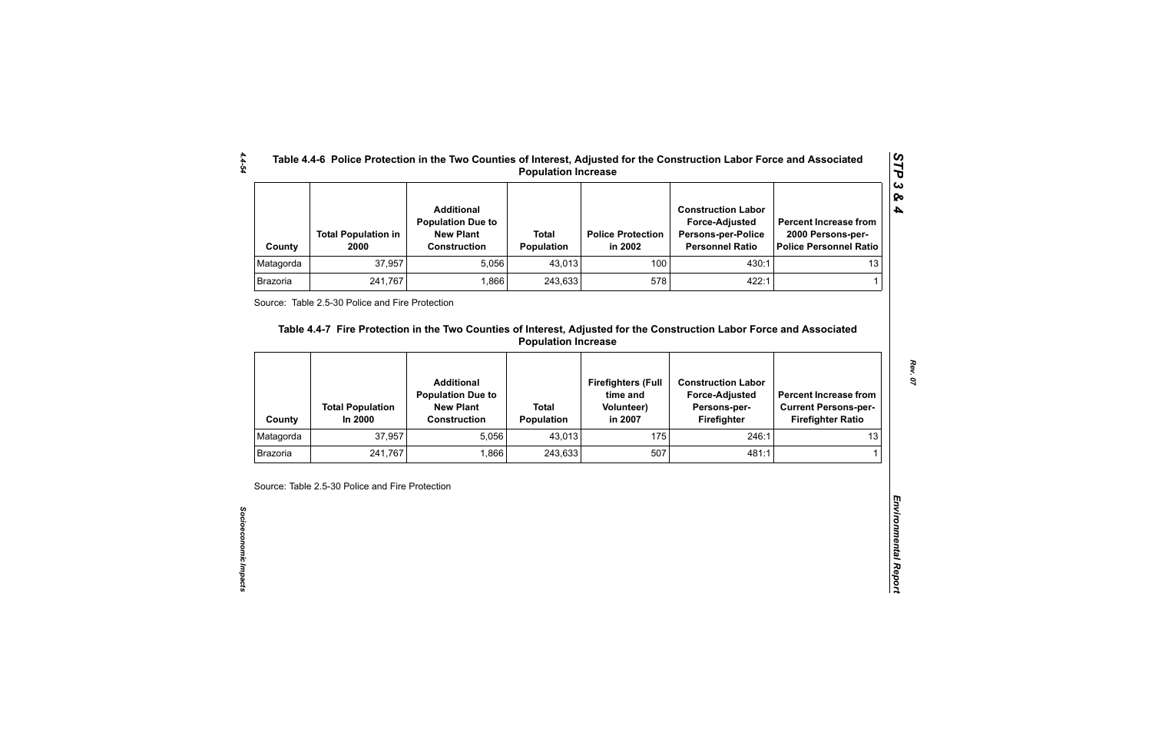| County    | <b>Total Population in</b><br>2000 | <b>Additional</b><br><b>Population Due to</b><br><b>New Plant</b><br><b>Construction</b> | <b>Total</b><br><b>Population</b> | <b>Police Protection</b><br>in 2002 | <b>Construction Labor</b><br><b>Force-Adjusted</b><br><b>Persons-per-Police</b><br><b>Personnel Ratio</b> | <b>Percent Increase from</b><br>2000 Persons-per-<br>Police Personnel Ratio |
|-----------|------------------------------------|------------------------------------------------------------------------------------------|-----------------------------------|-------------------------------------|-----------------------------------------------------------------------------------------------------------|-----------------------------------------------------------------------------|
| Matagorda | 37,957                             | 5,056                                                                                    | 43,013                            | 100                                 | 430:1                                                                                                     | 13                                                                          |
| Brazoria  | 241,767                            | .866                                                                                     | 243,633                           | 578                                 | 422:1                                                                                                     |                                                                             |

| 37,957<br>100<br>Matagorda<br>5,056<br>43,013<br>Brazoria<br>578<br>241,767<br>1,866<br>243,633<br>Source: Table 2.5-30 Police and Fire Protection<br>Table 4.4-7 Fire Protection in the Two Counties of Interest, Adjusted for the Construction Labor Force and Associated | 430:1<br>422:1                                     | 13<br>1                                                 |
|-----------------------------------------------------------------------------------------------------------------------------------------------------------------------------------------------------------------------------------------------------------------------------|----------------------------------------------------|---------------------------------------------------------|
|                                                                                                                                                                                                                                                                             |                                                    |                                                         |
|                                                                                                                                                                                                                                                                             |                                                    |                                                         |
| <b>Additional</b><br><b>Firefighters (Full</b><br>time and<br><b>Population Due to</b>                                                                                                                                                                                      | <b>Construction Labor</b><br><b>Force-Adjusted</b> | <b>Percent Increase from</b>                            |
| <b>New Plant</b><br><b>Total</b><br><b>Total Population</b><br><b>Volunteer)</b><br>In 2000<br><b>Construction</b><br><b>Population</b><br>in 2007<br>County                                                                                                                | Persons-per-<br>Firefighter                        | <b>Current Persons-per-</b><br><b>Firefighter Ratio</b> |
| 5,056<br>175<br>Matagorda<br>37,957<br>43,013                                                                                                                                                                                                                               | 246:1                                              | 13                                                      |
| 507<br><b>Brazoria</b><br>241,767<br>1,866<br>243,633                                                                                                                                                                                                                       | 481:1                                              |                                                         |

*4.4-54*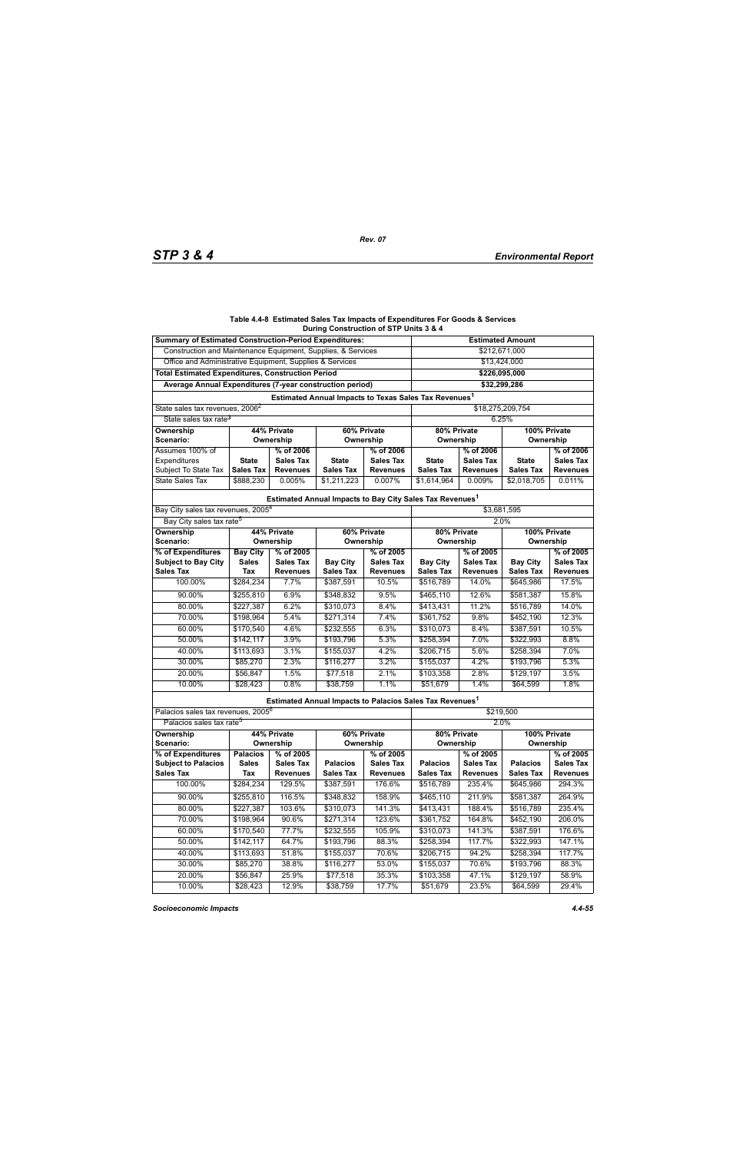#### **Table 4.4-8 Estimated Sales Tax Impacts of Expenditures For Goods & Services During Construction of STP Units 3 & 4**

| <b>Summary of Estimated Construction-Period Expenditures:</b> |                          |                  |                                                                      |                  | <b>Estimated Amount</b>     |                  |                           |                  |  |
|---------------------------------------------------------------|--------------------------|------------------|----------------------------------------------------------------------|------------------|-----------------------------|------------------|---------------------------|------------------|--|
| Construction and Maintenance Equipment, Supplies, & Services  | \$212,671,000            |                  |                                                                      |                  |                             |                  |                           |                  |  |
| Office and Administrative Equipment, Supplies & Services      | \$13,424,000             |                  |                                                                      |                  |                             |                  |                           |                  |  |
| <b>Total Estimated Expenditures, Construction Period</b>      | \$226,095,000            |                  |                                                                      |                  |                             |                  |                           |                  |  |
| Average Annual Expenditures (7-year construction period)      | \$32,299,286             |                  |                                                                      |                  |                             |                  |                           |                  |  |
|                                                               |                          |                  | Estimated Annual Impacts to Texas Sales Tax Revenues <sup>1</sup>    |                  |                             |                  |                           |                  |  |
| State sales tax revenues, 2006 <sup>2</sup>                   |                          |                  | \$18,275,209,754                                                     |                  |                             |                  |                           |                  |  |
| State sales tax rate <sup>3</sup>                             | 6.25%                    |                  |                                                                      |                  |                             |                  |                           |                  |  |
| 44% Private<br><b>Ownership</b>                               |                          |                  | 60% Private                                                          |                  | 80% Private<br>100% Private |                  |                           |                  |  |
| Scenario:                                                     |                          | Ownership        | Ownership                                                            |                  | Ownership                   |                  | Ownership                 |                  |  |
| Assumes 100% of                                               |                          | % of 2006        |                                                                      | % of 2006        |                             | % of 2006        |                           | % of 2006        |  |
| Expenditures                                                  | <b>State</b>             | <b>Sales Tax</b> | <b>State</b>                                                         | Sales Tax        | <b>State</b>                | <b>Sales Tax</b> | <b>State</b>              | <b>Sales Tax</b> |  |
| Subject To State Tax                                          | <b>Sales Tax</b>         | <b>Revenues</b>  | <b>Sales Tax</b>                                                     | <b>Revenues</b>  | <b>Sales Tax</b>            | <b>Revenues</b>  | <b>Sales Tax</b>          | <b>Revenues</b>  |  |
| <b>State Sales Tax</b>                                        | \$888,230                | 0.005%           | \$1,211,223                                                          | 0.007%           | \$1,614,964                 | 0.009%           | \$2,018,705               | 0.011%           |  |
|                                                               |                          |                  | Estimated Annual Impacts to Bay City Sales Tax Revenues <sup>1</sup> |                  |                             |                  |                           |                  |  |
| Bay City sales tax revenues, 2005 <sup>4</sup>                |                          |                  |                                                                      |                  | \$3,681,595                 |                  |                           |                  |  |
| Bay City sales tax rate <sup>5</sup>                          |                          |                  |                                                                      |                  |                             |                  | 2.0%                      |                  |  |
| Ownership                                                     |                          | 44% Private      |                                                                      | 60% Private      |                             | 80% Private      |                           | 100% Private     |  |
| <b>Scenario:</b>                                              |                          | Ownership        |                                                                      | Ownership        | Ownership                   |                  |                           | Ownership        |  |
| % of Expenditures                                             | <b>Bay City</b>          | % of 2005        |                                                                      | % of 2005        |                             | % of 2005        |                           | % of 2005        |  |
| <b>Subject to Bay City</b>                                    | <b>Sales</b>             | <b>Sales Tax</b> | <b>Bay City</b>                                                      | Sales Tax        | <b>Bay City</b>             | <b>Sales Tax</b> | <b>Bay City</b>           | <b>Sales Tax</b> |  |
| <b>Sales Tax</b>                                              | Tax                      | <b>Revenues</b>  | <b>Sales Tax</b>                                                     | <b>Revenues</b>  | <b>Sales Tax</b>            | <b>Revenues</b>  | <b>Sales Tax</b>          | <b>Revenues</b>  |  |
| 100.00%                                                       | \$284,234                | 7.7%             | \$387,591                                                            | 10.5%            | \$516,789                   | 14.0%            | \$645,986                 | 17.5%            |  |
| 90.00%                                                        | \$255,810                | 6.9%             | \$348.832                                                            | 9.5%             | \$465,110                   | 12.6%            | \$581,387                 | 15.8%            |  |
| 80.00%                                                        | \$227,387                | 6.2%             | \$310,073                                                            | 8.4%             | \$413,431                   | 11.2%            | \$516,789                 | 14.0%            |  |
| 70.00%                                                        | \$198,964                | 5.4%             | \$271,314                                                            | 7.4%             | \$361,752                   | 9.8%             | \$452,190                 | 12.3%            |  |
| 60.00%                                                        | \$170,540                | 4.6%             | \$232,555                                                            | 6.3%             | \$310,073                   | 8.4%             | \$387,591                 | 10.5%            |  |
| 50.00%                                                        | \$142, 117               | 3.9%             | \$193,796                                                            | 5.3%             | \$258,394                   | 7.0%             | \$322,993                 | 8.8%             |  |
| 40.00%                                                        | \$113,693                | 3.1%             | \$155,037                                                            | 4.2%             | \$206,715                   | 5.6%             | \$258,394                 | 7.0%             |  |
| 30.00%                                                        | \$85,270                 | 2.3%             | \$116,277                                                            | 3.2%             | \$155,037                   | 4.2%             | \$193,796                 | 5.3%             |  |
| 20.00%                                                        | \$56,847                 | 1.5%             | \$77,518                                                             | 2.1%             | \$103,358                   | 2.8%             | \$129,197                 | 3.5%             |  |
| 10.00%                                                        | \$28,423                 | 0.8%             | \$38,759                                                             | 1.1%             | \$51,679                    | 1.4%             | \$64,599                  | 1.8%             |  |
|                                                               |                          |                  | Estimated Annual Impacts to Palacios Sales Tax Revenues <sup>1</sup> |                  |                             |                  |                           |                  |  |
| Palacios sales tax revenues, 2005 <sup>6</sup>                |                          |                  |                                                                      |                  |                             |                  | \$219,500                 |                  |  |
| Palacios sales tax rate <sup>5</sup>                          |                          |                  |                                                                      |                  |                             |                  | 2.0%                      |                  |  |
| Ownership<br>Scenario:                                        | 44% Private<br>Ownership |                  | 60% Private<br>Ownership                                             |                  | 80% Private<br>Ownership    |                  | 100% Private<br>Ownership |                  |  |
| % of Expenditures                                             | <b>Palacios</b>          | % of 2005        |                                                                      | % of 2005        |                             | % of 2005        |                           | % of 2005        |  |
| <b>Subject to Palacios</b>                                    | <b>Sales</b>             | <b>Sales Tax</b> | <b>Palacios</b>                                                      | <b>Sales Tax</b> | <b>Palacios</b>             | <b>Sales Tax</b> | <b>Palacios</b>           | <b>Sales Tax</b> |  |
| <b>Sales Tax</b>                                              | Tax                      | <b>Revenues</b>  | <b>Sales Tax</b>                                                     | <b>Revenues</b>  | <b>Sales Tax</b>            | <b>Revenues</b>  | <b>Sales Tax</b>          | <b>Revenues</b>  |  |
| 100.00%                                                       | \$284,234                | 129.5%           | \$387,591                                                            | 176.6%           | \$516,789                   | 235.4%           | \$645,986                 | 294.3%           |  |
| 90.00%                                                        | \$255,810                | 116.5%           | \$348,832                                                            | 158.9%           | \$465,110                   | 211.9%           | \$581,387                 | 264.9%           |  |
| 80.00%                                                        | \$227,387                | 103.6%           | \$310,073                                                            | 141.3%           | \$413,431                   | 188.4%           | \$516,789                 | 235.4%           |  |
| 70.00%                                                        | \$198,964                | 90.6%            | \$271,314                                                            | 123.6%           | \$361,752                   | 164.8%           | \$452,190                 | 206.0%           |  |
| 60.00%                                                        | \$170,540                | 77.7%            | \$232,555                                                            | 105.9%           | \$310,073                   | 141.3%           | \$387,591                 | 176.6%           |  |
| 50.00%                                                        | \$142,117                | 64.7%            | \$193,796                                                            | 88.3%            | \$258,394                   | 117.7%           | \$322,993                 | 147.1%           |  |
| 40.00%                                                        | \$113,693                | 51.8%            | \$155,037                                                            | 70.6%            | \$206,715                   | 94.2%            | \$258,394                 | 117.7%           |  |
| 30.00%                                                        | \$85,270                 | 38.8%            | \$116,277                                                            | 53.0%            | \$155,037                   | 70.6%            | \$193,796                 | 88.3%            |  |
| 20.00%                                                        | \$56,847                 | 25.9%            | \$77,518                                                             | 35.3%            | \$103,358                   | 47.1%            | \$129,197                 | 58.9%            |  |
| 10.00%                                                        | \$28,423                 | 12.9%            | \$38,759                                                             | 17.7%            | \$51,679                    | 23.5%            | \$64,599                  | 29.4%            |  |